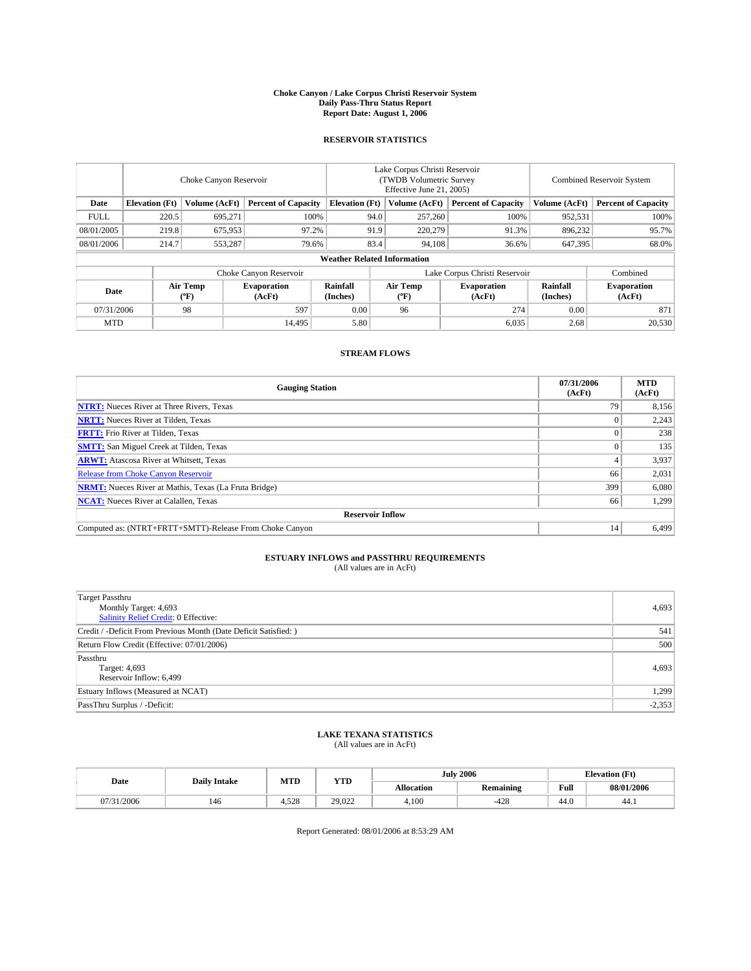#### **Choke Canyon / Lake Corpus Christi Reservoir System Daily Pass-Thru Status Report Report Date: August 1, 2006**

# **RESERVOIR STATISTICS**

|                                                                              | Choke Canyon Reservoir             |                       |                              |                      | Lake Corpus Christi Reservoir<br>(TWDB Volumetric Survey)<br>Effective June 21, 2005) |                  |                               |                      | <b>Combined Reservoir System</b> |  |  |  |  |
|------------------------------------------------------------------------------|------------------------------------|-----------------------|------------------------------|----------------------|---------------------------------------------------------------------------------------|------------------|-------------------------------|----------------------|----------------------------------|--|--|--|--|
| <b>Elevation</b> (Ft)<br>Volume (AcFt)<br><b>Percent of Capacity</b><br>Date |                                    | <b>Elevation</b> (Ft) |                              | Volume (AcFt)        | <b>Percent of Capacity</b>                                                            | Volume (AcFt)    | <b>Percent of Capacity</b>    |                      |                                  |  |  |  |  |
| <b>FULL</b>                                                                  | 220.5                              | 695,271               | 100%                         |                      | 94.0                                                                                  | 257,260          | 100%                          | 952,531              | 100%                             |  |  |  |  |
| 08/01/2005                                                                   | 219.8                              | 675,953               | 97.2%                        |                      | 91.9                                                                                  | 220,279          | 91.3%                         | 896,232              | 95.7%                            |  |  |  |  |
| 08/01/2006                                                                   | 214.7                              | 553,287               | 79.6%                        |                      | 83.4                                                                                  | 94,108           | 36.6%                         | 647,395              | 68.0%                            |  |  |  |  |
|                                                                              | <b>Weather Related Information</b> |                       |                              |                      |                                                                                       |                  |                               |                      |                                  |  |  |  |  |
|                                                                              |                                    |                       | Choke Canyon Reservoir       |                      |                                                                                       |                  | Lake Corpus Christi Reservoir |                      | Combined                         |  |  |  |  |
| Date                                                                         |                                    | Air Temp<br>$(^oF)$   | <b>Evaporation</b><br>(AcFt) | Rainfall<br>(Inches) |                                                                                       | Air Temp<br>(°F) | <b>Evaporation</b><br>(AcFt)  | Rainfall<br>(Inches) | <b>Evaporation</b><br>(AcFt)     |  |  |  |  |
| 98<br>597<br>07/31/2006                                                      |                                    | 0.00                  |                              | 96                   | 274                                                                                   | 0.00             | 871                           |                      |                                  |  |  |  |  |
| <b>MTD</b>                                                                   |                                    |                       | 14.495                       | 5.80                 |                                                                                       |                  | 6,035                         | 2.68                 | 20,530                           |  |  |  |  |

## **STREAM FLOWS**

| <b>Gauging Station</b>                                       | 07/31/2006<br>(AcFt) | <b>MTD</b><br>(AcFt) |
|--------------------------------------------------------------|----------------------|----------------------|
| <b>NTRT:</b> Nueces River at Three Rivers, Texas             | 79                   | 8,156                |
| <b>NRTT:</b> Nueces River at Tilden, Texas                   |                      | 2,243                |
| <b>FRTT:</b> Frio River at Tilden, Texas                     |                      | 238                  |
| <b>SMTT:</b> San Miguel Creek at Tilden, Texas               |                      | 135                  |
| <b>ARWT:</b> Atascosa River at Whitsett, Texas               |                      | 3,937                |
| <b>Release from Choke Canyon Reservoir</b>                   | 66                   | 2,031                |
| <b>NRMT:</b> Nueces River at Mathis, Texas (La Fruta Bridge) | 399                  | 6,080                |
| <b>NCAT:</b> Nueces River at Calallen, Texas                 | 66                   | 1,299                |
| <b>Reservoir Inflow</b>                                      |                      |                      |
| Computed as: (NTRT+FRTT+SMTT)-Release From Choke Canyon      | 14                   | 6,499                |

# **ESTUARY INFLOWS and PASSTHRU REQUIREMENTS**

(All values are in AcFt)

| <b>Target Passthru</b><br>Monthly Target: 4,693<br>Salinity Relief Credit: 0 Effective: | 4,693    |
|-----------------------------------------------------------------------------------------|----------|
| Credit / -Deficit From Previous Month (Date Deficit Satisfied: )                        | 541      |
| Return Flow Credit (Effective: 07/01/2006)                                              | 500      |
| Passthru<br>Target: 4,693<br>Reservoir Inflow: 6,499                                    | 4,693    |
| Estuary Inflows (Measured at NCAT)                                                      | 1,299    |
| PassThru Surplus / -Deficit:                                                            | $-2,353$ |

#### **LAKE TEXANA STATISTICS** (All values are in AcFt)

|  |                          | <b>Daily Intake</b> | MTD   | <b>YTD</b> |                   | <b>July 2006</b> |      | <b>Elevation</b> (Ft) |
|--|--------------------------|---------------------|-------|------------|-------------------|------------------|------|-----------------------|
|  | Date                     |                     |       |            | <b>Allocation</b> | <b>Remaining</b> | Full | 08/01/2006            |
|  | 1/2006<br>07/21<br>11.21 | 146                 | 1.528 | 29.022     | 4.100             | $-428$           | 44.0 | 44.1                  |

Report Generated: 08/01/2006 at 8:53:29 AM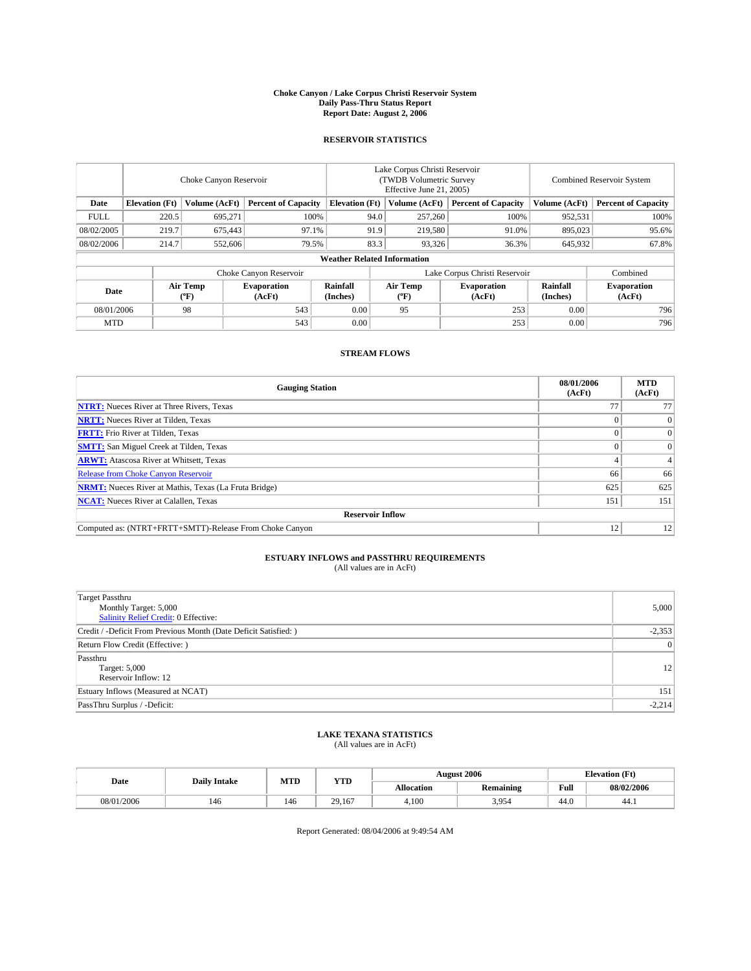#### **Choke Canyon / Lake Corpus Christi Reservoir System Daily Pass-Thru Status Report Report Date: August 2, 2006**

# **RESERVOIR STATISTICS**

|                                                                              | Choke Canyon Reservoir |                                |                              |                                    | Lake Corpus Christi Reservoir<br>(TWDB Volumetric Survey)<br>Effective June 21, 2005) |                  |                               |                      | <b>Combined Reservoir System</b> |  |  |
|------------------------------------------------------------------------------|------------------------|--------------------------------|------------------------------|------------------------------------|---------------------------------------------------------------------------------------|------------------|-------------------------------|----------------------|----------------------------------|--|--|
| <b>Elevation</b> (Ft)<br>Volume (AcFt)<br><b>Percent of Capacity</b><br>Date |                        | <b>Elevation</b> (Ft)          |                              | Volume (AcFt)                      | <b>Percent of Capacity</b>                                                            | Volume (AcFt)    | <b>Percent of Capacity</b>    |                      |                                  |  |  |
| <b>FULL</b>                                                                  | 220.5                  | 695,271                        | 100%                         |                                    | 94.0                                                                                  | 257,260          | 100%                          | 952,531              | 100%                             |  |  |
| 08/02/2005                                                                   | 219.7                  | 675,443                        | 97.1%                        |                                    | 91.9                                                                                  | 219,580          | 91.0%                         | 895,023              | 95.6%                            |  |  |
| 08/02/2006                                                                   | 214.7                  | 552,606                        | 79.5%                        |                                    | 83.3                                                                                  | 93,326           | 36.3%                         | 645,932              | 67.8%                            |  |  |
|                                                                              |                        |                                |                              | <b>Weather Related Information</b> |                                                                                       |                  |                               |                      |                                  |  |  |
|                                                                              |                        |                                | Choke Canyon Reservoir       |                                    |                                                                                       |                  | Lake Corpus Christi Reservoir |                      | Combined                         |  |  |
| Date                                                                         |                        | Air Temp<br>$({}^o\mathrm{F})$ | <b>Evaporation</b><br>(AcFt) | Rainfall<br>(Inches)               |                                                                                       | Air Temp<br>(°F) | <b>Evaporation</b><br>(AcFt)  | Rainfall<br>(Inches) | <b>Evaporation</b><br>(AcFt)     |  |  |
| 08/01/2006                                                                   |                        | 98                             | 543                          | 0.00                               |                                                                                       | 95               | 253                           | 0.00                 | 796                              |  |  |
| <b>MTD</b>                                                                   |                        |                                | 543                          | 0.00                               |                                                                                       |                  | 253                           | 0.00                 | 796                              |  |  |

## **STREAM FLOWS**

| <b>Gauging Station</b>                                       | 08/01/2006<br>(AcFt) | <b>MTD</b><br>(AcFt) |
|--------------------------------------------------------------|----------------------|----------------------|
| <b>NTRT:</b> Nueces River at Three Rivers, Texas             |                      |                      |
| <b>NRTT:</b> Nueces River at Tilden, Texas                   |                      | $\mathbf{0}$         |
| <b>FRTT:</b> Frio River at Tilden, Texas                     |                      | $\overline{0}$       |
| <b>SMTT:</b> San Miguel Creek at Tilden, Texas               |                      | $\Omega$             |
| <b>ARWT:</b> Atascosa River at Whitsett, Texas               |                      |                      |
| <b>Release from Choke Canyon Reservoir</b>                   | 66                   | 66                   |
| <b>NRMT:</b> Nueces River at Mathis, Texas (La Fruta Bridge) | 625                  | 625                  |
| <b>NCAT:</b> Nueces River at Calallen, Texas                 | 151                  | 151                  |
| <b>Reservoir Inflow</b>                                      |                      |                      |
| Computed as: (NTRT+FRTT+SMTT)-Release From Choke Canyon      | 12                   | 12                   |

# **ESTUARY INFLOWS and PASSTHRU REQUIREMENTS**

(All values are in AcFt)

| <b>Target Passthru</b><br>Monthly Target: 5,000<br>Salinity Relief Credit: 0 Effective: | 5,000    |
|-----------------------------------------------------------------------------------------|----------|
| Credit / -Deficit From Previous Month (Date Deficit Satisfied: )                        | $-2,353$ |
| Return Flow Credit (Effective: )                                                        | 0        |
| Passthru<br>Target: 5,000<br>Reservoir Inflow: 12                                       | 12       |
| Estuary Inflows (Measured at NCAT)                                                      | 151      |
| PassThru Surplus / -Deficit:                                                            | $-2,214$ |

### **LAKE TEXANA STATISTICS** (All values are in AcFt)

|  |            | <b>Daily Intake</b> | MTD | <b>YTD</b> |                   | <b>August 2006</b> |      | <b>Elevation</b> (Ft) |
|--|------------|---------------------|-----|------------|-------------------|--------------------|------|-----------------------|
|  | Date       |                     |     |            | <b>Allocation</b> | <b>Remaining</b>   | Full | 08/02/2006            |
|  | 08/01/2006 | 146                 | 146 | 29.167     | 4.100             | 3.954              | 44.0 | 44.1                  |

Report Generated: 08/04/2006 at 9:49:54 AM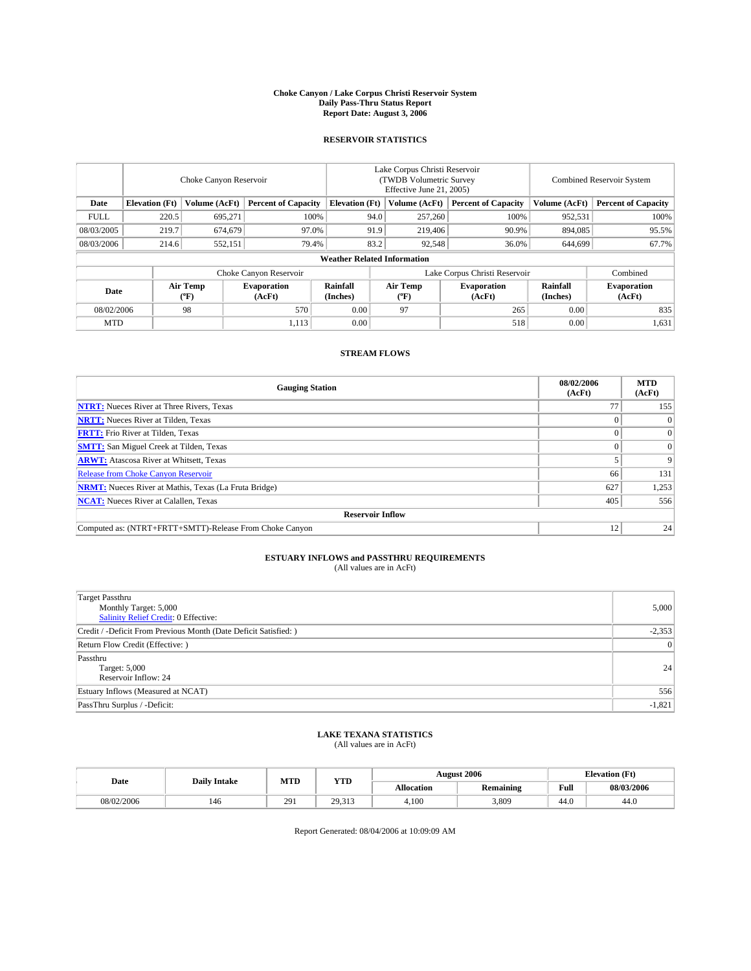#### **Choke Canyon / Lake Corpus Christi Reservoir System Daily Pass-Thru Status Report Report Date: August 3, 2006**

# **RESERVOIR STATISTICS**

|                                                                              | Choke Canyon Reservoir             |                                |                              |                      | Lake Corpus Christi Reservoir<br>(TWDB Volumetric Survey)<br>Effective June 21, 2005) |                  |                               |                      | <b>Combined Reservoir System</b> |  |  |  |  |
|------------------------------------------------------------------------------|------------------------------------|--------------------------------|------------------------------|----------------------|---------------------------------------------------------------------------------------|------------------|-------------------------------|----------------------|----------------------------------|--|--|--|--|
| <b>Elevation</b> (Ft)<br>Volume (AcFt)<br><b>Percent of Capacity</b><br>Date |                                    | <b>Elevation</b> (Ft)          |                              | Volume (AcFt)        | <b>Percent of Capacity</b>                                                            | Volume (AcFt)    | <b>Percent of Capacity</b>    |                      |                                  |  |  |  |  |
| <b>FULL</b>                                                                  | 220.5                              | 695,271                        | 100%                         |                      | 94.0                                                                                  | 257,260          | 100%                          | 952,531              | 100%                             |  |  |  |  |
| 08/03/2005                                                                   | 219.7                              | 674,679                        | 97.0%                        |                      | 91.9                                                                                  | 219,406          | 90.9%                         | 894,085              | 95.5%                            |  |  |  |  |
| 08/03/2006                                                                   | 214.6                              | 552,151                        | 79.4%                        |                      | 83.2                                                                                  | 92,548           | 36.0%                         | 644,699              | 67.7%                            |  |  |  |  |
|                                                                              | <b>Weather Related Information</b> |                                |                              |                      |                                                                                       |                  |                               |                      |                                  |  |  |  |  |
|                                                                              |                                    |                                | Choke Canyon Reservoir       |                      |                                                                                       |                  | Lake Corpus Christi Reservoir |                      | Combined                         |  |  |  |  |
| Date                                                                         |                                    | Air Temp<br>$({}^o\mathrm{F})$ | <b>Evaporation</b><br>(AcFt) | Rainfall<br>(Inches) |                                                                                       | Air Temp<br>(°F) | <b>Evaporation</b><br>(AcFt)  | Rainfall<br>(Inches) | <b>Evaporation</b><br>(AcFt)     |  |  |  |  |
| 98<br>570<br>08/02/2006                                                      |                                    | 0.00                           |                              | 97                   | 265                                                                                   | 0.00             | 835                           |                      |                                  |  |  |  |  |
| <b>MTD</b>                                                                   |                                    |                                | 1,113                        | 0.00                 |                                                                                       |                  | 518                           | 0.00                 | 1,631                            |  |  |  |  |

## **STREAM FLOWS**

| <b>Gauging Station</b>                                       | 08/02/2006<br>(AcFt) | <b>MTD</b><br>(AcFt) |
|--------------------------------------------------------------|----------------------|----------------------|
| <b>NTRT:</b> Nueces River at Three Rivers, Texas             |                      | 155                  |
| <b>NRTT:</b> Nueces River at Tilden, Texas                   |                      | $\Omega$             |
| <b>FRTT:</b> Frio River at Tilden, Texas                     |                      | $\overline{0}$       |
| <b>SMTT:</b> San Miguel Creek at Tilden, Texas               |                      | $\Omega$             |
| <b>ARWT:</b> Atascosa River at Whitsett, Texas               |                      | 9                    |
| <b>Release from Choke Canyon Reservoir</b>                   | 66                   | 131                  |
| <b>NRMT:</b> Nueces River at Mathis, Texas (La Fruta Bridge) | 627                  | 1,253                |
| <b>NCAT:</b> Nueces River at Calallen, Texas                 | 405                  | 556                  |
| <b>Reservoir Inflow</b>                                      |                      |                      |
| Computed as: (NTRT+FRTT+SMTT)-Release From Choke Canyon      | 12                   | 24                   |

# **ESTUARY INFLOWS and PASSTHRU REQUIREMENTS**

(All values are in AcFt)

| <b>Target Passthru</b><br>Monthly Target: 5,000<br>Salinity Relief Credit: 0 Effective: | 5,000     |
|-----------------------------------------------------------------------------------------|-----------|
| Credit / -Deficit From Previous Month (Date Deficit Satisfied: )                        | $-2,353$  |
| Return Flow Credit (Effective: )                                                        | $\vert$ 0 |
| Passthru<br>Target: 5,000<br>Reservoir Inflow: 24                                       | 24        |
| Estuary Inflows (Measured at NCAT)                                                      | 556       |
| PassThru Surplus / -Deficit:                                                            | $-1,821$  |

### **LAKE TEXANA STATISTICS** (All values are in AcFt)

|  |            | <b>Daily Intake</b> | MTD | <b>YTD</b>       |                   | <b>August 2006</b> |      | <b>Elevation</b> (Ft) |
|--|------------|---------------------|-----|------------------|-------------------|--------------------|------|-----------------------|
|  | Date       |                     |     |                  | <b>Allocation</b> | <b>Remaining</b>   | Full | 08/03/2006            |
|  | 08/02/2006 | 146                 | 29  | 29.313<br>27.JIJ | 4.100             | 3.809              | 44.0 | 44.0                  |

Report Generated: 08/04/2006 at 10:09:09 AM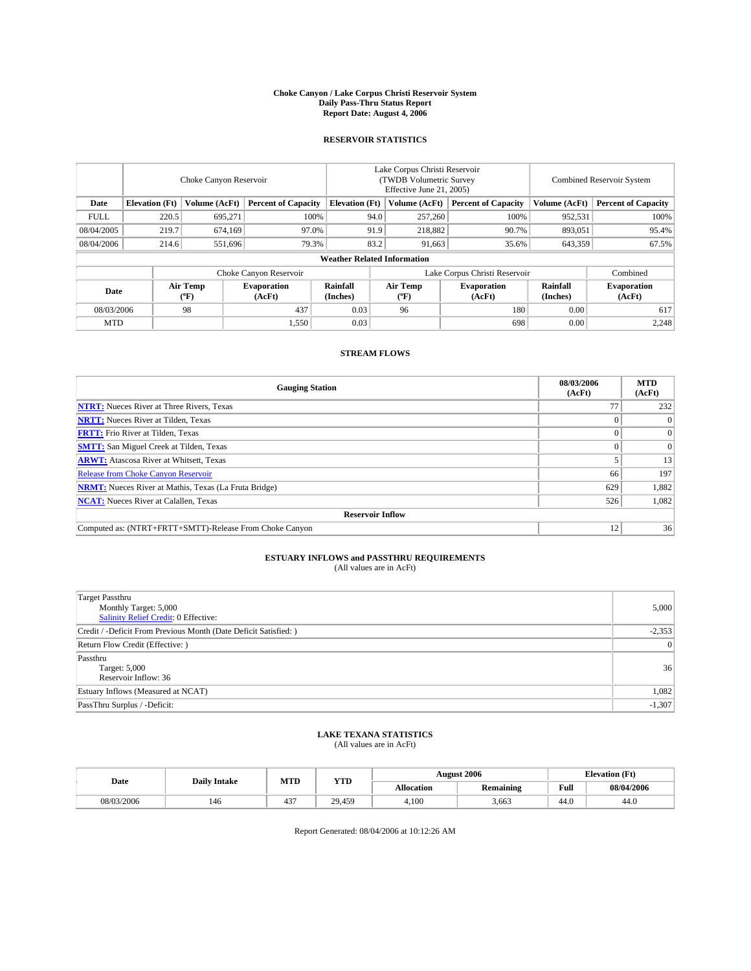#### **Choke Canyon / Lake Corpus Christi Reservoir System Daily Pass-Thru Status Report Report Date: August 4, 2006**

# **RESERVOIR STATISTICS**

|                                                                              | Choke Canyon Reservoir             |                                |                              |                      | Lake Corpus Christi Reservoir<br>(TWDB Volumetric Survey)<br>Effective June 21, 2005) |                  |                               |                      | <b>Combined Reservoir System</b> |  |  |  |  |
|------------------------------------------------------------------------------|------------------------------------|--------------------------------|------------------------------|----------------------|---------------------------------------------------------------------------------------|------------------|-------------------------------|----------------------|----------------------------------|--|--|--|--|
| <b>Elevation</b> (Ft)<br>Volume (AcFt)<br><b>Percent of Capacity</b><br>Date |                                    | <b>Elevation</b> (Ft)          |                              | Volume (AcFt)        | <b>Percent of Capacity</b>                                                            | Volume (AcFt)    | <b>Percent of Capacity</b>    |                      |                                  |  |  |  |  |
| <b>FULL</b>                                                                  | 220.5                              | 695,271                        | 100%                         |                      | 94.0                                                                                  | 257,260          | 100%                          | 952,531              | 100%                             |  |  |  |  |
| 08/04/2005                                                                   | 219.7                              | 674,169                        | 97.0%                        |                      | 91.9                                                                                  | 218,882          | 90.7%                         | 893,051              | 95.4%                            |  |  |  |  |
| 08/04/2006                                                                   | 214.6                              | 551,696                        | 79.3%                        |                      | 83.2                                                                                  | 91,663           | 35.6%                         | 643,359              | 67.5%                            |  |  |  |  |
|                                                                              | <b>Weather Related Information</b> |                                |                              |                      |                                                                                       |                  |                               |                      |                                  |  |  |  |  |
|                                                                              |                                    |                                | Choke Canyon Reservoir       |                      |                                                                                       |                  | Lake Corpus Christi Reservoir |                      | Combined                         |  |  |  |  |
| Date                                                                         |                                    | Air Temp<br>$({}^o\mathrm{F})$ | <b>Evaporation</b><br>(AcFt) | Rainfall<br>(Inches) |                                                                                       | Air Temp<br>(°F) | <b>Evaporation</b><br>(AcFt)  | Rainfall<br>(Inches) | <b>Evaporation</b><br>(AcFt)     |  |  |  |  |
| 98<br>437<br>08/03/2006                                                      |                                    | 0.03                           |                              | 96                   | 180                                                                                   | 0.00             | 617                           |                      |                                  |  |  |  |  |
| <b>MTD</b>                                                                   |                                    |                                | 1,550                        | 0.03                 |                                                                                       |                  | 698                           | 0.00                 | 2,248                            |  |  |  |  |

## **STREAM FLOWS**

| <b>Gauging Station</b>                                       | 08/03/2006<br>(AcFt) | <b>MTD</b><br>(AcFt) |
|--------------------------------------------------------------|----------------------|----------------------|
| <b>NTRT:</b> Nueces River at Three Rivers, Texas             |                      | 232                  |
| <b>NRTT:</b> Nueces River at Tilden, Texas                   |                      | $\Omega$             |
| <b>FRTT:</b> Frio River at Tilden, Texas                     |                      | $\overline{0}$       |
| <b>SMTT:</b> San Miguel Creek at Tilden, Texas               |                      | $\Omega$             |
| <b>ARWT:</b> Atascosa River at Whitsett, Texas               |                      | 13                   |
| <b>Release from Choke Canyon Reservoir</b>                   | 66                   | 197                  |
| <b>NRMT:</b> Nueces River at Mathis, Texas (La Fruta Bridge) | 629                  | 1,882                |
| <b>NCAT:</b> Nueces River at Calallen, Texas                 | 526                  | 1,082                |
| <b>Reservoir Inflow</b>                                      |                      |                      |
| Computed as: (NTRT+FRTT+SMTT)-Release From Choke Canyon      | 12                   | 36                   |

# **ESTUARY INFLOWS and PASSTHRU REQUIREMENTS**

(All values are in AcFt)

| <b>Target Passthru</b><br>Monthly Target: 5,000<br>Salinity Relief Credit: 0 Effective: | 5,000     |
|-----------------------------------------------------------------------------------------|-----------|
| Credit / -Deficit From Previous Month (Date Deficit Satisfied: )                        | $-2,353$  |
| Return Flow Credit (Effective: )                                                        | $\vert$ 0 |
| Passthru<br>Target: 5,000<br>Reservoir Inflow: 36                                       | 36        |
| Estuary Inflows (Measured at NCAT)                                                      | 1,082     |
| PassThru Surplus / -Deficit:                                                            | $-1,307$  |

### **LAKE TEXANA STATISTICS** (All values are in AcFt)

|  |            | <b>Daily Intake</b> | MTD          | <b>YTD</b>      | <b>August 2006</b> |                  |      | <b>Elevation</b> (Ft) |
|--|------------|---------------------|--------------|-----------------|--------------------|------------------|------|-----------------------|
|  | Date       |                     |              |                 | <b>Allocation</b>  | <b>Remaining</b> | Full | 08/04/2006            |
|  | 08/03/2006 | 146                 | $10-$<br>43. | 29.459<br>- 27. | 4.100              | 3,663            | 44.0 | 44.0                  |

Report Generated: 08/04/2006 at 10:12:26 AM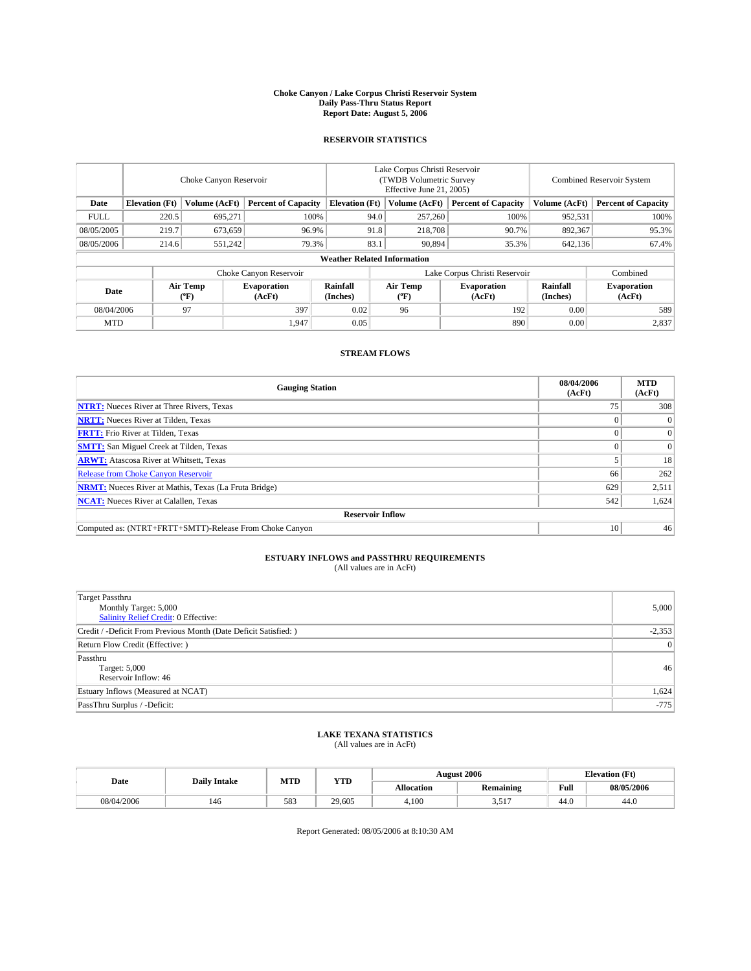#### **Choke Canyon / Lake Corpus Christi Reservoir System Daily Pass-Thru Status Report Report Date: August 5, 2006**

# **RESERVOIR STATISTICS**

| Choke Canyon Reservoir                                                       |       |                       |                              | Lake Corpus Christi Reservoir<br>(TWDB Volumetric Survey<br>Effective June 21, 2005) |                            |                  |                               | <b>Combined Reservoir System</b> |                              |  |
|------------------------------------------------------------------------------|-------|-----------------------|------------------------------|--------------------------------------------------------------------------------------|----------------------------|------------------|-------------------------------|----------------------------------|------------------------------|--|
| <b>Elevation</b> (Ft)<br>Volume (AcFt)<br><b>Percent of Capacity</b><br>Date |       | <b>Elevation (Ft)</b> |                              | Volume (AcFt)                                                                        | <b>Percent of Capacity</b> | Volume (AcFt)    | <b>Percent of Capacity</b>    |                                  |                              |  |
| <b>FULL</b>                                                                  | 220.5 | 695,271               |                              | 100%                                                                                 | 94.0                       | 257,260          | 100%                          | 952,531                          | 100%                         |  |
| 08/05/2005                                                                   | 219.7 | 673,659               | 96.9%                        |                                                                                      | 91.8                       | 218,708          | 90.7%                         | 892,367                          | 95.3%                        |  |
| 08/05/2006                                                                   | 214.6 | 551,242               | 79.3%                        |                                                                                      | 83.1                       | 90,894           | 35.3%                         | 642,136                          | 67.4%                        |  |
|                                                                              |       |                       |                              | <b>Weather Related Information</b>                                                   |                            |                  |                               |                                  |                              |  |
|                                                                              |       |                       | Choke Canyon Reservoir       |                                                                                      |                            |                  | Lake Corpus Christi Reservoir |                                  | Combined                     |  |
| Date                                                                         |       | Air Temp<br>(°F)      | <b>Evaporation</b><br>(AcFt) | Rainfall<br>(Inches)                                                                 |                            | Air Temp<br>(°F) | <b>Evaporation</b><br>(AcFt)  | Rainfall<br>(Inches)             | <b>Evaporation</b><br>(AcFt) |  |
| 08/04/2006                                                                   |       | 97                    | 397                          | 0.02                                                                                 |                            | 96               | 192                           | 0.00                             | 589                          |  |
| <b>MTD</b>                                                                   |       |                       | 1,947                        | 0.05                                                                                 |                            |                  | 890                           | 0.00                             | 2,837                        |  |

## **STREAM FLOWS**

| <b>Gauging Station</b>                                       | 08/04/2006<br>(AcFt) | <b>MTD</b><br>(AcFt) |
|--------------------------------------------------------------|----------------------|----------------------|
| <b>NTRT:</b> Nueces River at Three Rivers, Texas             | 75                   | 308                  |
| <b>NRTT:</b> Nueces River at Tilden, Texas                   |                      | $\Omega$             |
| <b>FRTT:</b> Frio River at Tilden, Texas                     |                      | $\mathbf{0}$         |
| <b>SMTT:</b> San Miguel Creek at Tilden, Texas               |                      | $\Omega$             |
| <b>ARWT:</b> Atascosa River at Whitsett, Texas               |                      | 18                   |
| <b>Release from Choke Canyon Reservoir</b>                   | 66                   | 262                  |
| <b>NRMT:</b> Nueces River at Mathis, Texas (La Fruta Bridge) | 629                  | 2,511                |
| <b>NCAT:</b> Nueces River at Calallen, Texas                 | 542                  | 1,624                |
| <b>Reservoir Inflow</b>                                      |                      |                      |
| Computed as: (NTRT+FRTT+SMTT)-Release From Choke Canyon      | 10                   | 46                   |

# **ESTUARY INFLOWS and PASSTHRU REQUIREMENTS**

(All values are in AcFt)

| <b>Target Passthru</b><br>Monthly Target: 5,000<br>Salinity Relief Credit: 0 Effective: | 5,000    |
|-----------------------------------------------------------------------------------------|----------|
| Credit / -Deficit From Previous Month (Date Deficit Satisfied: )                        | $-2,353$ |
| Return Flow Credit (Effective: )                                                        | 0        |
| Passthru<br>Target: 5,000<br>Reservoir Inflow: 46                                       | 46       |
| Estuary Inflows (Measured at NCAT)                                                      | 1,624    |
| PassThru Surplus / -Deficit:                                                            | $-775$   |

### **LAKE TEXANA STATISTICS** (All values are in AcFt)

|  |            | <b>Daily Intake</b> | MTD | <b>YTD</b> | <b>August 2006</b> |                  |      | <b>Elevation</b> (Ft) |
|--|------------|---------------------|-----|------------|--------------------|------------------|------|-----------------------|
|  | Date       |                     |     |            | <b>Allocation</b>  | <b>Remaining</b> | Full | 08/05/2006            |
|  | 08/04/2006 | 146                 | 583 | 29,605     | 4.100              | $-1$<br>، ر. ر.  | 44.0 | 44.0                  |

Report Generated: 08/05/2006 at 8:10:30 AM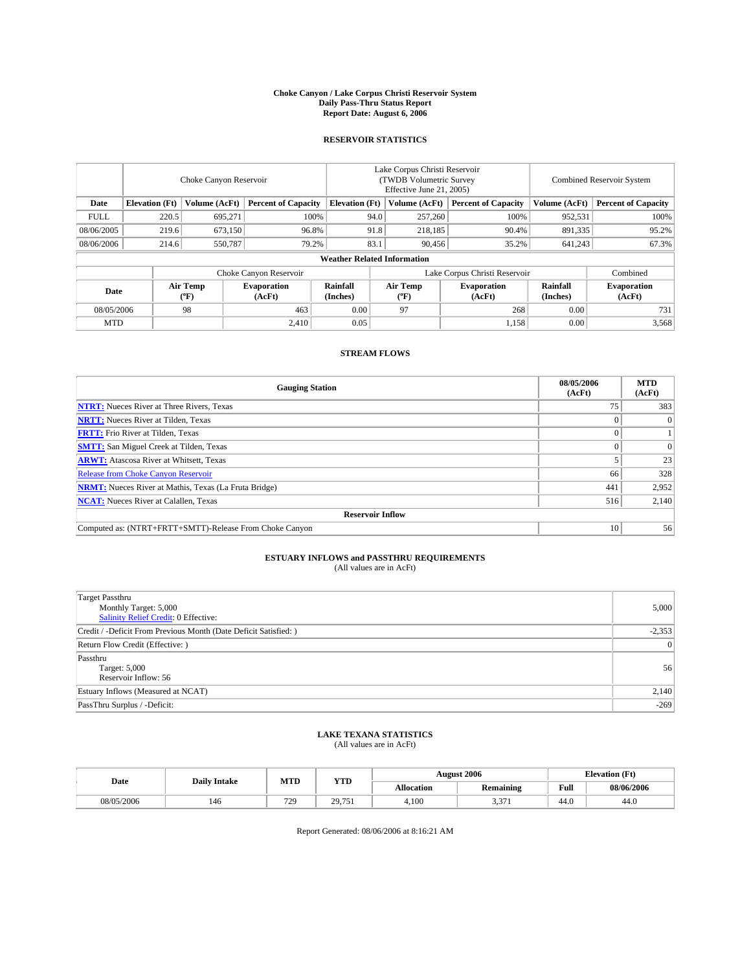#### **Choke Canyon / Lake Corpus Christi Reservoir System Daily Pass-Thru Status Report Report Date: August 6, 2006**

# **RESERVOIR STATISTICS**

|                                                                              | Choke Canyon Reservoir |                                |                              |                                    | Lake Corpus Christi Reservoir<br>(TWDB Volumetric Survey)<br>Effective June 21, 2005) |                  |                               |                      | <b>Combined Reservoir System</b> |  |  |
|------------------------------------------------------------------------------|------------------------|--------------------------------|------------------------------|------------------------------------|---------------------------------------------------------------------------------------|------------------|-------------------------------|----------------------|----------------------------------|--|--|
| <b>Elevation</b> (Ft)<br>Volume (AcFt)<br><b>Percent of Capacity</b><br>Date |                        | <b>Elevation</b> (Ft)          |                              | Volume (AcFt)                      | <b>Percent of Capacity</b>                                                            | Volume (AcFt)    | <b>Percent of Capacity</b>    |                      |                                  |  |  |
| <b>FULL</b>                                                                  | 220.5                  | 695,271                        | 100%                         |                                    | 94.0                                                                                  | 257,260          | 100%                          | 952,531              | 100%                             |  |  |
| 08/06/2005                                                                   | 219.6                  | 673,150                        | 96.8%                        |                                    | 91.8                                                                                  | 218,185          | 90.4%                         | 891,335              | 95.2%                            |  |  |
| 08/06/2006                                                                   | 214.6                  | 550,787                        | 79.2%                        |                                    | 83.1                                                                                  | 90,456           | 35.2%                         | 641,243              | 67.3%                            |  |  |
|                                                                              |                        |                                |                              | <b>Weather Related Information</b> |                                                                                       |                  |                               |                      |                                  |  |  |
|                                                                              |                        |                                | Choke Canyon Reservoir       |                                    |                                                                                       |                  | Lake Corpus Christi Reservoir |                      | Combined                         |  |  |
| Date                                                                         |                        | Air Temp<br>$({}^o\mathrm{F})$ | <b>Evaporation</b><br>(AcFt) | Rainfall<br>(Inches)               |                                                                                       | Air Temp<br>(°F) | <b>Evaporation</b><br>(AcFt)  | Rainfall<br>(Inches) | <b>Evaporation</b><br>(AcFt)     |  |  |
| 98<br>463<br>08/05/2006                                                      |                        | 0.00                           |                              | 97                                 | 268                                                                                   | 0.00             | 731                           |                      |                                  |  |  |
| <b>MTD</b>                                                                   |                        |                                | 2.410                        | 0.05                               |                                                                                       |                  | 1,158                         | 0.00                 | 3,568                            |  |  |

## **STREAM FLOWS**

| <b>Gauging Station</b>                                       | 08/05/2006<br>(AcFt) | <b>MTD</b><br>(AcFt) |
|--------------------------------------------------------------|----------------------|----------------------|
| <b>NTRT:</b> Nueces River at Three Rivers, Texas             |                      | 383                  |
| <b>NRTT:</b> Nueces River at Tilden, Texas                   |                      | $\Omega$             |
| <b>FRTT:</b> Frio River at Tilden, Texas                     |                      |                      |
| <b>SMTT:</b> San Miguel Creek at Tilden, Texas               |                      | $\Omega$             |
| <b>ARWT:</b> Atascosa River at Whitsett, Texas               |                      | 23                   |
| <b>Release from Choke Canyon Reservoir</b>                   | 66                   | 328                  |
| <b>NRMT:</b> Nueces River at Mathis, Texas (La Fruta Bridge) | 441                  | 2,952                |
| <b>NCAT:</b> Nueces River at Calallen, Texas                 | 516                  | 2,140                |
| <b>Reservoir Inflow</b>                                      |                      |                      |
| Computed as: (NTRT+FRTT+SMTT)-Release From Choke Canyon      | 10                   | 56                   |

# **ESTUARY INFLOWS and PASSTHRU REQUIREMENTS**

(All values are in AcFt)

| <b>Target Passthru</b><br>Monthly Target: 5,000<br>Salinity Relief Credit: 0 Effective: | 5,000    |
|-----------------------------------------------------------------------------------------|----------|
| Credit / -Deficit From Previous Month (Date Deficit Satisfied: )                        | $-2,353$ |
| Return Flow Credit (Effective: )                                                        | 0        |
| Passthru<br>Target: 5,000<br>Reservoir Inflow: 56                                       | 56       |
| Estuary Inflows (Measured at NCAT)                                                      | 2,140    |
| PassThru Surplus / -Deficit:                                                            | $-269$   |

### **LAKE TEXANA STATISTICS** (All values are in AcFt)

|  |            | <b>Daily Intake</b> | MTD | <b>YTD</b>              | <b>August 2006</b> |                  |      | <b>Elevation</b> (Ft) |
|--|------------|---------------------|-----|-------------------------|--------------------|------------------|------|-----------------------|
|  | Date       |                     |     |                         | <b>Allocation</b>  | <b>Remaining</b> | Full | 08/06/2006            |
|  | 08/05/2006 | 146                 | 729 | 751<br>29<br>42.<br>791 | 4.100              | $\sim$<br>، ب    | 44.0 | 44.0                  |

Report Generated: 08/06/2006 at 8:16:21 AM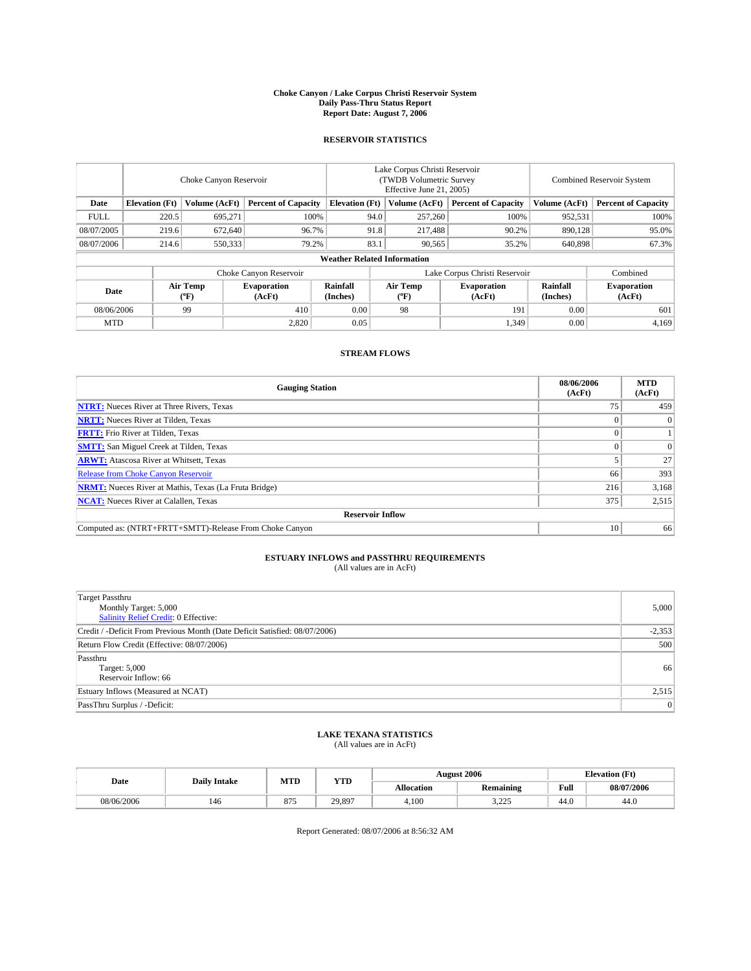#### **Choke Canyon / Lake Corpus Christi Reservoir System Daily Pass-Thru Status Report Report Date: August 7, 2006**

# **RESERVOIR STATISTICS**

|             | Choke Canyon Reservoir             |                                |                              |                       | Lake Corpus Christi Reservoir<br>(TWDB Volumetric Survey)<br>Effective June 21, 2005) |                     |                               |                      | <b>Combined Reservoir System</b> |  |  |  |  |
|-------------|------------------------------------|--------------------------------|------------------------------|-----------------------|---------------------------------------------------------------------------------------|---------------------|-------------------------------|----------------------|----------------------------------|--|--|--|--|
| Date        | <b>Elevation</b> (Ft)              | Volume (AcFt)                  | <b>Percent of Capacity</b>   | <b>Elevation</b> (Ft) |                                                                                       | Volume (AcFt)       | <b>Percent of Capacity</b>    | Volume (AcFt)        | <b>Percent of Capacity</b>       |  |  |  |  |
| <b>FULL</b> | 220.5                              | 695,271                        |                              | 100%                  | 94.0                                                                                  | 257,260             | 100%                          | 952,531              | 100%                             |  |  |  |  |
| 08/07/2005  | 219.6                              | 672,640                        | 96.7%                        |                       | 91.8                                                                                  | 217,488             | 90.2%                         | 890,128              | 95.0%                            |  |  |  |  |
| 08/07/2006  | 214.6                              | 550,333                        | 79.2%                        |                       | 83.1                                                                                  | 90,565              | 35.2%                         | 640,898              | 67.3%                            |  |  |  |  |
|             | <b>Weather Related Information</b> |                                |                              |                       |                                                                                       |                     |                               |                      |                                  |  |  |  |  |
|             |                                    |                                | Choke Canyon Reservoir       |                       |                                                                                       |                     | Lake Corpus Christi Reservoir |                      | Combined                         |  |  |  |  |
| Date        |                                    | Air Temp<br>$({}^o\mathrm{F})$ | <b>Evaporation</b><br>(AcFt) | Rainfall<br>(Inches)  |                                                                                       | Air Temp<br>$(^oF)$ | <b>Evaporation</b><br>(AcFt)  | Rainfall<br>(Inches) | <b>Evaporation</b><br>(AcFt)     |  |  |  |  |
| 08/06/2006  |                                    | 99                             | 410                          | 0.00                  |                                                                                       | 98                  | 191                           | 0.00                 | 601                              |  |  |  |  |
| <b>MTD</b>  |                                    |                                | 2.820                        | 0.05                  |                                                                                       |                     | 1,349                         | 0.00                 | 4,169                            |  |  |  |  |

# **STREAM FLOWS**

| <b>Gauging Station</b>                                       | 08/06/2006<br>(AcFt) | <b>MTD</b><br>(AcFt) |
|--------------------------------------------------------------|----------------------|----------------------|
| <b>NTRT:</b> Nueces River at Three Rivers, Texas             |                      | 459                  |
| <b>NRTT:</b> Nueces River at Tilden, Texas                   |                      | $\Omega$             |
| <b>FRTT:</b> Frio River at Tilden, Texas                     |                      |                      |
| <b>SMTT:</b> San Miguel Creek at Tilden, Texas               |                      | $\Omega$             |
| <b>ARWT:</b> Atascosa River at Whitsett, Texas               |                      | 27                   |
| <b>Release from Choke Canyon Reservoir</b>                   | 66                   | 393                  |
| <b>NRMT:</b> Nueces River at Mathis, Texas (La Fruta Bridge) | 216                  | 3,168                |
| <b>NCAT:</b> Nueces River at Calallen, Texas                 | 375                  | 2,515                |
| <b>Reservoir Inflow</b>                                      |                      |                      |
| Computed as: (NTRT+FRTT+SMTT)-Release From Choke Canyon      | 10                   | 66                   |

# **ESTUARY INFLOWS and PASSTHRU REQUIREMENTS**

(All values are in AcFt)

| <b>Target Passthru</b><br>Monthly Target: 5,000<br><b>Salinity Relief Credit: 0 Effective:</b> | 5,000    |
|------------------------------------------------------------------------------------------------|----------|
| Credit / -Deficit From Previous Month (Date Deficit Satisfied: 08/07/2006)                     | $-2,353$ |
| Return Flow Credit (Effective: 08/07/2006)                                                     | 500      |
| Passthru<br>Target: 5,000<br>Reservoir Inflow: 66                                              | 66       |
| Estuary Inflows (Measured at NCAT)                                                             | 2,515    |
| PassThru Surplus / -Deficit:                                                                   | 0        |

### **LAKE TEXANA STATISTICS** (All values are in AcFt)

|            | <b>Daily Intake</b> | MTD | <b>YTD</b> |                   | <b>August 2006</b>               |      | <b>Elevation</b> (Ft) |
|------------|---------------------|-----|------------|-------------------|----------------------------------|------|-----------------------|
| Date       |                     |     |            | <b>Allocation</b> | Remaining                        | Full | 08/07/2006            |
| 08/06/2006 | 146                 | 875 | 29.897     | 4.100             | $\Delta \Delta \epsilon$<br>---- | 44.0 | 44.0                  |

Report Generated: 08/07/2006 at 8:56:32 AM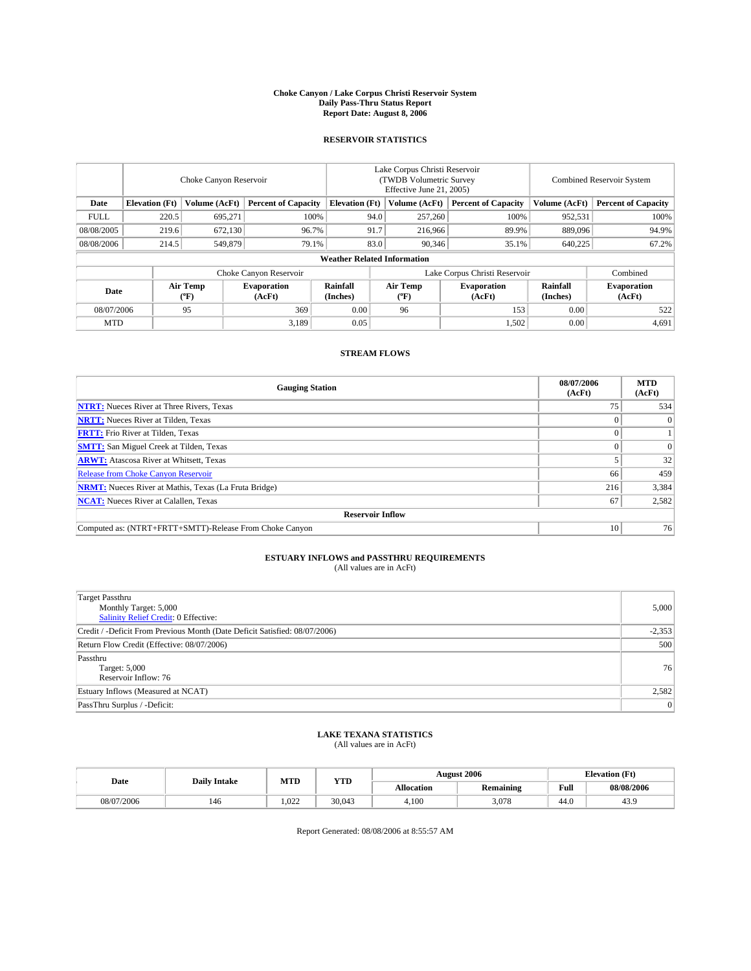#### **Choke Canyon / Lake Corpus Christi Reservoir System Daily Pass-Thru Status Report Report Date: August 8, 2006**

# **RESERVOIR STATISTICS**

|             | Choke Canyon Reservoir             |                                |                              |                       | Lake Corpus Christi Reservoir<br>(TWDB Volumetric Survey<br>Effective June 21, 2005) |                  |                               |                      | <b>Combined Reservoir System</b> |  |  |  |  |
|-------------|------------------------------------|--------------------------------|------------------------------|-----------------------|--------------------------------------------------------------------------------------|------------------|-------------------------------|----------------------|----------------------------------|--|--|--|--|
| Date        | <b>Elevation</b> (Ft)              | Volume (AcFt)                  | <b>Percent of Capacity</b>   | <b>Elevation (Ft)</b> |                                                                                      | Volume (AcFt)    | <b>Percent of Capacity</b>    | Volume (AcFt)        | <b>Percent of Capacity</b>       |  |  |  |  |
| <b>FULL</b> | 220.5                              | 695,271                        | 100%                         |                       | 94.0                                                                                 | 257,260          | 100%                          | 952,531              | 100%                             |  |  |  |  |
| 08/08/2005  | 219.6                              | 672,130                        | 96.7%                        |                       | 91.7                                                                                 | 216,966          | 89.9%                         | 889,096              | 94.9%                            |  |  |  |  |
| 08/08/2006  | 214.5                              | 549,879                        | 79.1%                        |                       | 83.0                                                                                 | 90,346           | 35.1%                         | 640,225              | 67.2%                            |  |  |  |  |
|             | <b>Weather Related Information</b> |                                |                              |                       |                                                                                      |                  |                               |                      |                                  |  |  |  |  |
|             |                                    |                                | Choke Canyon Reservoir       |                       |                                                                                      |                  | Lake Corpus Christi Reservoir |                      | Combined                         |  |  |  |  |
| Date        |                                    | Air Temp<br>$({}^o\mathrm{F})$ | <b>Evaporation</b><br>(AcFt) | Rainfall<br>(Inches)  |                                                                                      | Air Temp<br>(°F) | <b>Evaporation</b><br>(AcFt)  | Rainfall<br>(Inches) | <b>Evaporation</b><br>(AcFt)     |  |  |  |  |
| 08/07/2006  |                                    | 95                             | 369                          | 0.00                  |                                                                                      | 96               | 153                           | 0.00                 | 522                              |  |  |  |  |
| <b>MTD</b>  |                                    |                                | 3.189                        | 0.05                  |                                                                                      |                  | 1,502                         | 0.00                 | 4,691                            |  |  |  |  |

# **STREAM FLOWS**

| <b>Gauging Station</b>                                       | 08/07/2006<br>(AcFt) | <b>MTD</b><br>(AcFt) |
|--------------------------------------------------------------|----------------------|----------------------|
| <b>NTRT:</b> Nueces River at Three Rivers, Texas             |                      | 534                  |
| <b>NRTT:</b> Nueces River at Tilden, Texas                   |                      | $\Omega$             |
| <b>FRTT:</b> Frio River at Tilden, Texas                     |                      |                      |
| <b>SMTT:</b> San Miguel Creek at Tilden, Texas               |                      | $\Omega$             |
| <b>ARWT:</b> Atascosa River at Whitsett, Texas               |                      | 32                   |
| <b>Release from Choke Canyon Reservoir</b>                   | 66                   | 459                  |
| <b>NRMT:</b> Nueces River at Mathis, Texas (La Fruta Bridge) | 216                  | 3,384                |
| <b>NCAT:</b> Nueces River at Calallen, Texas                 | 67                   | 2,582                |
| <b>Reservoir Inflow</b>                                      |                      |                      |
| Computed as: (NTRT+FRTT+SMTT)-Release From Choke Canyon      | 10                   | 76                   |

# **ESTUARY INFLOWS and PASSTHRU REQUIREMENTS**

(All values are in AcFt)

| <b>Target Passthru</b><br>Monthly Target: 5,000<br><b>Salinity Relief Credit: 0 Effective:</b> | 5,000    |
|------------------------------------------------------------------------------------------------|----------|
| Credit / -Deficit From Previous Month (Date Deficit Satisfied: 08/07/2006)                     | $-2,353$ |
| Return Flow Credit (Effective: 08/07/2006)                                                     | 500      |
| Passthru<br>Target: 5,000<br>Reservoir Inflow: 76                                              | 76       |
| Estuary Inflows (Measured at NCAT)                                                             | 2,582    |
| PassThru Surplus / -Deficit:                                                                   | 0        |

### **LAKE TEXANA STATISTICS** (All values are in AcFt)

|  |            | <b>Daily Intake</b> | MTD   | <b>YTD</b> |                   | <b>August 2006</b> |      | <b>Elevation</b> (Ft) |
|--|------------|---------------------|-------|------------|-------------------|--------------------|------|-----------------------|
|  | Date       |                     |       |            | <b>Allocation</b> | Remaining          | Full | 08/08/2006            |
|  | 08/07/2006 | 146                 | 1.022 | 30.043     | 4.100             | 3.078              | 44.0 | 1 K U<br>40.          |

Report Generated: 08/08/2006 at 8:55:57 AM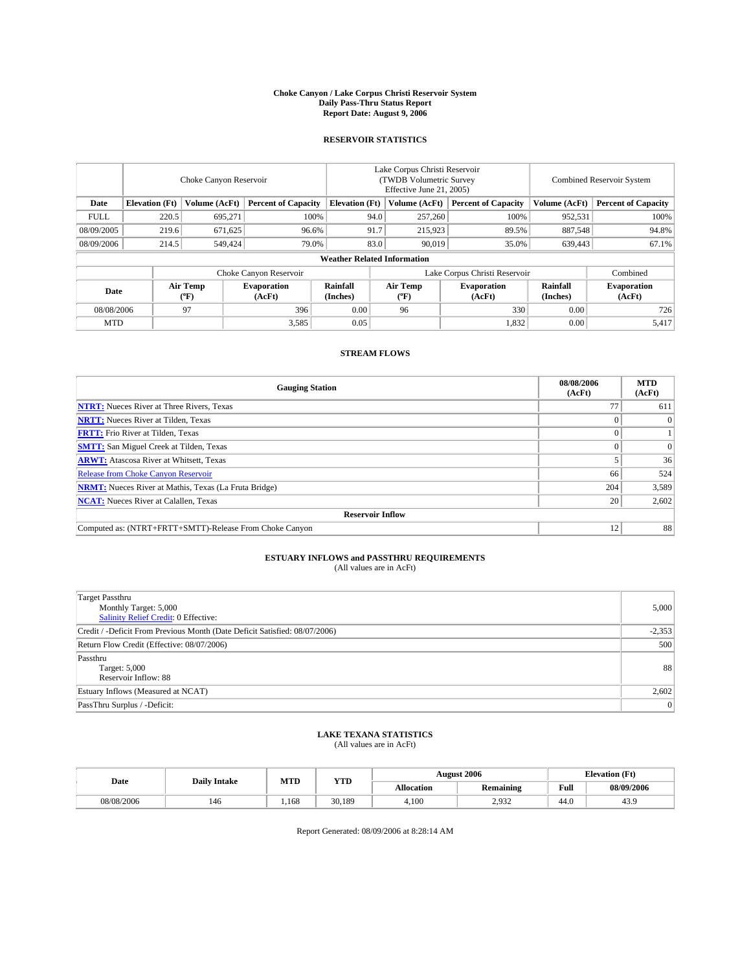#### **Choke Canyon / Lake Corpus Christi Reservoir System Daily Pass-Thru Status Report Report Date: August 9, 2006**

# **RESERVOIR STATISTICS**

|             | Choke Canyon Reservoir             |                                |                              |                       | Lake Corpus Christi Reservoir<br>(TWDB Volumetric Survey)<br>Effective June 21, 2005) |                  |                               |                      | <b>Combined Reservoir System</b> |  |  |  |  |
|-------------|------------------------------------|--------------------------------|------------------------------|-----------------------|---------------------------------------------------------------------------------------|------------------|-------------------------------|----------------------|----------------------------------|--|--|--|--|
| Date        | <b>Elevation</b> (Ft)              | Volume (AcFt)                  | <b>Percent of Capacity</b>   | <b>Elevation</b> (Ft) |                                                                                       | Volume (AcFt)    | <b>Percent of Capacity</b>    | Volume (AcFt)        | <b>Percent of Capacity</b>       |  |  |  |  |
| <b>FULL</b> | 220.5                              | 695,271                        | 100%                         |                       | 94.0                                                                                  | 257,260          | 100%                          | 952,531              | 100%                             |  |  |  |  |
| 08/09/2005  | 219.6                              | 671,625                        | 96.6%                        |                       | 91.7                                                                                  | 215,923          | 89.5%                         | 887,548              | 94.8%                            |  |  |  |  |
| 08/09/2006  | 214.5                              | 549,424                        | 79.0%                        |                       | 83.0                                                                                  | 90,019           | 35.0%                         | 639,443              | 67.1%                            |  |  |  |  |
|             | <b>Weather Related Information</b> |                                |                              |                       |                                                                                       |                  |                               |                      |                                  |  |  |  |  |
|             |                                    |                                | Choke Canyon Reservoir       |                       |                                                                                       |                  | Lake Corpus Christi Reservoir |                      | Combined                         |  |  |  |  |
| Date        |                                    | Air Temp<br>$({}^o\mathrm{F})$ | <b>Evaporation</b><br>(AcFt) | Rainfall<br>(Inches)  |                                                                                       | Air Temp<br>(°F) | <b>Evaporation</b><br>(AcFt)  | Rainfall<br>(Inches) | <b>Evaporation</b><br>(AcFt)     |  |  |  |  |
| 08/08/2006  |                                    | 97                             | 396                          | 0.00                  |                                                                                       | 96               | 330                           | 0.00                 | 726                              |  |  |  |  |
| <b>MTD</b>  |                                    |                                | 3,585                        | 0.05                  |                                                                                       |                  | 1,832                         | 0.00                 | 5,417                            |  |  |  |  |

## **STREAM FLOWS**

| <b>Gauging Station</b>                                       | 08/08/2006<br>(AcFt) | <b>MTD</b><br>(AcFt) |
|--------------------------------------------------------------|----------------------|----------------------|
| <b>NTRT:</b> Nueces River at Three Rivers, Texas             |                      | 611                  |
| <b>NRTT:</b> Nueces River at Tilden, Texas                   |                      | $\Omega$             |
| <b>FRTT:</b> Frio River at Tilden, Texas                     |                      |                      |
| <b>SMTT:</b> San Miguel Creek at Tilden, Texas               |                      | $\Omega$             |
| <b>ARWT:</b> Atascosa River at Whitsett, Texas               |                      | 36                   |
| <b>Release from Choke Canyon Reservoir</b>                   | 66                   | 524                  |
| <b>NRMT:</b> Nueces River at Mathis, Texas (La Fruta Bridge) | 204                  | 3,589                |
| <b>NCAT:</b> Nueces River at Calallen, Texas                 | 20                   | 2,602                |
| <b>Reservoir Inflow</b>                                      |                      |                      |
| Computed as: (NTRT+FRTT+SMTT)-Release From Choke Canyon      | 12                   | 88                   |

# **ESTUARY INFLOWS and PASSTHRU REQUIREMENTS**

(All values are in AcFt)

| <b>Target Passthru</b><br>Monthly Target: 5,000<br><b>Salinity Relief Credit: 0 Effective:</b> | 5,000    |
|------------------------------------------------------------------------------------------------|----------|
| Credit / -Deficit From Previous Month (Date Deficit Satisfied: 08/07/2006)                     | $-2,353$ |
| Return Flow Credit (Effective: 08/07/2006)                                                     | 500      |
| Passthru<br>Target: 5,000<br>Reservoir Inflow: 88                                              | 88       |
| Estuary Inflows (Measured at NCAT)                                                             | 2,602    |
| PassThru Surplus / -Deficit:                                                                   | 0        |

### **LAKE TEXANA STATISTICS** (All values are in AcFt)

|  |            | <b>Daily Intake</b> | MTD  | <b>YTD</b> |                   | <b>August 2006</b> |      | <b>Elevation</b> (Ft) |
|--|------------|---------------------|------|------------|-------------------|--------------------|------|-----------------------|
|  | Date       |                     |      |            | <b>Allocation</b> | Remaining          | Full | 08/09/2006            |
|  | 08/08/2006 | 146                 | .168 | 30.189     | 4.100             | 2.932<br>ے رہے     | 44.0 | 1 K U<br>40.)         |

Report Generated: 08/09/2006 at 8:28:14 AM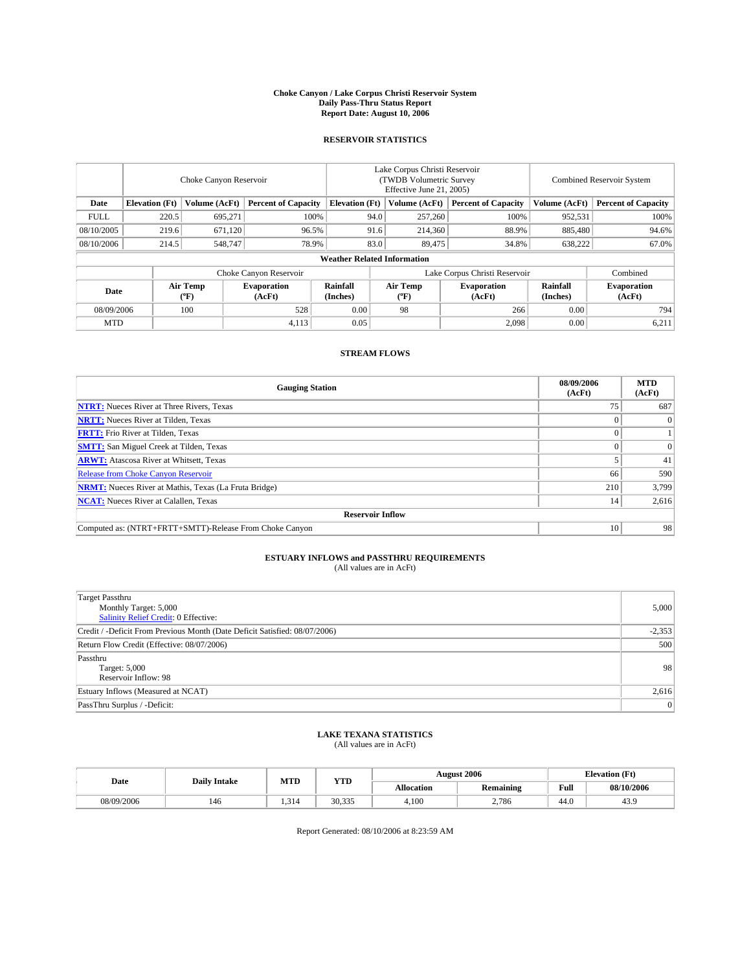#### **Choke Canyon / Lake Corpus Christi Reservoir System Daily Pass-Thru Status Report Report Date: August 10, 2006**

# **RESERVOIR STATISTICS**

|             | Choke Canyon Reservoir |                     |                              |                                    | Lake Corpus Christi Reservoir<br>(TWDB Volumetric Survey)<br>Effective June 21, 2005) |                  |                               |                      | <b>Combined Reservoir System</b> |  |  |
|-------------|------------------------|---------------------|------------------------------|------------------------------------|---------------------------------------------------------------------------------------|------------------|-------------------------------|----------------------|----------------------------------|--|--|
| Date        | <b>Elevation</b> (Ft)  | Volume (AcFt)       | <b>Percent of Capacity</b>   | <b>Elevation</b> (Ft)              |                                                                                       | Volume (AcFt)    | <b>Percent of Capacity</b>    | Volume (AcFt)        | <b>Percent of Capacity</b>       |  |  |
| <b>FULL</b> | 220.5                  | 695,271             | 100%                         |                                    | 94.0                                                                                  | 257,260          | 100%                          | 952,531              | 100%                             |  |  |
| 08/10/2005  | 219.6                  | 671,120             | 96.5%                        |                                    | 91.6                                                                                  | 214,360          | 88.9%                         | 885,480              | 94.6%                            |  |  |
| 08/10/2006  | 214.5                  | 548,747             | 78.9%                        |                                    | 83.0                                                                                  | 89,475           | 34.8%                         | 638,222              | 67.0%                            |  |  |
|             |                        |                     |                              | <b>Weather Related Information</b> |                                                                                       |                  |                               |                      |                                  |  |  |
|             |                        |                     | Choke Canyon Reservoir       |                                    |                                                                                       |                  | Lake Corpus Christi Reservoir |                      | Combined                         |  |  |
| Date        |                        | Air Temp<br>$(^oF)$ | <b>Evaporation</b><br>(AcFt) | Rainfall<br>(Inches)               |                                                                                       | Air Temp<br>(°F) | <b>Evaporation</b><br>(AcFt)  | Rainfall<br>(Inches) | <b>Evaporation</b><br>(AcFt)     |  |  |
| 08/09/2006  |                        | 100                 | 528                          | 0.00                               |                                                                                       | 98               | 266                           | 0.00                 | 794                              |  |  |
| <b>MTD</b>  |                        |                     | 4,113                        | 0.05                               |                                                                                       |                  | 2,098                         | 0.00                 | 6,211                            |  |  |

## **STREAM FLOWS**

| <b>Gauging Station</b>                                       | 08/09/2006<br>(AcFt) | <b>MTD</b><br>(AcFt) |
|--------------------------------------------------------------|----------------------|----------------------|
| <b>NTRT:</b> Nueces River at Three Rivers, Texas             |                      | 687                  |
| <b>NRTT:</b> Nueces River at Tilden, Texas                   |                      | 0                    |
| <b>FRTT:</b> Frio River at Tilden, Texas                     |                      |                      |
| <b>SMTT:</b> San Miguel Creek at Tilden, Texas               |                      | $\Omega$             |
| <b>ARWT:</b> Atascosa River at Whitsett, Texas               |                      | 41                   |
| <b>Release from Choke Canyon Reservoir</b>                   | 66                   | 590                  |
| <b>NRMT:</b> Nueces River at Mathis, Texas (La Fruta Bridge) | 210                  | 3,799                |
| <b>NCAT:</b> Nueces River at Calallen, Texas                 | 14                   | 2,616                |
| <b>Reservoir Inflow</b>                                      |                      |                      |
| Computed as: (NTRT+FRTT+SMTT)-Release From Choke Canyon      | 10                   | 98                   |

# **ESTUARY INFLOWS and PASSTHRU REQUIREMENTS**

(All values are in AcFt)

| <b>Target Passthru</b><br>Monthly Target: 5,000<br><b>Salinity Relief Credit: 0 Effective:</b> | 5,000    |
|------------------------------------------------------------------------------------------------|----------|
| Credit / -Deficit From Previous Month (Date Deficit Satisfied: 08/07/2006)                     | $-2,353$ |
| Return Flow Credit (Effective: 08/07/2006)                                                     | 500      |
| Passthru<br>Target: 5,000<br>Reservoir Inflow: 98                                              | 98       |
| Estuary Inflows (Measured at NCAT)                                                             | 2,616    |
| PassThru Surplus / -Deficit:                                                                   | 0        |

#### **LAKE TEXANA STATISTICS** (All values are in AcFt)

|            | <b>Daily Intake</b> | MTD   | <b>YTD</b> |                   | <b>August 2006</b> |      | <b>Elevation</b> (Ft) |
|------------|---------------------|-------|------------|-------------------|--------------------|------|-----------------------|
| Date       |                     |       |            | <b>Allocation</b> | Remaining          | Full | 08/10/2006            |
| 08/09/2006 | 146                 | 1.314 | 30.335     | 4.100             | 2.786              | 44.0 | 43.9                  |

Report Generated: 08/10/2006 at 8:23:59 AM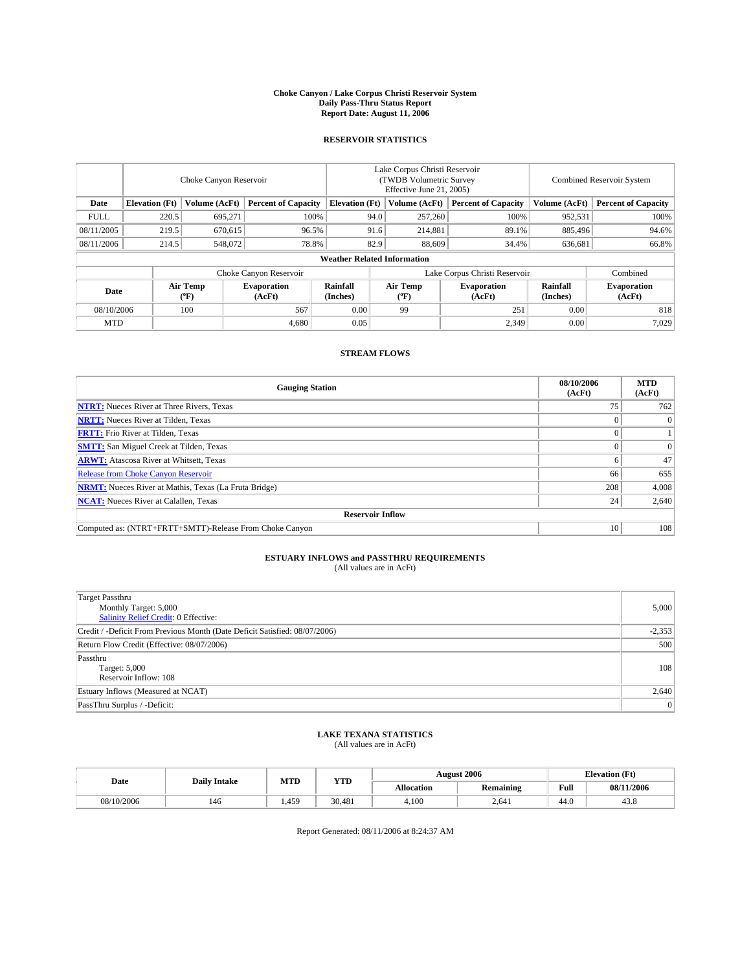#### **Choke Canyon / Lake Corpus Christi Reservoir System Daily Pass-Thru Status Report Report Date: August 11, 2006**

# **RESERVOIR STATISTICS**

| Choke Canyon Reservoir |                                    |                     |                              | Lake Corpus Christi Reservoir<br>(TWDB Volumetric Survey)<br>Effective June 21, 2005) |      |                  |                               | <b>Combined Reservoir System</b> |                              |  |  |  |
|------------------------|------------------------------------|---------------------|------------------------------|---------------------------------------------------------------------------------------|------|------------------|-------------------------------|----------------------------------|------------------------------|--|--|--|
| Date                   | <b>Elevation</b> (Ft)              | Volume (AcFt)       | <b>Percent of Capacity</b>   | <b>Elevation</b> (Ft)                                                                 |      | Volume (AcFt)    | <b>Percent of Capacity</b>    | Volume (AcFt)                    | <b>Percent of Capacity</b>   |  |  |  |
| <b>FULL</b>            | 220.5                              | 695,271             | 100%                         |                                                                                       | 94.0 | 257,260          | 100%                          | 952,531                          | 100%                         |  |  |  |
| 08/11/2005             | 219.5                              | 670,615             | 96.5%                        |                                                                                       | 91.6 | 214,881          | 89.1%                         | 885,496                          | 94.6%                        |  |  |  |
| 08/11/2006             | 214.5                              | 548,072             | 78.8%                        |                                                                                       | 82.9 | 88,609           | 34.4%                         | 636,681                          | 66.8%                        |  |  |  |
|                        | <b>Weather Related Information</b> |                     |                              |                                                                                       |      |                  |                               |                                  |                              |  |  |  |
|                        |                                    |                     | Choke Canyon Reservoir       |                                                                                       |      |                  | Lake Corpus Christi Reservoir |                                  | Combined                     |  |  |  |
| Date                   |                                    | Air Temp<br>$(^oF)$ | <b>Evaporation</b><br>(AcFt) | Rainfall<br>(Inches)                                                                  |      | Air Temp<br>(°F) | <b>Evaporation</b><br>(AcFt)  | Rainfall<br>(Inches)             | <b>Evaporation</b><br>(AcFt) |  |  |  |
| 08/10/2006             |                                    | 100                 | 567                          | 0.00                                                                                  |      | 99               | 251                           | 0.00                             | 818                          |  |  |  |
| <b>MTD</b>             |                                    |                     | 4.680                        | 0.05                                                                                  |      |                  | 2,349                         | 0.00                             | 7,029                        |  |  |  |

# **STREAM FLOWS**

| <b>Gauging Station</b>                                       | 08/10/2006<br>(AcFt) | <b>MTD</b><br>(AcFt) |
|--------------------------------------------------------------|----------------------|----------------------|
| <b>NTRT:</b> Nueces River at Three Rivers, Texas             |                      | 762                  |
| <b>NRTT:</b> Nueces River at Tilden, Texas                   |                      | $\Omega$             |
| <b>FRTT:</b> Frio River at Tilden, Texas                     |                      |                      |
| <b>SMTT:</b> San Miguel Creek at Tilden, Texas               |                      | $\Omega$             |
| <b>ARWT:</b> Atascosa River at Whitsett, Texas               | o                    | 47                   |
| <b>Release from Choke Canyon Reservoir</b>                   | 66                   | 655                  |
| <b>NRMT:</b> Nueces River at Mathis, Texas (La Fruta Bridge) | 208                  | 4,008                |
| <b>NCAT:</b> Nueces River at Calallen, Texas                 | 24                   | 2,640                |
| <b>Reservoir Inflow</b>                                      |                      |                      |
| Computed as: (NTRT+FRTT+SMTT)-Release From Choke Canyon      | 10                   | 108                  |

# **ESTUARY INFLOWS and PASSTHRU REQUIREMENTS**

(All values are in AcFt)

| Target Passthru<br>Monthly Target: 5,000<br>Salinity Relief Credit: 0 Effective: | 5,000    |
|----------------------------------------------------------------------------------|----------|
| Credit / -Deficit From Previous Month (Date Deficit Satisfied: 08/07/2006)       | $-2,353$ |
| Return Flow Credit (Effective: 08/07/2006)                                       | 500      |
| Passthru<br>Target: 5,000<br>Reservoir Inflow: 108                               | 108      |
| Estuary Inflows (Measured at NCAT)                                               | 2,640    |
| PassThru Surplus / -Deficit:                                                     | $\Omega$ |

### **LAKE TEXANA STATISTICS** (All values are in AcFt)

|            | <b>Daily Intake</b> | MTD  | <b>YTD</b> |                   | <b>August 2006</b> |      | <b>Elevation</b> (Ft) |
|------------|---------------------|------|------------|-------------------|--------------------|------|-----------------------|
| Date       |                     |      |            | <b>Allocation</b> | Remaining          | Full | 08/11/2006            |
| 08/10/2006 | 146                 | .459 | 30.481     | 4.100             | 2.641              | 44.0 | 43.8                  |

Report Generated: 08/11/2006 at 8:24:37 AM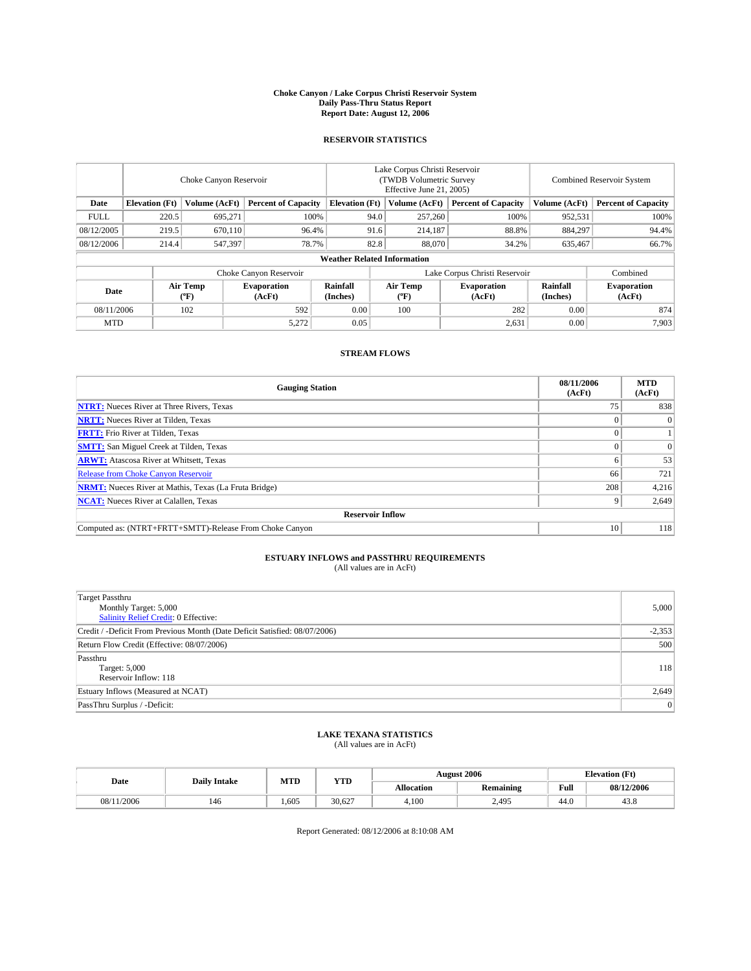#### **Choke Canyon / Lake Corpus Christi Reservoir System Daily Pass-Thru Status Report Report Date: August 12, 2006**

### **RESERVOIR STATISTICS**

|                                                                              | Choke Canyon Reservoir             |                       |                              |                      | Lake Corpus Christi Reservoir<br>(TWDB Volumetric Survey)<br>Effective June 21, 2005) |                  |                               |                      | <b>Combined Reservoir System</b> |  |  |  |  |
|------------------------------------------------------------------------------|------------------------------------|-----------------------|------------------------------|----------------------|---------------------------------------------------------------------------------------|------------------|-------------------------------|----------------------|----------------------------------|--|--|--|--|
| <b>Elevation</b> (Ft)<br>Volume (AcFt)<br><b>Percent of Capacity</b><br>Date |                                    | <b>Elevation</b> (Ft) |                              | Volume (AcFt)        | <b>Percent of Capacity</b>                                                            | Volume (AcFt)    | <b>Percent of Capacity</b>    |                      |                                  |  |  |  |  |
| <b>FULL</b>                                                                  | 220.5                              | 695,271               | 100%                         |                      | 94.0                                                                                  | 257,260          | 100%                          | 952,531              | 100%                             |  |  |  |  |
| 08/12/2005                                                                   | 219.5                              | 670.110               | 96.4%                        |                      | 91.6                                                                                  | 214,187          | 88.8%                         | 884,297              | 94.4%                            |  |  |  |  |
| 08/12/2006                                                                   | 214.4                              | 547,397               | 78.7%                        |                      | 82.8                                                                                  | 88,070           | 34.2%                         | 635,467              | 66.7%                            |  |  |  |  |
|                                                                              | <b>Weather Related Information</b> |                       |                              |                      |                                                                                       |                  |                               |                      |                                  |  |  |  |  |
|                                                                              |                                    |                       | Choke Canyon Reservoir       |                      |                                                                                       |                  | Lake Corpus Christi Reservoir |                      | Combined                         |  |  |  |  |
| Date                                                                         |                                    | Air Temp<br>$(^oF)$   | <b>Evaporation</b><br>(AcFt) | Rainfall<br>(Inches) |                                                                                       | Air Temp<br>(°F) | <b>Evaporation</b><br>(AcFt)  | Rainfall<br>(Inches) | <b>Evaporation</b><br>(AcFt)     |  |  |  |  |
| 08/11/2006                                                                   |                                    | 102                   | 592                          | 0.00                 |                                                                                       | 100              | 282                           | 0.00                 | 874                              |  |  |  |  |
| <b>MTD</b>                                                                   |                                    |                       | 5,272                        | 0.05                 |                                                                                       |                  | 2,631                         | 0.00                 | 7,903                            |  |  |  |  |

## **STREAM FLOWS**

| <b>Gauging Station</b>                                       | 08/11/2006<br>(AcFt) | <b>MTD</b><br>(AcFt) |
|--------------------------------------------------------------|----------------------|----------------------|
| <b>NTRT:</b> Nueces River at Three Rivers, Texas             | 75                   | 838                  |
| <b>NRTT:</b> Nueces River at Tilden, Texas                   |                      | $\Omega$             |
| <b>FRTT:</b> Frio River at Tilden, Texas                     |                      |                      |
| <b>SMTT:</b> San Miguel Creek at Tilden, Texas               |                      | $\Omega$             |
| <b>ARWT:</b> Atascosa River at Whitsett, Texas               |                      | 53                   |
| <b>Release from Choke Canyon Reservoir</b>                   | 66                   | 721                  |
| <b>NRMT:</b> Nueces River at Mathis, Texas (La Fruta Bridge) | 208                  | 4,216                |
| <b>NCAT:</b> Nueces River at Calallen, Texas                 |                      | 2,649                |
| <b>Reservoir Inflow</b>                                      |                      |                      |
| Computed as: (NTRT+FRTT+SMTT)-Release From Choke Canyon      | 10                   | 118                  |

# **ESTUARY INFLOWS and PASSTHRU REQUIREMENTS**

(All values are in AcFt)

| Target Passthru<br>Monthly Target: 5,000<br>Salinity Relief Credit: 0 Effective: | 5,000    |
|----------------------------------------------------------------------------------|----------|
| Credit / -Deficit From Previous Month (Date Deficit Satisfied: 08/07/2006)       | $-2,353$ |
| Return Flow Credit (Effective: 08/07/2006)                                       | 500      |
| Passthru<br>Target: 5,000<br>Reservoir Inflow: 118                               | 118      |
| Estuary Inflows (Measured at NCAT)                                               | 2,649    |
| PassThru Surplus / -Deficit:                                                     | $\Omega$ |

#### **LAKE TEXANA STATISTICS** (All values are in AcFt)

|            | <b>Daily Intake</b> | MTD  | <b>YTD</b> |                   | <b>August 2006</b> |      | <b>Elevation</b> (Ft) |
|------------|---------------------|------|------------|-------------------|--------------------|------|-----------------------|
| Date       |                     |      |            | <b>Allocation</b> | Remaining          | Full | 08/12/2006            |
| 08/11/2006 | 146                 | .605 | 30.627     | 4.100             | 2,495              | 44.0 | 43.8                  |

Report Generated: 08/12/2006 at 8:10:08 AM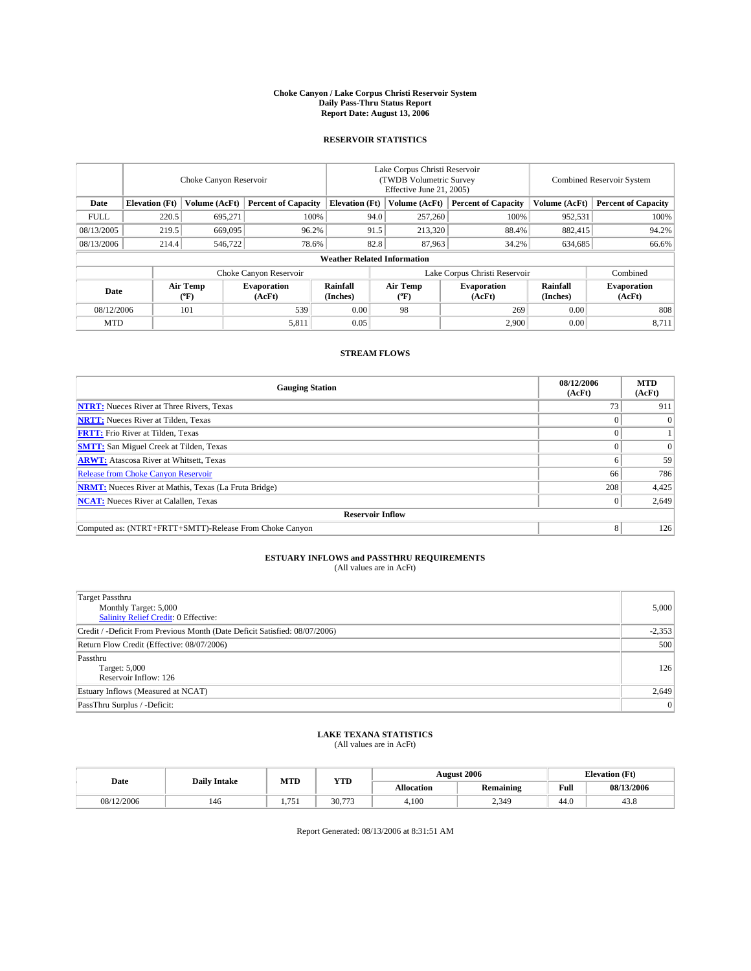#### **Choke Canyon / Lake Corpus Christi Reservoir System Daily Pass-Thru Status Report Report Date: August 13, 2006**

# **RESERVOIR STATISTICS**

|             | Choke Canyon Reservoir             |                     |                              |                       | Lake Corpus Christi Reservoir<br>(TWDB Volumetric Survey)<br>Effective June 21, 2005) |                  |                               |                      | <b>Combined Reservoir System</b> |  |  |  |  |
|-------------|------------------------------------|---------------------|------------------------------|-----------------------|---------------------------------------------------------------------------------------|------------------|-------------------------------|----------------------|----------------------------------|--|--|--|--|
| Date        | <b>Elevation</b> (Ft)              | Volume (AcFt)       | <b>Percent of Capacity</b>   | <b>Elevation</b> (Ft) |                                                                                       | Volume (AcFt)    | <b>Percent of Capacity</b>    | Volume (AcFt)        | <b>Percent of Capacity</b>       |  |  |  |  |
| <b>FULL</b> | 220.5                              | 695,271             | 100%                         |                       | 94.0                                                                                  | 257,260          | 100%                          | 952,531              | 100%                             |  |  |  |  |
| 08/13/2005  | 219.5                              | 669,095             | 96.2%                        |                       | 91.5                                                                                  | 213,320          | 88.4%                         | 882,415              | 94.2%                            |  |  |  |  |
| 08/13/2006  | 214.4                              | 546,722             | 78.6%                        |                       | 82.8                                                                                  | 87,963           | 34.2%                         | 634,685              | 66.6%                            |  |  |  |  |
|             | <b>Weather Related Information</b> |                     |                              |                       |                                                                                       |                  |                               |                      |                                  |  |  |  |  |
|             |                                    |                     | Choke Canyon Reservoir       |                       |                                                                                       |                  | Lake Corpus Christi Reservoir |                      | Combined                         |  |  |  |  |
| Date        |                                    | Air Temp<br>$(^oF)$ | <b>Evaporation</b><br>(AcFt) | Rainfall<br>(Inches)  |                                                                                       | Air Temp<br>(°F) | <b>Evaporation</b><br>(AcFt)  | Rainfall<br>(Inches) | <b>Evaporation</b><br>(AcFt)     |  |  |  |  |
| 08/12/2006  |                                    | 101                 | 539                          | 0.00                  |                                                                                       | 98               | 269                           | 0.00                 | 808                              |  |  |  |  |
| <b>MTD</b>  |                                    |                     | 5,811                        | 0.05                  |                                                                                       |                  | 2,900                         | 0.00                 | 8,711                            |  |  |  |  |

# **STREAM FLOWS**

| <b>Gauging Station</b>                                       | 08/12/2006<br>(AcFt) | <b>MTD</b><br>(AcFt) |
|--------------------------------------------------------------|----------------------|----------------------|
| <b>NTRT:</b> Nueces River at Three Rivers, Texas             |                      | 911                  |
| <b>NRTT:</b> Nueces River at Tilden, Texas                   |                      | $\Omega$             |
| <b>FRTT:</b> Frio River at Tilden, Texas                     |                      |                      |
| <b>SMTT:</b> San Miguel Creek at Tilden, Texas               |                      | $\Omega$             |
| <b>ARWT:</b> Atascosa River at Whitsett, Texas               | o                    | 59                   |
| <b>Release from Choke Canyon Reservoir</b>                   | 66                   | 786                  |
| <b>NRMT:</b> Nueces River at Mathis, Texas (La Fruta Bridge) | 208                  | 4,425                |
| <b>NCAT:</b> Nueces River at Calallen, Texas                 |                      | 2,649                |
| <b>Reservoir Inflow</b>                                      |                      |                      |
| Computed as: (NTRT+FRTT+SMTT)-Release From Choke Canyon      | 8                    | 126                  |

# **ESTUARY INFLOWS and PASSTHRU REQUIREMENTS**

(All values are in AcFt)

| <b>Target Passthru</b><br>Monthly Target: 5,000<br><b>Salinity Relief Credit: 0 Effective:</b> | 5,000    |
|------------------------------------------------------------------------------------------------|----------|
| Credit / -Deficit From Previous Month (Date Deficit Satisfied: 08/07/2006)                     | $-2,353$ |
| Return Flow Credit (Effective: 08/07/2006)                                                     | 500      |
| Passthru<br>Target: 5,000<br>Reservoir Inflow: 126                                             | 126      |
| Estuary Inflows (Measured at NCAT)                                                             | 2,649    |
| PassThru Surplus / -Deficit:                                                                   | 0        |

### **LAKE TEXANA STATISTICS** (All values are in AcFt)

|            | <b>Daily Intake</b> | MTD                            | <b>YTD</b>     |                   | <b>August 2006</b> |      | <b>Elevation</b> (Ft) |
|------------|---------------------|--------------------------------|----------------|-------------------|--------------------|------|-----------------------|
| Date       |                     |                                |                | <b>Allocation</b> | Remaining          | Full | 08/13/2006            |
| 08/12/2006 | 146                 | 75<br>$\overline{\phantom{a}}$ | 30.<br>$- - -$ | 4.100             | 2.349              | 44.0 | 43.8                  |

Report Generated: 08/13/2006 at 8:31:51 AM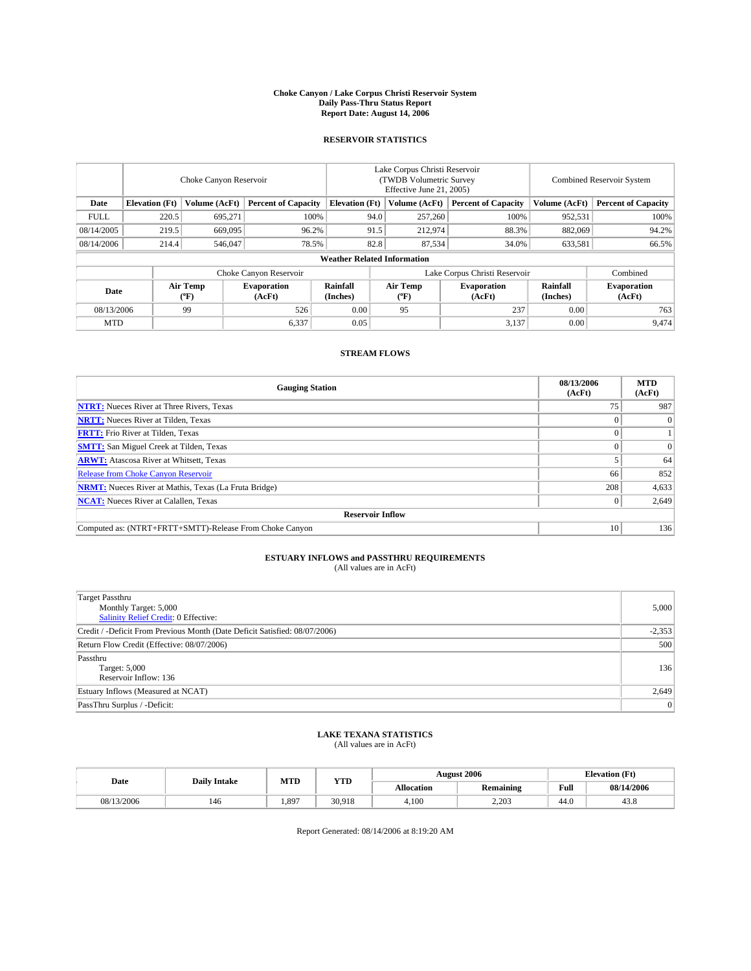#### **Choke Canyon / Lake Corpus Christi Reservoir System Daily Pass-Thru Status Report Report Date: August 14, 2006**

### **RESERVOIR STATISTICS**

|             | Choke Canyon Reservoir             |                     |                              |                       | Lake Corpus Christi Reservoir<br>(TWDB Volumetric Survey)<br>Effective June 21, 2005) |                  |                               |                      | <b>Combined Reservoir System</b> |  |  |  |  |
|-------------|------------------------------------|---------------------|------------------------------|-----------------------|---------------------------------------------------------------------------------------|------------------|-------------------------------|----------------------|----------------------------------|--|--|--|--|
| Date        | <b>Elevation</b> (Ft)              | Volume (AcFt)       | <b>Percent of Capacity</b>   | <b>Elevation</b> (Ft) |                                                                                       | Volume (AcFt)    | <b>Percent of Capacity</b>    | Volume (AcFt)        | <b>Percent of Capacity</b>       |  |  |  |  |
| <b>FULL</b> | 220.5                              | 695,271             | 100%                         |                       | 94.0                                                                                  | 257,260          | 100%                          | 952,531              | 100%                             |  |  |  |  |
| 08/14/2005  | 219.5                              | 669,095             | 96.2%                        |                       | 91.5                                                                                  | 212,974          | 88.3%                         | 882,069              | 94.2%                            |  |  |  |  |
| 08/14/2006  | 214.4                              | 546,047             | 78.5%                        |                       | 82.8                                                                                  | 87,534           | 34.0%                         | 633,581              | 66.5%                            |  |  |  |  |
|             | <b>Weather Related Information</b> |                     |                              |                       |                                                                                       |                  |                               |                      |                                  |  |  |  |  |
|             |                                    |                     | Choke Canyon Reservoir       |                       |                                                                                       |                  | Lake Corpus Christi Reservoir |                      | Combined                         |  |  |  |  |
| Date        |                                    | Air Temp<br>$(^oF)$ | <b>Evaporation</b><br>(AcFt) | Rainfall<br>(Inches)  |                                                                                       | Air Temp<br>(°F) | <b>Evaporation</b><br>(AcFt)  | Rainfall<br>(Inches) | <b>Evaporation</b><br>(AcFt)     |  |  |  |  |
| 08/13/2006  |                                    | 99                  | 526                          | 0.00                  |                                                                                       | 95               | 237                           | 0.00                 | 763                              |  |  |  |  |
| <b>MTD</b>  |                                    |                     | 6,337                        | 0.05                  |                                                                                       |                  | 3,137                         | 0.00                 | 9,474                            |  |  |  |  |

## **STREAM FLOWS**

| <b>Gauging Station</b>                                       | 08/13/2006<br>(AcFt) | <b>MTD</b><br>(AcFt) |
|--------------------------------------------------------------|----------------------|----------------------|
| <b>NTRT:</b> Nueces River at Three Rivers, Texas             |                      | 987                  |
| <b>NRTT:</b> Nueces River at Tilden, Texas                   |                      | $\theta$             |
| <b>FRTT:</b> Frio River at Tilden, Texas                     |                      |                      |
| <b>SMTT:</b> San Miguel Creek at Tilden, Texas               |                      | $\Omega$             |
| <b>ARWT:</b> Atascosa River at Whitsett, Texas               |                      | 64                   |
| <b>Release from Choke Canyon Reservoir</b>                   | 66                   | 852                  |
| <b>NRMT:</b> Nueces River at Mathis, Texas (La Fruta Bridge) | 208                  | 4,633                |
| <b>NCAT:</b> Nueces River at Calallen, Texas                 |                      | 2,649                |
| <b>Reservoir Inflow</b>                                      |                      |                      |
| Computed as: (NTRT+FRTT+SMTT)-Release From Choke Canyon      | 10                   | 136                  |

# **ESTUARY INFLOWS and PASSTHRU REQUIREMENTS**

(All values are in AcFt)

| <b>Target Passthru</b><br>Monthly Target: 5,000<br><b>Salinity Relief Credit: 0 Effective:</b> | 5,000    |
|------------------------------------------------------------------------------------------------|----------|
| Credit / -Deficit From Previous Month (Date Deficit Satisfied: 08/07/2006)                     | $-2,353$ |
| Return Flow Credit (Effective: 08/07/2006)                                                     | 500      |
| Passthru<br>Target: 5,000<br>Reservoir Inflow: 136                                             | 136      |
| Estuary Inflows (Measured at NCAT)                                                             | 2,649    |
| PassThru Surplus / -Deficit:                                                                   | 0        |

#### **LAKE TEXANA STATISTICS** (All values are in AcFt)

|  |            | <b>Daily Intake</b> | MTD   | <b>YTD</b> |            | <b>August 2006</b> |      | <b>Elevation</b> (Ft) |
|--|------------|---------------------|-------|------------|------------|--------------------|------|-----------------------|
|  | Date       |                     |       |            | Allocation | Remaining          | Full | 08/14/2006            |
|  | 08/13/2006 | 146                 | 1.897 | 30.918     | 4.100      | 2.203              | 44.0 | 43.8                  |

Report Generated: 08/14/2006 at 8:19:20 AM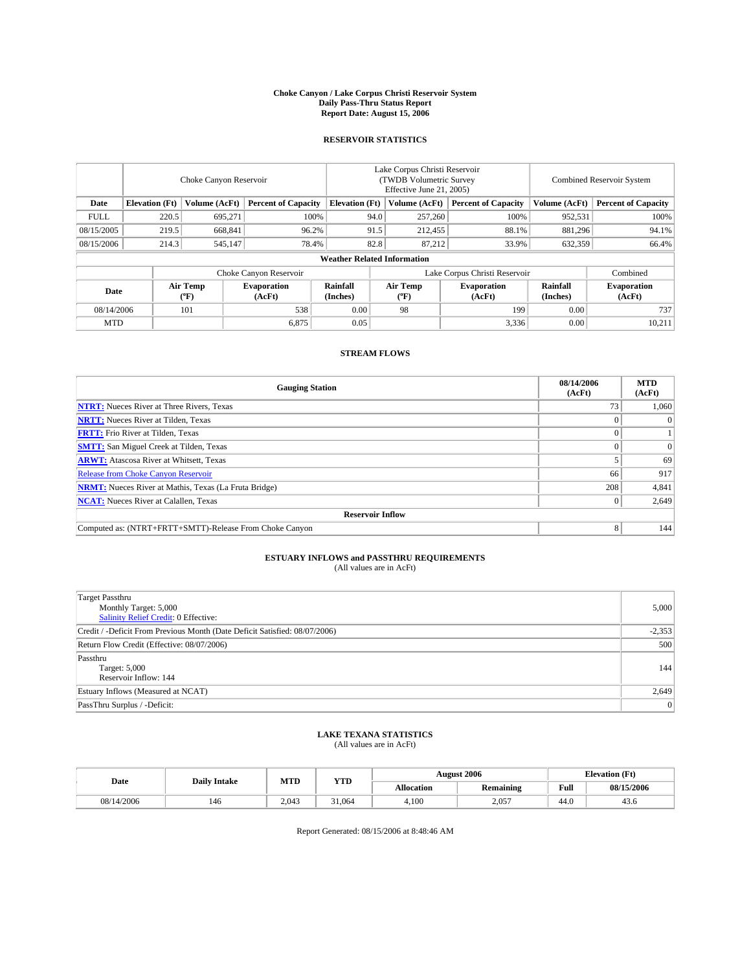#### **Choke Canyon / Lake Corpus Christi Reservoir System Daily Pass-Thru Status Report Report Date: August 15, 2006**

# **RESERVOIR STATISTICS**

| Choke Canyon Reservoir |                                    |                     |                              | Lake Corpus Christi Reservoir<br>(TWDB Volumetric Survey)<br>Effective June 21, 2005) |      |                  |                               | <b>Combined Reservoir System</b> |                              |  |  |  |  |
|------------------------|------------------------------------|---------------------|------------------------------|---------------------------------------------------------------------------------------|------|------------------|-------------------------------|----------------------------------|------------------------------|--|--|--|--|
| Date                   | <b>Elevation</b> (Ft)              | Volume (AcFt)       | <b>Percent of Capacity</b>   | <b>Elevation</b> (Ft)                                                                 |      | Volume (AcFt)    | <b>Percent of Capacity</b>    | Volume (AcFt)                    | <b>Percent of Capacity</b>   |  |  |  |  |
| <b>FULL</b>            | 220.5                              | 695,271             | 100%                         |                                                                                       | 94.0 | 257,260          | 100%                          | 952,531                          | 100%                         |  |  |  |  |
| 08/15/2005             | 219.5                              | 668,841             | 96.2%                        |                                                                                       | 91.5 | 212,455          | 88.1%                         | 881,296                          | 94.1%                        |  |  |  |  |
| 08/15/2006             | 214.3                              | 545,147             | 78.4%                        |                                                                                       | 82.8 | 87,212           | 33.9%                         | 632,359                          | 66.4%                        |  |  |  |  |
|                        | <b>Weather Related Information</b> |                     |                              |                                                                                       |      |                  |                               |                                  |                              |  |  |  |  |
|                        |                                    |                     | Choke Canyon Reservoir       |                                                                                       |      |                  | Lake Corpus Christi Reservoir |                                  | Combined                     |  |  |  |  |
| Date                   |                                    | Air Temp<br>$(^oF)$ | <b>Evaporation</b><br>(AcFt) | Rainfall<br>(Inches)                                                                  |      | Air Temp<br>(°F) | <b>Evaporation</b><br>(AcFt)  | Rainfall<br>(Inches)             | <b>Evaporation</b><br>(AcFt) |  |  |  |  |
| 08/14/2006             |                                    | 101                 | 538                          | 0.00                                                                                  |      | 98               | 199                           | 0.00                             | 737                          |  |  |  |  |
| <b>MTD</b>             |                                    |                     | 6,875                        | 0.05                                                                                  |      |                  | 3,336                         | 0.00                             | 10,211                       |  |  |  |  |

# **STREAM FLOWS**

| <b>Gauging Station</b>                                       | 08/14/2006<br>(AcFt) | <b>MTD</b><br>(AcFt) |
|--------------------------------------------------------------|----------------------|----------------------|
| <b>NTRT:</b> Nueces River at Three Rivers, Texas             |                      | 1,060                |
| <b>NRTT:</b> Nueces River at Tilden, Texas                   |                      | 0                    |
| <b>FRTT:</b> Frio River at Tilden, Texas                     |                      |                      |
| <b>SMTT:</b> San Miguel Creek at Tilden, Texas               |                      | $\Omega$             |
| <b>ARWT:</b> Atascosa River at Whitsett, Texas               |                      | 69                   |
| <b>Release from Choke Canyon Reservoir</b>                   | 66                   | 917                  |
| <b>NRMT:</b> Nueces River at Mathis, Texas (La Fruta Bridge) | 208                  | 4,841                |
| <b>NCAT:</b> Nueces River at Calallen, Texas                 |                      | 2,649                |
| <b>Reservoir Inflow</b>                                      |                      |                      |
| Computed as: (NTRT+FRTT+SMTT)-Release From Choke Canyon      | 8                    | 144                  |

# **ESTUARY INFLOWS and PASSTHRU REQUIREMENTS**

(All values are in AcFt)

| <b>Target Passthru</b><br>Monthly Target: 5,000<br><b>Salinity Relief Credit: 0 Effective:</b> | 5,000    |
|------------------------------------------------------------------------------------------------|----------|
| Credit / -Deficit From Previous Month (Date Deficit Satisfied: 08/07/2006)                     | $-2,353$ |
| Return Flow Credit (Effective: 08/07/2006)                                                     | 500      |
| Passthru<br>Target: 5,000<br>Reservoir Inflow: 144                                             | 144      |
| Estuary Inflows (Measured at NCAT)                                                             | 2,649    |
| PassThru Surplus / -Deficit:                                                                   | 0        |

### **LAKE TEXANA STATISTICS** (All values are in AcFt)

|            | <b>Daily Intake</b> | MTD   | <b>YTD</b> |            | <b>August 2006</b> |      | <b>Elevation</b> (Ft) |
|------------|---------------------|-------|------------|------------|--------------------|------|-----------------------|
| Date       |                     |       |            | Allocation | Remaining          | Full | 08/15/2006            |
| 08/14/2006 | 146                 | 2.043 | 31,064     | 4.100      | 2.057              | 44.0 | 43.0                  |

Report Generated: 08/15/2006 at 8:48:46 AM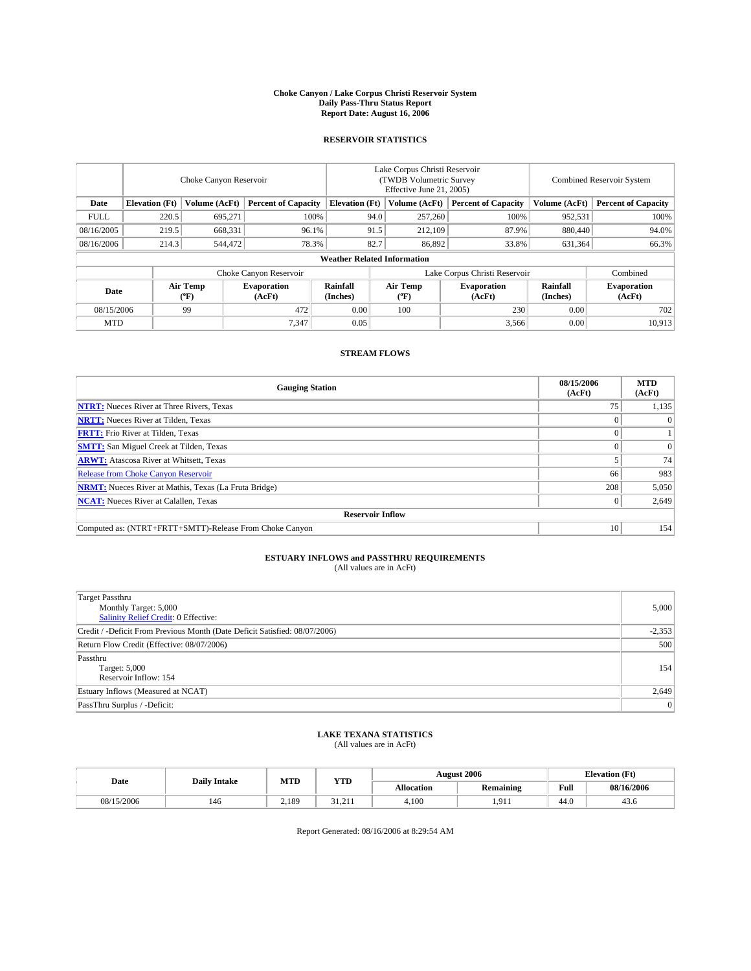#### **Choke Canyon / Lake Corpus Christi Reservoir System Daily Pass-Thru Status Report Report Date: August 16, 2006**

# **RESERVOIR STATISTICS**

|             | Choke Canyon Reservoir             |                     |                              |                       | Lake Corpus Christi Reservoir<br>(TWDB Volumetric Survey)<br>Effective June 21, 2005) |                  |                               | <b>Combined Reservoir System</b> |                              |  |  |
|-------------|------------------------------------|---------------------|------------------------------|-----------------------|---------------------------------------------------------------------------------------|------------------|-------------------------------|----------------------------------|------------------------------|--|--|
| Date        | <b>Elevation</b> (Ft)              | Volume (AcFt)       | <b>Percent of Capacity</b>   | <b>Elevation</b> (Ft) |                                                                                       | Volume (AcFt)    | <b>Percent of Capacity</b>    | Volume (AcFt)                    | <b>Percent of Capacity</b>   |  |  |
| <b>FULL</b> | 220.5                              | 695,271             | 100%                         |                       | 94.0                                                                                  | 257,260          | 100%                          | 952,531                          | 100%                         |  |  |
| 08/16/2005  | 219.5                              | 668,331             | 96.1%                        |                       | 91.5                                                                                  | 212,109          | 87.9%                         | 880,440                          | 94.0%                        |  |  |
| 08/16/2006  | 214.3                              | 544,472             | 78.3%                        |                       | 82.7                                                                                  | 86,892           | 33.8%                         | 631,364                          | 66.3%                        |  |  |
|             | <b>Weather Related Information</b> |                     |                              |                       |                                                                                       |                  |                               |                                  |                              |  |  |
|             |                                    |                     | Choke Canyon Reservoir       |                       |                                                                                       |                  | Lake Corpus Christi Reservoir |                                  | Combined                     |  |  |
| Date        |                                    | Air Temp<br>$(^oF)$ | <b>Evaporation</b><br>(AcFt) | Rainfall<br>(Inches)  |                                                                                       | Air Temp<br>(°F) | <b>Evaporation</b><br>(AcFt)  | Rainfall<br>(Inches)             | <b>Evaporation</b><br>(AcFt) |  |  |
| 08/15/2006  |                                    | 99                  | 472                          | 0.00                  |                                                                                       | 100              | 230                           | 0.00                             | 702                          |  |  |
| <b>MTD</b>  |                                    |                     | 7,347                        | 0.05                  |                                                                                       |                  | 3,566                         | 0.00                             | 10,913                       |  |  |

## **STREAM FLOWS**

| <b>Gauging Station</b>                                       | 08/15/2006<br>(AcFt) | <b>MTD</b><br>(AcFt) |
|--------------------------------------------------------------|----------------------|----------------------|
| <b>NTRT:</b> Nueces River at Three Rivers, Texas             |                      | 1,135                |
| <b>NRTT:</b> Nueces River at Tilden, Texas                   |                      | 0                    |
| <b>FRTT:</b> Frio River at Tilden, Texas                     |                      |                      |
| <b>SMTT:</b> San Miguel Creek at Tilden, Texas               |                      | $\Omega$             |
| <b>ARWT:</b> Atascosa River at Whitsett, Texas               |                      | 74                   |
| <b>Release from Choke Canyon Reservoir</b>                   | 66                   | 983                  |
| <b>NRMT:</b> Nueces River at Mathis, Texas (La Fruta Bridge) | 208                  | 5,050                |
| <b>NCAT:</b> Nueces River at Calallen, Texas                 |                      | 2,649                |
| <b>Reservoir Inflow</b>                                      |                      |                      |
| Computed as: (NTRT+FRTT+SMTT)-Release From Choke Canyon      | 10                   | 154                  |

# **ESTUARY INFLOWS and PASSTHRU REQUIREMENTS**

(All values are in AcFt)

| <b>Target Passthru</b><br>Monthly Target: 5,000<br><b>Salinity Relief Credit: 0 Effective:</b> | 5,000    |
|------------------------------------------------------------------------------------------------|----------|
| Credit / -Deficit From Previous Month (Date Deficit Satisfied: 08/07/2006)                     | $-2,353$ |
| Return Flow Credit (Effective: 08/07/2006)                                                     | 500      |
| Passthru<br>Target: 5,000<br>Reservoir Inflow: 154                                             | 154      |
| Estuary Inflows (Measured at NCAT)                                                             | 2,649    |
| PassThru Surplus / -Deficit:                                                                   | 0        |

### **LAKE TEXANA STATISTICS** (All values are in AcFt)

|  |            | <b>Daily Intake</b> | MTD   | <b>YTD</b>               |            | <b>August 2006</b>                         |      | <b>Elevation</b> (Ft) |
|--|------------|---------------------|-------|--------------------------|------------|--------------------------------------------|------|-----------------------|
|  | Date       |                     |       |                          | Allocation | Remaining                                  | Full | 08/16/2006            |
|  | 08/15/2006 | 146                 | 2.189 | 21<br>211<br>- - - - - - | 4.100      | $^{\Omega}$<br><b>1.</b> <i>1</i> <b>1</b> | 44.0 | 43.0                  |

Report Generated: 08/16/2006 at 8:29:54 AM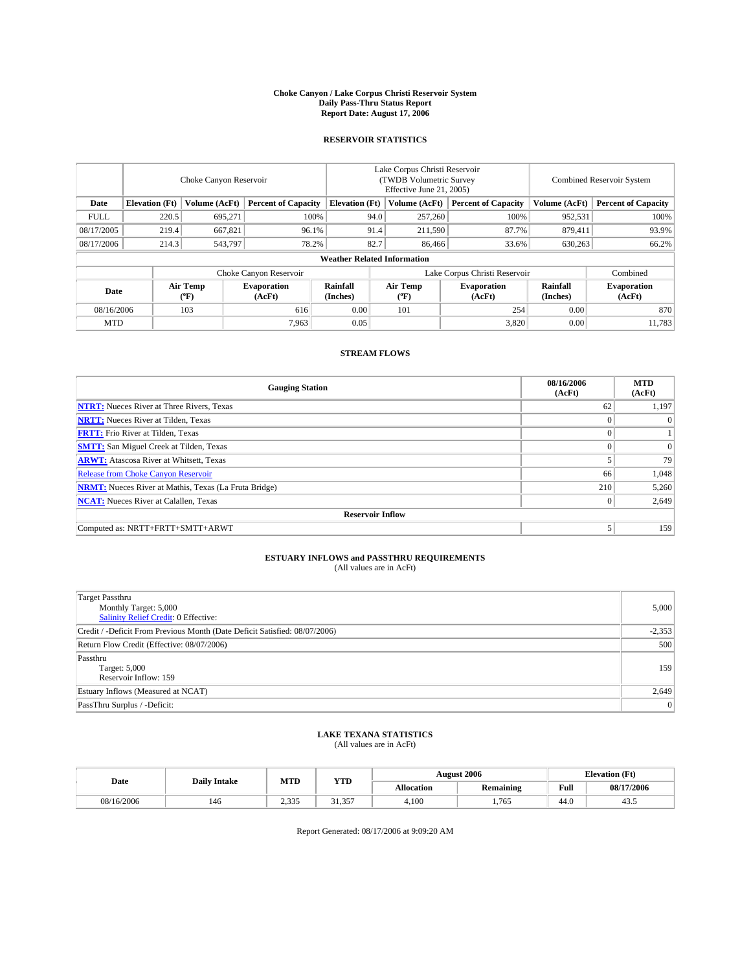#### **Choke Canyon / Lake Corpus Christi Reservoir System Daily Pass-Thru Status Report Report Date: August 17, 2006**

### **RESERVOIR STATISTICS**

|             | Choke Canyon Reservoir             |                     |                              |                       | Lake Corpus Christi Reservoir<br>(TWDB Volumetric Survey)<br>Effective June 21, 2005) |                  |                               | <b>Combined Reservoir System</b> |                              |  |  |
|-------------|------------------------------------|---------------------|------------------------------|-----------------------|---------------------------------------------------------------------------------------|------------------|-------------------------------|----------------------------------|------------------------------|--|--|
| Date        | <b>Elevation</b> (Ft)              | Volume (AcFt)       | <b>Percent of Capacity</b>   | <b>Elevation</b> (Ft) |                                                                                       | Volume (AcFt)    | <b>Percent of Capacity</b>    | Volume (AcFt)                    | <b>Percent of Capacity</b>   |  |  |
| <b>FULL</b> | 220.5                              | 695,271             |                              | 100%                  | 94.0                                                                                  | 257,260          | 100%                          | 952,531                          | 100%                         |  |  |
| 08/17/2005  | 219.4                              | 667,821             | 96.1%                        |                       | 91.4                                                                                  | 211,590          | 87.7%                         | 879,411                          | 93.9%                        |  |  |
| 08/17/2006  | 214.3                              | 543,797             | 78.2%                        |                       | 82.7                                                                                  | 86,466           | 33.6%                         | 630,263                          | 66.2%                        |  |  |
|             | <b>Weather Related Information</b> |                     |                              |                       |                                                                                       |                  |                               |                                  |                              |  |  |
|             |                                    |                     | Choke Canyon Reservoir       |                       |                                                                                       |                  | Lake Corpus Christi Reservoir |                                  | Combined                     |  |  |
| Date        |                                    | Air Temp<br>$(^oF)$ | <b>Evaporation</b><br>(AcFt) | Rainfall<br>(Inches)  |                                                                                       | Air Temp<br>(°F) | <b>Evaporation</b><br>(AcFt)  | Rainfall<br>(Inches)             | <b>Evaporation</b><br>(AcFt) |  |  |
| 08/16/2006  |                                    | 103                 | 616                          | 0.00                  |                                                                                       | 101              | 254                           | 0.00                             | 870                          |  |  |
| <b>MTD</b>  |                                    |                     | 7,963                        | 0.05                  |                                                                                       |                  | 3,820                         | 0.00                             | 11,783                       |  |  |

## **STREAM FLOWS**

| <b>Gauging Station</b>                                       | 08/16/2006<br>(AcFt) | <b>MTD</b><br>(AcFt) |
|--------------------------------------------------------------|----------------------|----------------------|
| <b>NTRT:</b> Nueces River at Three Rivers, Texas             | 62                   | 1,197                |
| <b>NRTT:</b> Nueces River at Tilden, Texas                   | $\Omega$             | $\Omega$             |
| <b>FRTT:</b> Frio River at Tilden, Texas                     |                      |                      |
| <b>SMTT:</b> San Miguel Creek at Tilden, Texas               | $\Omega$             | $\Omega$             |
| <b>ARWT:</b> Atascosa River at Whitsett, Texas               |                      | 79                   |
| <b>Release from Choke Canyon Reservoir</b>                   | 66                   | 1,048                |
| <b>NRMT:</b> Nueces River at Mathis, Texas (La Fruta Bridge) | 210                  | 5,260                |
| <b>NCAT:</b> Nueces River at Calallen, Texas                 | $\Omega$             | 2,649                |
| <b>Reservoir Inflow</b>                                      |                      |                      |
| Computed as: NRTT+FRTT+SMTT+ARWT                             |                      | 159                  |

#### **ESTUARY INFLOWS and PASSTHRU REQUIREMENTS** (All values are in AcFt)

| <b>Target Passthru</b>                                                     |          |
|----------------------------------------------------------------------------|----------|
| Monthly Target: 5,000                                                      | 5,000    |
| Salinity Relief Credit: 0 Effective:                                       |          |
| Credit / -Deficit From Previous Month (Date Deficit Satisfied: 08/07/2006) | $-2,353$ |
| Return Flow Credit (Effective: 08/07/2006)                                 | 500      |
| Passthru                                                                   |          |
| Target: 5,000                                                              | 159      |
| Reservoir Inflow: 159                                                      |          |
| Estuary Inflows (Measured at NCAT)                                         | 2,649    |
| PassThru Surplus / -Deficit:                                               | 0        |

#### **LAKE TEXANA STATISTICS** (All values are in AcFt)

|  |            | <b>Daily Intake</b> | MTD             | <b>YTD</b>                 |                   | <b>August 2006</b> |      | <b>Elevation</b> (Ft) |
|--|------------|---------------------|-----------------|----------------------------|-------------------|--------------------|------|-----------------------|
|  | Date       |                     |                 |                            | <b>Allocation</b> | Remaining          | Full | 08/17/2006            |
|  | 08/16/2006 | 146                 | 2335<br>ر ر د د | 357<br>$^{\circ}$<br>31.33 | 4.100             | 1.765              | 44.0 | т.                    |

Report Generated: 08/17/2006 at 9:09:20 AM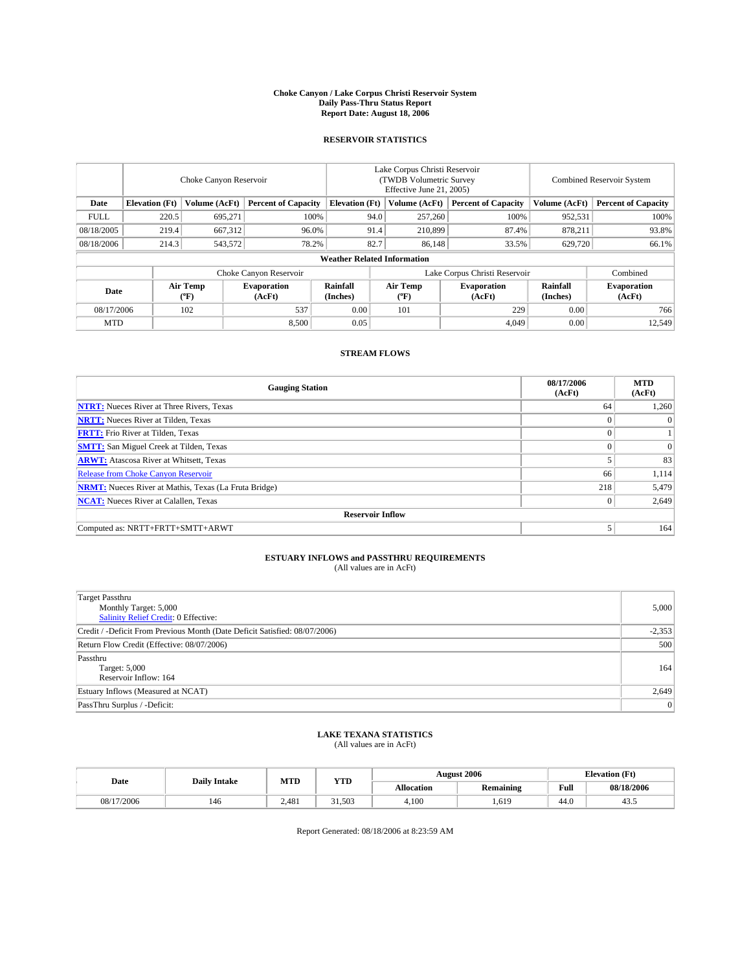#### **Choke Canyon / Lake Corpus Christi Reservoir System Daily Pass-Thru Status Report Report Date: August 18, 2006**

### **RESERVOIR STATISTICS**

|             | Choke Canyon Reservoir                                              |                     |                              |                       | Lake Corpus Christi Reservoir<br>(TWDB Volumetric Survey)<br>Effective June 21, 2005) |                  |                              |                      | <b>Combined Reservoir System</b> |  |  |
|-------------|---------------------------------------------------------------------|---------------------|------------------------------|-----------------------|---------------------------------------------------------------------------------------|------------------|------------------------------|----------------------|----------------------------------|--|--|
| Date        | <b>Elevation</b> (Ft)                                               | Volume (AcFt)       | <b>Percent of Capacity</b>   | <b>Elevation</b> (Ft) |                                                                                       | Volume (AcFt)    | <b>Percent of Capacity</b>   | Volume (AcFt)        | <b>Percent of Capacity</b>       |  |  |
| <b>FULL</b> | 220.5                                                               | 695,271             | 100%                         |                       | 94.0                                                                                  | 257,260          | 100%                         | 952,531              | 100%                             |  |  |
| 08/18/2005  | 219.4                                                               | 667,312             | 96.0%                        |                       | 91.4                                                                                  | 210,899          | 87.4%                        | 878,211              | 93.8%                            |  |  |
| 08/18/2006  | 214.3                                                               | 543,572             | 78.2%                        |                       | 82.7                                                                                  | 86,148           | 33.5%                        | 629,720              | 66.1%                            |  |  |
|             | <b>Weather Related Information</b>                                  |                     |                              |                       |                                                                                       |                  |                              |                      |                                  |  |  |
|             | Lake Corpus Christi Reservoir<br>Combined<br>Choke Canyon Reservoir |                     |                              |                       |                                                                                       |                  |                              |                      |                                  |  |  |
| Date        |                                                                     | Air Temp<br>$(^oF)$ | <b>Evaporation</b><br>(AcFt) | Rainfall<br>(Inches)  |                                                                                       | Air Temp<br>(°F) | <b>Evaporation</b><br>(AcFt) | Rainfall<br>(Inches) | <b>Evaporation</b><br>(AcFt)     |  |  |
| 08/17/2006  |                                                                     | 102                 | 537                          | 0.00                  |                                                                                       | 101              | 229                          | 0.00                 | 766                              |  |  |
| <b>MTD</b>  |                                                                     |                     | 8,500                        | 0.05                  |                                                                                       |                  | 4.049                        | 0.00                 | 12,549                           |  |  |

# **STREAM FLOWS**

| <b>Gauging Station</b>                                       | 08/17/2006<br>(AcFt) | <b>MTD</b><br>(AcFt) |
|--------------------------------------------------------------|----------------------|----------------------|
| <b>NTRT:</b> Nueces River at Three Rivers, Texas             | 64                   | 1,260                |
| <b>NRTT:</b> Nueces River at Tilden, Texas                   | $\Omega$             | $\Omega$             |
| <b>FRTT:</b> Frio River at Tilden, Texas                     | $\theta$             |                      |
| <b>SMTT:</b> San Miguel Creek at Tilden, Texas               | $\Omega$             | $\Omega$             |
| <b>ARWT:</b> Atascosa River at Whitsett, Texas               |                      | 83                   |
| <b>Release from Choke Canyon Reservoir</b>                   | 66                   | 1,114                |
| <b>NRMT:</b> Nueces River at Mathis, Texas (La Fruta Bridge) | 218                  | 5,479                |
| <b>NCAT:</b> Nueces River at Calallen, Texas                 | $\mathbf{0}$         | 2,649                |
| <b>Reservoir Inflow</b>                                      |                      |                      |
| Computed as: NRTT+FRTT+SMTT+ARWT                             | 5                    | 164                  |

#### **ESTUARY INFLOWS and PASSTHRU REQUIREMENTS** (All values are in AcFt)

| <b>Target Passthru</b>                                                     |          |
|----------------------------------------------------------------------------|----------|
| Monthly Target: 5,000                                                      | 5,000    |
| Salinity Relief Credit: 0 Effective:                                       |          |
| Credit / -Deficit From Previous Month (Date Deficit Satisfied: 08/07/2006) | $-2,353$ |
| Return Flow Credit (Effective: 08/07/2006)                                 | 500      |
| Passthru                                                                   |          |
| Target: 5,000                                                              | 164      |
| Reservoir Inflow: 164                                                      |          |
| Estuary Inflows (Measured at NCAT)                                         | 2,649    |
| PassThru Surplus / -Deficit:                                               | 0        |

#### **LAKE TEXANA STATISTICS** (All values are in AcFt)

|            | <b>Daily Intake</b> | MTD   | <b>YTD</b> |            | <b>August 2006</b> |                                         | <b>Elevation</b> (Ft) |
|------------|---------------------|-------|------------|------------|--------------------|-----------------------------------------|-----------------------|
| Date       |                     |       |            | Allocation | Remaining          | Full<br>the contract of the contract of | 08/18/2006            |
| 08/17/2006 | 146                 | 2.481 | 31.503     | 4.100      | 619                | 44.0                                    | د.د+                  |

Report Generated: 08/18/2006 at 8:23:59 AM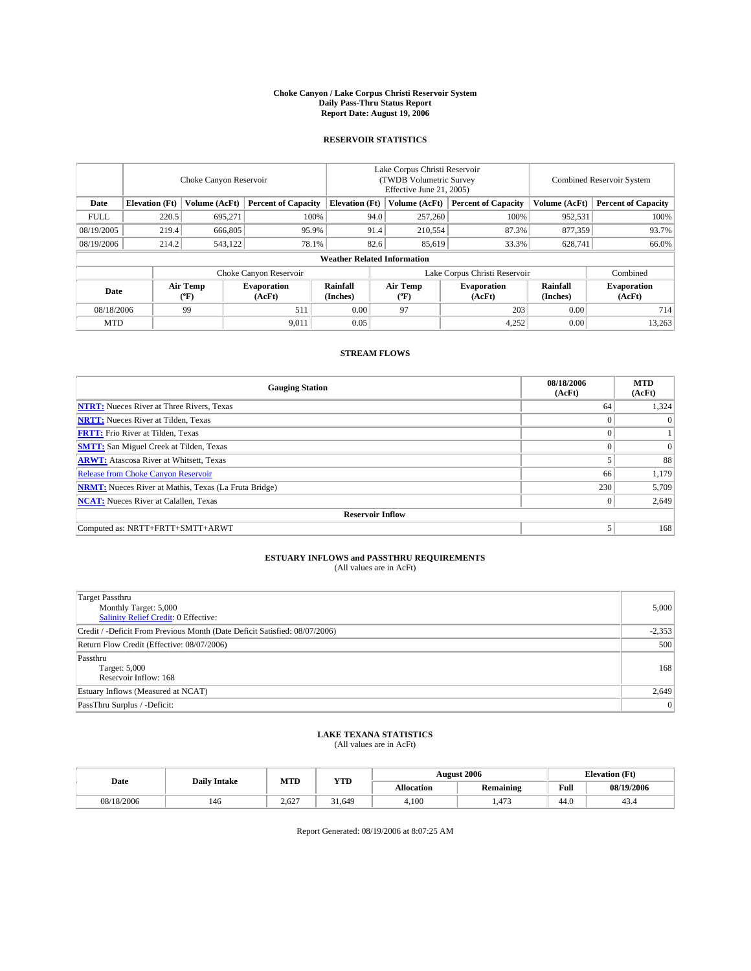#### **Choke Canyon / Lake Corpus Christi Reservoir System Daily Pass-Thru Status Report Report Date: August 19, 2006**

# **RESERVOIR STATISTICS**

|                                                                              | Choke Canyon Reservoir |                       |                              |                                    | Lake Corpus Christi Reservoir<br>(TWDB Volumetric Survey<br>Effective June 21, 2005) |                  |                               |                      | <b>Combined Reservoir System</b> |  |  |
|------------------------------------------------------------------------------|------------------------|-----------------------|------------------------------|------------------------------------|--------------------------------------------------------------------------------------|------------------|-------------------------------|----------------------|----------------------------------|--|--|
| <b>Elevation</b> (Ft)<br>Volume (AcFt)<br><b>Percent of Capacity</b><br>Date |                        | <b>Elevation (Ft)</b> |                              | Volume (AcFt)                      | <b>Percent of Capacity</b>                                                           | Volume (AcFt)    | <b>Percent of Capacity</b>    |                      |                                  |  |  |
| <b>FULL</b>                                                                  | 220.5                  | 695,271               | 100%                         |                                    | 94.0                                                                                 | 257,260          | 100%                          | 952,531              | 100%                             |  |  |
| 08/19/2005                                                                   | 219.4                  | 666,805               | 95.9%                        |                                    | 91.4                                                                                 | 210,554          | 87.3%                         | 877,359              | 93.7%                            |  |  |
| 08/19/2006                                                                   | 214.2                  | 543,122               | 78.1%                        |                                    | 82.6                                                                                 | 85,619           | 33.3%                         | 628,741              | 66.0%                            |  |  |
|                                                                              |                        |                       |                              | <b>Weather Related Information</b> |                                                                                      |                  |                               |                      |                                  |  |  |
|                                                                              |                        |                       | Choke Canyon Reservoir       |                                    |                                                                                      |                  | Lake Corpus Christi Reservoir |                      | Combined                         |  |  |
| Date                                                                         |                        | Air Temp<br>(°F)      | <b>Evaporation</b><br>(AcFt) | Rainfall<br>(Inches)               |                                                                                      | Air Temp<br>(°F) | <b>Evaporation</b><br>(AcFt)  | Rainfall<br>(Inches) | <b>Evaporation</b><br>(AcFt)     |  |  |
| 08/18/2006                                                                   |                        | 99                    | 511                          | 0.00                               |                                                                                      | 97               | 203                           | 0.00                 | 714                              |  |  |
| <b>MTD</b>                                                                   |                        |                       | 9,011                        | 0.05                               |                                                                                      |                  | 4,252                         | 0.00                 | 13,263                           |  |  |

## **STREAM FLOWS**

| <b>Gauging Station</b>                                       | 08/18/2006<br>(AcFt) | <b>MTD</b><br>(AcFt) |
|--------------------------------------------------------------|----------------------|----------------------|
| <b>NTRT:</b> Nueces River at Three Rivers, Texas             | 64                   | 1,324                |
| <b>NRTT:</b> Nueces River at Tilden, Texas                   | $\theta$             | $\Omega$             |
| <b>FRTT:</b> Frio River at Tilden, Texas                     | $\theta$             |                      |
| <b>SMTT:</b> San Miguel Creek at Tilden, Texas               | $\sqrt{ }$           | $\Omega$             |
| <b>ARWT:</b> Atascosa River at Whitsett, Texas               | 5                    | 88                   |
| <b>Release from Choke Canyon Reservoir</b>                   | 66                   | 1,179                |
| <b>NRMT:</b> Nueces River at Mathis, Texas (La Fruta Bridge) | 230                  | 5,709                |
| <b>NCAT:</b> Nueces River at Calallen, Texas                 | $\mathbf{0}$         | 2,649                |
| <b>Reservoir Inflow</b>                                      |                      |                      |
| Computed as: NRTT+FRTT+SMTT+ARWT                             | 5                    | 168                  |

#### **ESTUARY INFLOWS and PASSTHRU REQUIREMENTS** (All values are in AcFt)

| <b>Target Passthru</b><br>Monthly Target: 5,000<br>Salinity Relief Credit: 0 Effective: | 5,000    |
|-----------------------------------------------------------------------------------------|----------|
| Credit / -Deficit From Previous Month (Date Deficit Satisfied: 08/07/2006)              | $-2,353$ |
| Return Flow Credit (Effective: 08/07/2006)                                              | 500      |
| Passthru<br>Target: 5,000<br>Reservoir Inflow: 168                                      | 168      |
| Estuary Inflows (Measured at NCAT)                                                      | 2,649    |
| PassThru Surplus / -Deficit:                                                            | 0        |

#### **LAKE TEXANA STATISTICS** (All values are in AcFt)

|            | <b>Daily Intake</b> | MTD   | <b>YTD</b> |            | <b>August 2006</b> | <b>Elevation</b> (Ft) |            |
|------------|---------------------|-------|------------|------------|--------------------|-----------------------|------------|
| Date       |                     |       |            | Allocation | Remaining          | Full<br>$\sim$ $\sim$ | 08/19/2006 |
| 08/18/2006 | 146                 | 2.627 | 31.649     | 4.100      | 472                | 44.0                  | 43.4       |

Report Generated: 08/19/2006 at 8:07:25 AM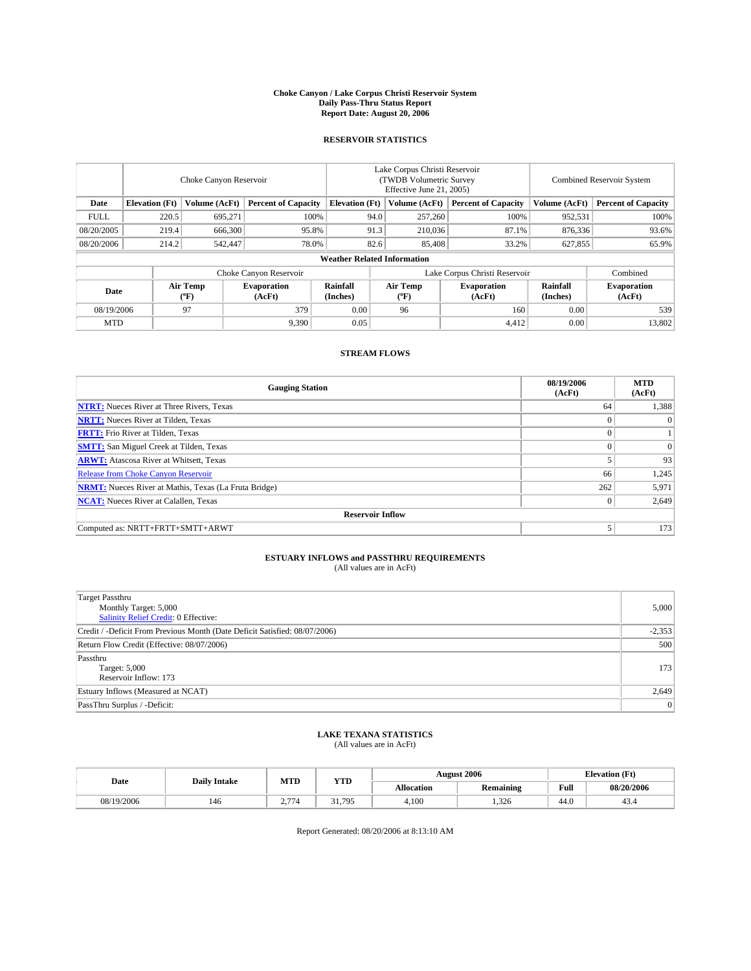#### **Choke Canyon / Lake Corpus Christi Reservoir System Daily Pass-Thru Status Report Report Date: August 20, 2006**

### **RESERVOIR STATISTICS**

|                                                                              | Choke Canyon Reservoir |                       |                              |                                    | Lake Corpus Christi Reservoir<br>(TWDB Volumetric Survey<br>Effective June 21, 2005) |                  |                               |                      | <b>Combined Reservoir System</b> |  |  |
|------------------------------------------------------------------------------|------------------------|-----------------------|------------------------------|------------------------------------|--------------------------------------------------------------------------------------|------------------|-------------------------------|----------------------|----------------------------------|--|--|
| <b>Elevation</b> (Ft)<br>Volume (AcFt)<br><b>Percent of Capacity</b><br>Date |                        | <b>Elevation (Ft)</b> |                              | Volume (AcFt)                      | <b>Percent of Capacity</b>                                                           | Volume (AcFt)    | <b>Percent of Capacity</b>    |                      |                                  |  |  |
| <b>FULL</b>                                                                  | 220.5                  | 695,271               |                              | 100%                               | 94.0                                                                                 | 257,260          | 100%                          | 952,531              | 100%                             |  |  |
| 08/20/2005                                                                   | 219.4                  | 666,300               | 95.8%                        |                                    | 91.3                                                                                 | 210,036          | 87.1%                         | 876,336              | 93.6%                            |  |  |
| 08/20/2006                                                                   | 214.2                  | 542,447               | 78.0%                        |                                    | 82.6                                                                                 | 85,408           | 33.2%                         | 627,855              | 65.9%                            |  |  |
|                                                                              |                        |                       |                              | <b>Weather Related Information</b> |                                                                                      |                  |                               |                      |                                  |  |  |
|                                                                              |                        |                       | Choke Canyon Reservoir       |                                    |                                                                                      |                  | Lake Corpus Christi Reservoir |                      | Combined                         |  |  |
| Date                                                                         |                        | Air Temp<br>(°F)      | <b>Evaporation</b><br>(AcFt) | Rainfall<br>(Inches)               |                                                                                      | Air Temp<br>(°F) | <b>Evaporation</b><br>(AcFt)  | Rainfall<br>(Inches) | <b>Evaporation</b><br>(AcFt)     |  |  |
| 379<br>08/19/2006<br>97                                                      |                        | 0.00                  |                              | 96                                 | 160                                                                                  | 0.00             | 539                           |                      |                                  |  |  |
| <b>MTD</b>                                                                   |                        |                       | 9,390                        | 0.05                               |                                                                                      |                  | 4,412                         | 0.00                 | 13,802                           |  |  |

## **STREAM FLOWS**

| <b>Gauging Station</b>                                       | 08/19/2006<br>(AcFt) | <b>MTD</b><br>(AcFt) |
|--------------------------------------------------------------|----------------------|----------------------|
| <b>NTRT:</b> Nueces River at Three Rivers, Texas             | 64                   | 1,388                |
| <b>NRTT:</b> Nueces River at Tilden, Texas                   | $\Omega$             | $\Omega$             |
| <b>FRTT:</b> Frio River at Tilden, Texas                     | $\theta$             |                      |
| <b>SMTT:</b> San Miguel Creek at Tilden, Texas               | $\Omega$             | $\Omega$             |
| <b>ARWT:</b> Atascosa River at Whitsett, Texas               |                      | 93                   |
| <b>Release from Choke Canyon Reservoir</b>                   | 66                   | 1,245                |
| <b>NRMT:</b> Nueces River at Mathis, Texas (La Fruta Bridge) | 262                  | 5,971                |
| <b>NCAT:</b> Nueces River at Calallen, Texas                 | $\mathbf{0}$         | 2,649                |
| <b>Reservoir Inflow</b>                                      |                      |                      |
| Computed as: NRTT+FRTT+SMTT+ARWT                             | 5                    | 173                  |

#### **ESTUARY INFLOWS and PASSTHRU REQUIREMENTS** (All values are in AcFt)

| <b>Target Passthru</b><br>Monthly Target: 5,000<br>Salinity Relief Credit: 0 Effective: | 5,000    |
|-----------------------------------------------------------------------------------------|----------|
| Credit / -Deficit From Previous Month (Date Deficit Satisfied: 08/07/2006)              | $-2,353$ |
| Return Flow Credit (Effective: 08/07/2006)                                              | 500      |
| Passthru<br>Target: 5,000<br>Reservoir Inflow: 173                                      | 173      |
| Estuary Inflows (Measured at NCAT)                                                      | 2,649    |
| PassThru Surplus / -Deficit:                                                            | 0        |

#### **LAKE TEXANA STATISTICS** (All values are in AcFt)

|  |            |     | MTD<br><b>YTD</b><br><b>Daily Intake</b> |        |                   | <b>August 2006</b> | <b>Elevation</b> (Ft) |            |
|--|------------|-----|------------------------------------------|--------|-------------------|--------------------|-----------------------|------------|
|  | Date       |     |                                          |        | <b>Allocation</b> | Remaining          | Full                  | 08/20/2006 |
|  | 08/19/2006 | 146 | 5.77<br><u>.</u>                         | 31.795 | 4.100             | 1.326              | 44.0                  | 43.4       |

Report Generated: 08/20/2006 at 8:13:10 AM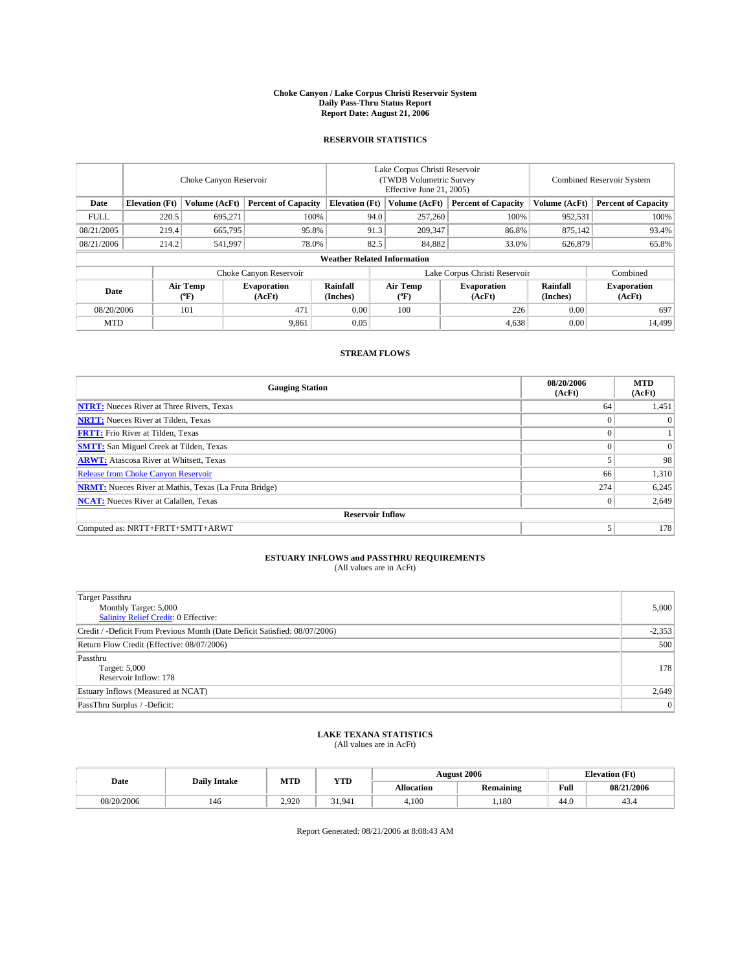#### **Choke Canyon / Lake Corpus Christi Reservoir System Daily Pass-Thru Status Report Report Date: August 21, 2006**

### **RESERVOIR STATISTICS**

|                                                                              | Choke Canyon Reservoir |                       |                              |                                    | Lake Corpus Christi Reservoir<br>(TWDB Volumetric Survey<br>Effective June 21, 2005) |                  |                               |                      | <b>Combined Reservoir System</b> |  |  |
|------------------------------------------------------------------------------|------------------------|-----------------------|------------------------------|------------------------------------|--------------------------------------------------------------------------------------|------------------|-------------------------------|----------------------|----------------------------------|--|--|
| <b>Elevation</b> (Ft)<br>Volume (AcFt)<br><b>Percent of Capacity</b><br>Date |                        | <b>Elevation (Ft)</b> |                              | Volume (AcFt)                      | <b>Percent of Capacity</b>                                                           | Volume (AcFt)    | <b>Percent of Capacity</b>    |                      |                                  |  |  |
| <b>FULL</b>                                                                  | 220.5                  | 695,271               |                              | 100%                               | 94.0                                                                                 | 257,260          | 100%                          | 952,531              | 100%                             |  |  |
| 08/21/2005                                                                   | 219.4                  | 665,795               | 95.8%                        |                                    | 91.3                                                                                 | 209,347          | 86.8%                         | 875,142              | 93.4%                            |  |  |
| 08/21/2006                                                                   | 214.2                  | 541,997               | 78.0%                        |                                    | 82.5                                                                                 | 84,882           | 33.0%                         | 626,879              | 65.8%                            |  |  |
|                                                                              |                        |                       |                              | <b>Weather Related Information</b> |                                                                                      |                  |                               |                      |                                  |  |  |
|                                                                              |                        |                       | Choke Canyon Reservoir       |                                    |                                                                                      |                  | Lake Corpus Christi Reservoir |                      | Combined                         |  |  |
| Date                                                                         |                        | Air Temp<br>(°F)      | <b>Evaporation</b><br>(AcFt) | Rainfall<br>(Inches)               |                                                                                      | Air Temp<br>(°F) | <b>Evaporation</b><br>(AcFt)  | Rainfall<br>(Inches) | <b>Evaporation</b><br>(AcFt)     |  |  |
| 471<br>08/20/2006<br>101                                                     |                        | 0.00                  |                              | 100                                | 226                                                                                  | 0.00             | 697                           |                      |                                  |  |  |
| <b>MTD</b>                                                                   |                        |                       | 9,861                        | 0.05                               |                                                                                      |                  | 4,638                         | 0.00                 | 14,499                           |  |  |

## **STREAM FLOWS**

| <b>Gauging Station</b>                                       | 08/20/2006<br>(AcFt) | <b>MTD</b><br>(AcFt) |
|--------------------------------------------------------------|----------------------|----------------------|
| <b>NTRT:</b> Nueces River at Three Rivers, Texas             | 64                   | 1,451                |
| <b>NRTT:</b> Nueces River at Tilden, Texas                   | $\Omega$             | $\Omega$             |
| <b>FRTT:</b> Frio River at Tilden, Texas                     | $\Omega$             |                      |
| <b>SMTT:</b> San Miguel Creek at Tilden, Texas               | $\Omega$             | $\Omega$             |
| <b>ARWT:</b> Atascosa River at Whitsett, Texas               |                      | 98                   |
| <b>Release from Choke Canyon Reservoir</b>                   | 66                   | 1,310                |
| <b>NRMT:</b> Nueces River at Mathis, Texas (La Fruta Bridge) | 274                  | 6,245                |
| <b>NCAT:</b> Nueces River at Calallen, Texas                 | $\theta$             | 2,649                |
| <b>Reservoir Inflow</b>                                      |                      |                      |
| Computed as: NRTT+FRTT+SMTT+ARWT                             |                      | 178                  |

#### **ESTUARY INFLOWS and PASSTHRU REQUIREMENTS** (All values are in AcFt)

| <b>Target Passthru</b><br>Monthly Target: 5,000<br>Salinity Relief Credit: 0 Effective: | 5,000    |
|-----------------------------------------------------------------------------------------|----------|
| Credit / -Deficit From Previous Month (Date Deficit Satisfied: 08/07/2006)              | $-2,353$ |
| Return Flow Credit (Effective: 08/07/2006)                                              | 500      |
| Passthru<br>Target: 5,000<br>Reservoir Inflow: 178                                      | 178      |
| Estuary Inflows (Measured at NCAT)                                                      | 2,649    |
| PassThru Surplus / -Deficit:                                                            | 0        |

#### **LAKE TEXANA STATISTICS** (All values are in AcFt)

|  |            | MTD<br><b>Daily Intake</b> |       | <b>YTD</b> |            | <b>August 2006</b> |                       | <b>Elevation</b> (Ft) |
|--|------------|----------------------------|-------|------------|------------|--------------------|-----------------------|-----------------------|
|  | Date       |                            |       |            | Allocation | Remaining          | Full<br>$\sim$ $\sim$ | 08/21/2006            |
|  | 08/20/2006 | 146                        | 2.920 | 31.941     | 4.100      | ,180               | 44.0                  | 43.4                  |

Report Generated: 08/21/2006 at 8:08:43 AM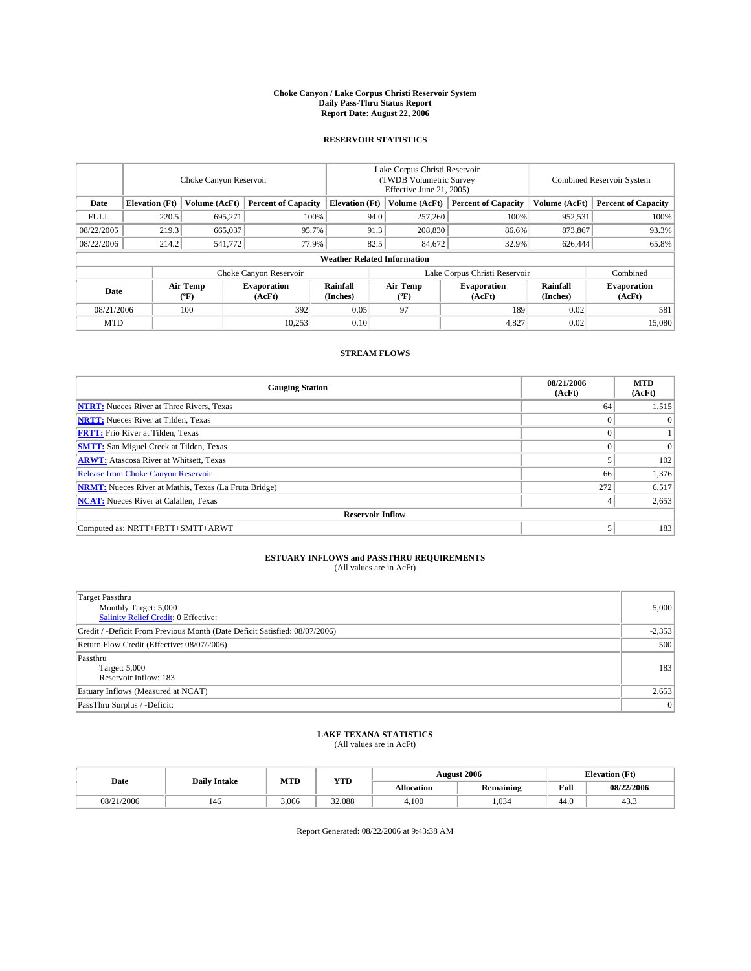#### **Choke Canyon / Lake Corpus Christi Reservoir System Daily Pass-Thru Status Report Report Date: August 22, 2006**

### **RESERVOIR STATISTICS**

|             | Choke Canyon Reservoir |                  |                              |                                    | Lake Corpus Christi Reservoir<br>(TWDB Volumetric Survey<br>Effective June 21, 2005) |                  |                               | <b>Combined Reservoir System</b> |                              |  |
|-------------|------------------------|------------------|------------------------------|------------------------------------|--------------------------------------------------------------------------------------|------------------|-------------------------------|----------------------------------|------------------------------|--|
| Date        | <b>Elevation</b> (Ft)  | Volume (AcFt)    | <b>Percent of Capacity</b>   | <b>Elevation</b> (Ft)              |                                                                                      | Volume (AcFt)    | <b>Percent of Capacity</b>    | Volume (AcFt)                    | <b>Percent of Capacity</b>   |  |
| <b>FULL</b> | 220.5                  | 695,271          |                              | 100%                               | 94.0                                                                                 | 257,260          | 100%                          | 952,531                          | 100%                         |  |
| 08/22/2005  | 219.3                  | 665,037          | 95.7%                        |                                    | 91.3                                                                                 | 208,830          | 86.6%                         | 873,867                          | 93.3%                        |  |
| 08/22/2006  | 214.2                  | 541,772          | 77.9%                        |                                    | 82.5                                                                                 | 84,672           | 32.9%                         | 626,444                          | 65.8%                        |  |
|             |                        |                  |                              | <b>Weather Related Information</b> |                                                                                      |                  |                               |                                  |                              |  |
|             |                        |                  | Choke Canyon Reservoir       |                                    |                                                                                      |                  | Lake Corpus Christi Reservoir |                                  | Combined                     |  |
| Date        |                        | Air Temp<br>(°F) | <b>Evaporation</b><br>(AcFt) | Rainfall<br>(Inches)               |                                                                                      | Air Temp<br>(°F) | <b>Evaporation</b><br>(AcFt)  | Rainfall<br>(Inches)             | <b>Evaporation</b><br>(AcFt) |  |
| 08/21/2006  |                        | 100              | 392                          | 0.05                               |                                                                                      | 97               | 189                           | 0.02                             | 581                          |  |
| <b>MTD</b>  |                        |                  | 10,253                       | 0.10                               |                                                                                      |                  | 4,827                         | 0.02                             | 15,080                       |  |

# **STREAM FLOWS**

| <b>Gauging Station</b>                                       | 08/21/2006<br>(AcFt) | <b>MTD</b><br>(AcFt) |
|--------------------------------------------------------------|----------------------|----------------------|
| <b>NTRT:</b> Nueces River at Three Rivers, Texas             | 64                   | 1,515                |
| <b>NRTT:</b> Nueces River at Tilden, Texas                   | $\Omega$             | $\Omega$             |
| <b>FRTT:</b> Frio River at Tilden, Texas                     | $\theta$             |                      |
| <b>SMTT:</b> San Miguel Creek at Tilden, Texas               | $\Omega$             | $\Omega$             |
| <b>ARWT:</b> Atascosa River at Whitsett, Texas               |                      | 102                  |
| <b>Release from Choke Canyon Reservoir</b>                   | 66                   | 1,376                |
| <b>NRMT:</b> Nueces River at Mathis, Texas (La Fruta Bridge) | 272                  | 6,517                |
| <b>NCAT:</b> Nueces River at Calallen, Texas                 | 4                    | 2,653                |
| <b>Reservoir Inflow</b>                                      |                      |                      |
| Computed as: NRTT+FRTT+SMTT+ARWT                             | 5                    | 183                  |

#### **ESTUARY INFLOWS and PASSTHRU REQUIREMENTS** (All values are in AcFt)

| <b>Target Passthru</b><br>Monthly Target: 5,000<br>Salinity Relief Credit: 0 Effective: | 5,000    |
|-----------------------------------------------------------------------------------------|----------|
| Credit / -Deficit From Previous Month (Date Deficit Satisfied: 08/07/2006)              | $-2,353$ |
| Return Flow Credit (Effective: 08/07/2006)                                              | 500      |
| Passthru<br>Target: 5,000<br>Reservoir Inflow: 183                                      | 183      |
| Estuary Inflows (Measured at NCAT)                                                      | 2,653    |
| PassThru Surplus / -Deficit:                                                            | 0        |

#### **LAKE TEXANA STATISTICS** (All values are in AcFt)

|  |            | <b>Daily Intake</b> | MTD   | <b>YTD</b> | <b>August 2006</b> |           |      | <b>Elevation</b> (Ft) |
|--|------------|---------------------|-------|------------|--------------------|-----------|------|-----------------------|
|  | Date       |                     |       |            | <b>Allocation</b>  | Remaining | Full | 08/22/2006            |
|  | 08/21/2006 | 146                 | 3.066 | 32,088     | 4.100              | 1.034     | 44.0 | т.                    |

Report Generated: 08/22/2006 at 9:43:38 AM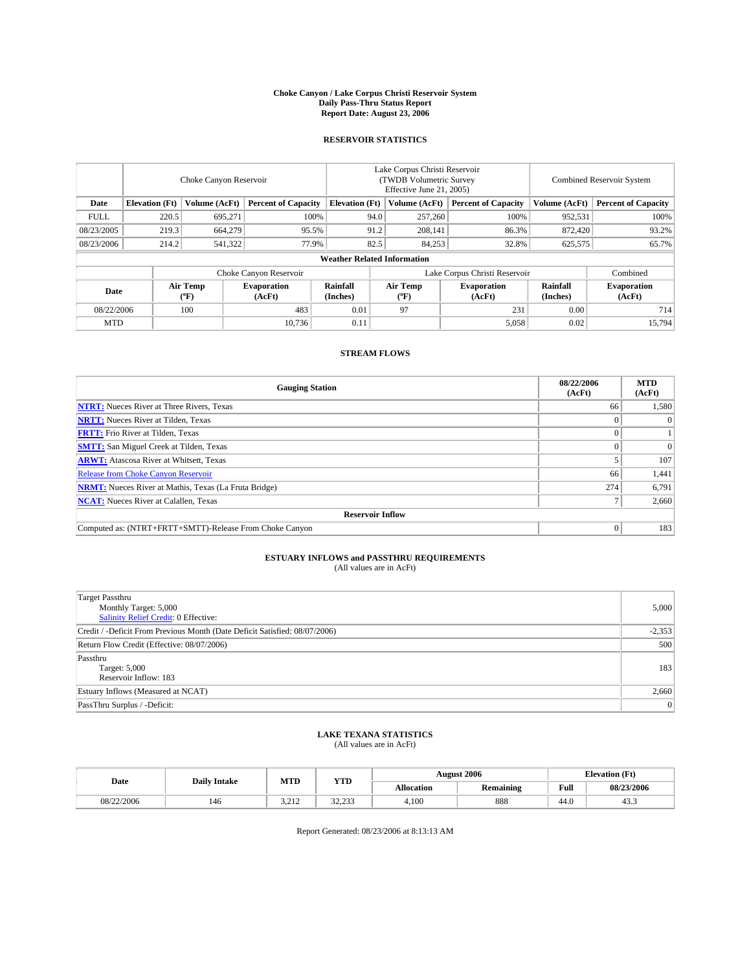#### **Choke Canyon / Lake Corpus Christi Reservoir System Daily Pass-Thru Status Report Report Date: August 23, 2006**

# **RESERVOIR STATISTICS**

|             | Choke Canyon Reservoir             |                  |                              |                       | Lake Corpus Christi Reservoir<br>(TWDB Volumetric Survey<br>Effective June 21, 2005) |                  |                               | <b>Combined Reservoir System</b> |                              |  |  |
|-------------|------------------------------------|------------------|------------------------------|-----------------------|--------------------------------------------------------------------------------------|------------------|-------------------------------|----------------------------------|------------------------------|--|--|
| Date        | <b>Elevation</b> (Ft)              | Volume (AcFt)    | <b>Percent of Capacity</b>   | <b>Elevation</b> (Ft) |                                                                                      | Volume (AcFt)    | <b>Percent of Capacity</b>    | Volume (AcFt)                    | <b>Percent of Capacity</b>   |  |  |
| <b>FULL</b> | 220.5                              | 695,271          | 100%                         |                       | 94.0                                                                                 | 257,260          | 100%                          | 952,531                          | 100%                         |  |  |
| 08/23/2005  | 219.3                              | 664,279          | 95.5%                        |                       | 91.2                                                                                 | 208,141          | 86.3%                         | 872,420                          | 93.2%                        |  |  |
| 08/23/2006  | 214.2                              | 541,322          | 77.9%                        |                       | 82.5                                                                                 | 84,253           | 32.8%                         | 625,575                          | 65.7%                        |  |  |
|             | <b>Weather Related Information</b> |                  |                              |                       |                                                                                      |                  |                               |                                  |                              |  |  |
|             |                                    |                  | Choke Canyon Reservoir       |                       |                                                                                      |                  | Lake Corpus Christi Reservoir |                                  | Combined                     |  |  |
| Date        |                                    | Air Temp<br>(°F) | <b>Evaporation</b><br>(AcFt) | Rainfall<br>(Inches)  |                                                                                      | Air Temp<br>(°F) | <b>Evaporation</b><br>(AcFt)  | Rainfall<br>(Inches)             | <b>Evaporation</b><br>(AcFt) |  |  |
| 08/22/2006  |                                    | 100              | 483                          | 0.01                  |                                                                                      | 97               | 231                           | 0.00                             | 714                          |  |  |
| <b>MTD</b>  |                                    |                  | 10.736                       | 0.11                  |                                                                                      |                  | 5,058                         | 0.02                             | 15,794                       |  |  |

# **STREAM FLOWS**

| <b>Gauging Station</b>                                       | 08/22/2006<br>(AcFt) | <b>MTD</b><br>(AcFt) |
|--------------------------------------------------------------|----------------------|----------------------|
| <b>NTRT:</b> Nueces River at Three Rivers, Texas             | 66                   | 1,580                |
| <b>NRTT:</b> Nueces River at Tilden, Texas                   |                      | 0                    |
| <b>FRTT:</b> Frio River at Tilden, Texas                     |                      |                      |
| <b>SMTT:</b> San Miguel Creek at Tilden, Texas               |                      | $\Omega$             |
| <b>ARWT:</b> Atascosa River at Whitsett, Texas               |                      | 107                  |
| <b>Release from Choke Canyon Reservoir</b>                   | 66                   | 1,441                |
| <b>NRMT:</b> Nueces River at Mathis, Texas (La Fruta Bridge) | 274                  | 6,791                |
| <b>NCAT:</b> Nueces River at Calallen, Texas                 |                      | 2,660                |
| <b>Reservoir Inflow</b>                                      |                      |                      |
| Computed as: (NTRT+FRTT+SMTT)-Release From Choke Canyon      | 0                    | 183                  |

# **ESTUARY INFLOWS and PASSTHRU REQUIREMENTS**

(All values are in AcFt)

| <b>Target Passthru</b><br>Monthly Target: 5,000<br><b>Salinity Relief Credit: 0 Effective:</b> | 5,000    |
|------------------------------------------------------------------------------------------------|----------|
| Credit / -Deficit From Previous Month (Date Deficit Satisfied: 08/07/2006)                     | $-2,353$ |
| Return Flow Credit (Effective: 08/07/2006)                                                     | 500      |
| Passthru<br>Target: 5,000<br>Reservoir Inflow: 183                                             | 183      |
| Estuary Inflows (Measured at NCAT)                                                             | 2,660    |
| PassThru Surplus / -Deficit:                                                                   | 0        |

### **LAKE TEXANA STATISTICS** (All values are in AcFt)

|  |            | <b>Daily Intake</b> | MTD             | <b>YTD</b>       |                   | <b>August 2006</b> |      | <b>Elevation</b> (Ft) |
|--|------------|---------------------|-----------------|------------------|-------------------|--------------------|------|-----------------------|
|  | Date       |                     |                 |                  | <b>Allocation</b> | Remaining          | Full | 08/23/2006            |
|  | 08/22/2006 | 146                 | 2212<br>ے دے ۔د | 32.23<br>ر رے دے | 4.100             | 888                | 44.0 | ر                     |

Report Generated: 08/23/2006 at 8:13:13 AM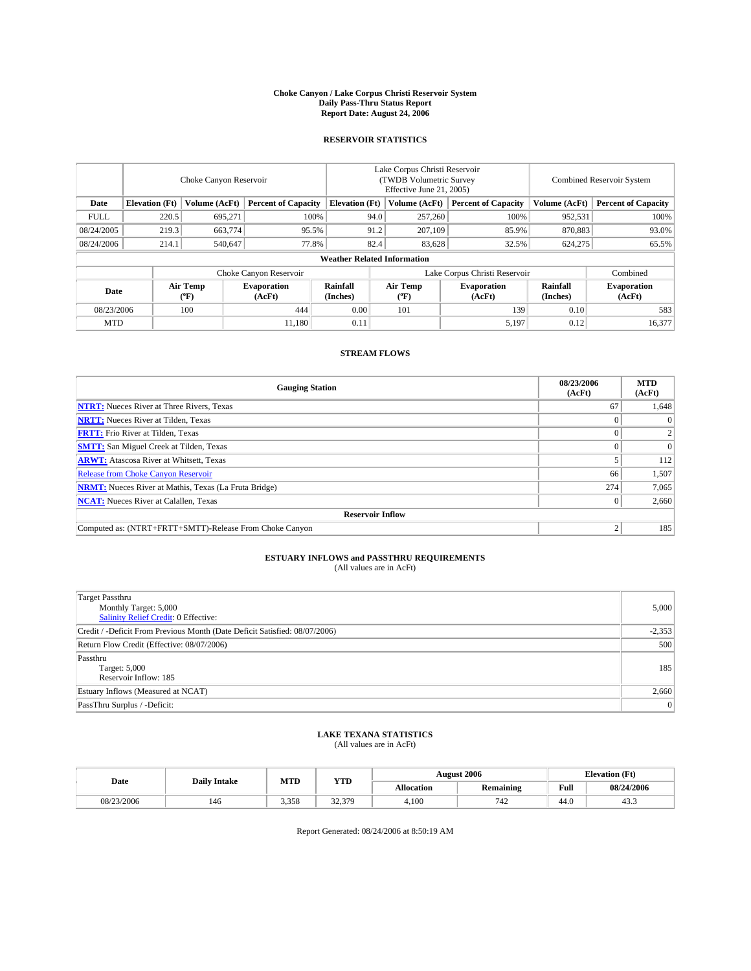#### **Choke Canyon / Lake Corpus Christi Reservoir System Daily Pass-Thru Status Report Report Date: August 24, 2006**

# **RESERVOIR STATISTICS**

|             | Choke Canyon Reservoir             |                     |                              |                       | Lake Corpus Christi Reservoir<br>(TWDB Volumetric Survey)<br>Effective June 21, 2005) |                  |                               | <b>Combined Reservoir System</b> |                              |  |  |  |
|-------------|------------------------------------|---------------------|------------------------------|-----------------------|---------------------------------------------------------------------------------------|------------------|-------------------------------|----------------------------------|------------------------------|--|--|--|
| Date        | <b>Elevation</b> (Ft)              | Volume (AcFt)       | <b>Percent of Capacity</b>   | <b>Elevation</b> (Ft) |                                                                                       | Volume (AcFt)    | <b>Percent of Capacity</b>    | Volume (AcFt)                    | <b>Percent of Capacity</b>   |  |  |  |
| <b>FULL</b> | 220.5                              | 695,271             | 100%                         |                       | 94.0                                                                                  | 257,260          | 100%                          | 952,531                          | 100%                         |  |  |  |
| 08/24/2005  | 219.3                              | 663,774             | 95.5%                        |                       | 91.2                                                                                  | 207,109          | 85.9%                         | 870,883                          | 93.0%                        |  |  |  |
| 08/24/2006  | 214.1                              | 540,647             | 77.8%                        |                       | 82.4                                                                                  | 83,628           | 32.5%                         | 624,275                          | 65.5%                        |  |  |  |
|             | <b>Weather Related Information</b> |                     |                              |                       |                                                                                       |                  |                               |                                  |                              |  |  |  |
|             |                                    |                     | Choke Canyon Reservoir       |                       |                                                                                       |                  | Lake Corpus Christi Reservoir |                                  | Combined                     |  |  |  |
| Date        |                                    | Air Temp<br>$(^oF)$ | <b>Evaporation</b><br>(AcFt) | Rainfall<br>(Inches)  |                                                                                       | Air Temp<br>(°F) | <b>Evaporation</b><br>(AcFt)  | Rainfall<br>(Inches)             | <b>Evaporation</b><br>(AcFt) |  |  |  |
| 08/23/2006  |                                    | 100                 | 444                          | 0.00                  |                                                                                       | 101              | 139                           | 0.10                             | 583                          |  |  |  |
| <b>MTD</b>  |                                    |                     | 11.180                       | 0.11                  |                                                                                       |                  | 5,197                         | 0.12                             | 16,377                       |  |  |  |

## **STREAM FLOWS**

| <b>Gauging Station</b>                                       | 08/23/2006<br>(AcFt) | <b>MTD</b><br>(AcFt) |
|--------------------------------------------------------------|----------------------|----------------------|
| <b>NTRT:</b> Nueces River at Three Rivers, Texas             | 67                   | 1,648                |
| <b>NRTT:</b> Nueces River at Tilden, Texas                   |                      | $\theta$             |
| <b>FRTT:</b> Frio River at Tilden, Texas                     |                      |                      |
| <b>SMTT:</b> San Miguel Creek at Tilden, Texas               |                      | $\Omega$             |
| <b>ARWT:</b> Atascosa River at Whitsett, Texas               |                      | 112                  |
| <b>Release from Choke Canyon Reservoir</b>                   | 66                   | 1,507                |
| <b>NRMT:</b> Nueces River at Mathis, Texas (La Fruta Bridge) | 274                  | 7,065                |
| <b>NCAT:</b> Nueces River at Calallen, Texas                 |                      | 2,660                |
| <b>Reservoir Inflow</b>                                      |                      |                      |
| Computed as: (NTRT+FRTT+SMTT)-Release From Choke Canyon      |                      | 185                  |

# **ESTUARY INFLOWS and PASSTHRU REQUIREMENTS**

(All values are in AcFt)

| <b>Target Passthru</b><br>Monthly Target: 5,000<br><b>Salinity Relief Credit: 0 Effective:</b> | 5,000    |
|------------------------------------------------------------------------------------------------|----------|
| Credit / -Deficit From Previous Month (Date Deficit Satisfied: 08/07/2006)                     | $-2,353$ |
| Return Flow Credit (Effective: 08/07/2006)                                                     | 500      |
| Passthru<br>Target: 5,000<br>Reservoir Inflow: 185                                             | 185      |
| Estuary Inflows (Measured at NCAT)                                                             | 2,660    |
| PassThru Surplus / -Deficit:                                                                   | 0        |

### **LAKE TEXANA STATISTICS** (All values are in AcFt)

|            | <b>Daily Intake</b> | MTD   | <b>YTD</b>           |            | <b>August 2006</b> |                       | <b>Elevation</b> (Ft) |
|------------|---------------------|-------|----------------------|------------|--------------------|-----------------------|-----------------------|
| Date       |                     |       |                      | Allocation | <b>Remaining</b>   | Full<br>$\sim$ $\sim$ | 08/24/2006            |
| 08/23/2006 | 146                 | 3.358 | 32.370<br>۰ نوم کرد. | 4.100      | 742                | 44.0                  | д.<br>ر               |

Report Generated: 08/24/2006 at 8:50:19 AM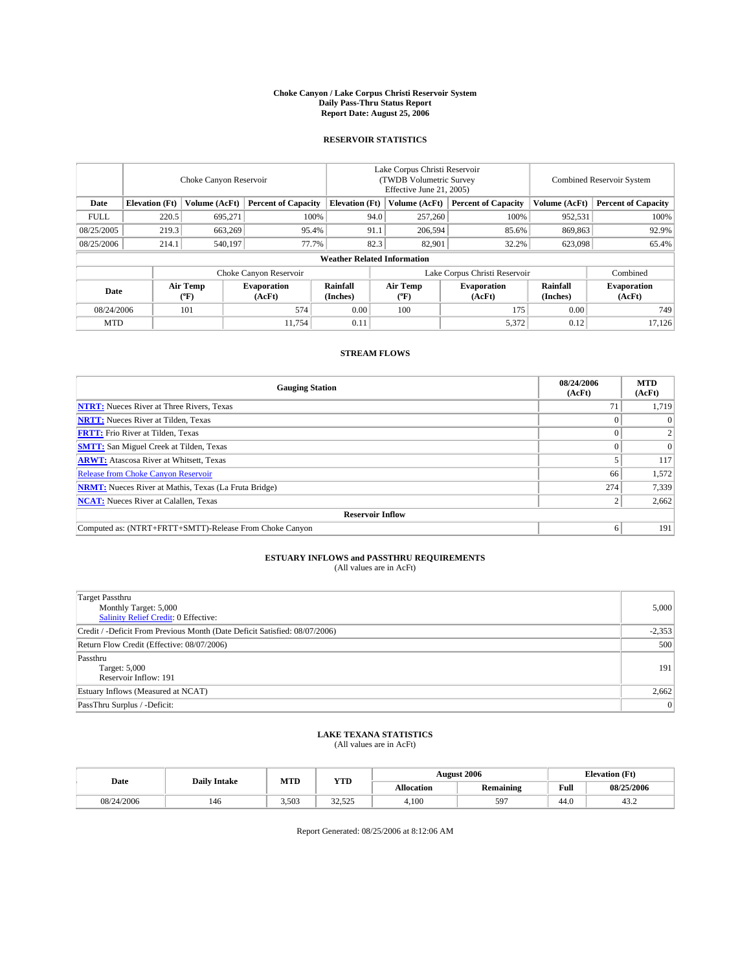#### **Choke Canyon / Lake Corpus Christi Reservoir System Daily Pass-Thru Status Report Report Date: August 25, 2006**

# **RESERVOIR STATISTICS**

|                                                                              | Choke Canyon Reservoir |                       |                              |                      | Lake Corpus Christi Reservoir<br>(TWDB Volumetric Survey<br>Effective June 21, 2005) |                                    |                               |                      | <b>Combined Reservoir System</b> |  |  |
|------------------------------------------------------------------------------|------------------------|-----------------------|------------------------------|----------------------|--------------------------------------------------------------------------------------|------------------------------------|-------------------------------|----------------------|----------------------------------|--|--|
| <b>Elevation</b> (Ft)<br>Volume (AcFt)<br><b>Percent of Capacity</b><br>Date |                        | <b>Elevation (Ft)</b> |                              | Volume (AcFt)        | <b>Percent of Capacity</b>                                                           | Volume (AcFt)                      | <b>Percent of Capacity</b>    |                      |                                  |  |  |
| <b>FULL</b>                                                                  | 220.5                  | 695,271               |                              | 100%                 | 94.0                                                                                 | 257,260                            | 100%                          | 952,531              | 100%                             |  |  |
| 08/25/2005                                                                   | 219.3                  | 663,269               |                              | 95.4%                | 91.1                                                                                 | 206,594                            | 85.6%                         | 869,863              | 92.9%                            |  |  |
| 08/25/2006                                                                   | 214.1                  | 540,197               |                              | 77.7%                | 82.3                                                                                 | 82,901                             | 32.2%                         | 623,098              | 65.4%                            |  |  |
|                                                                              |                        |                       |                              |                      |                                                                                      | <b>Weather Related Information</b> |                               |                      |                                  |  |  |
|                                                                              |                        |                       | Choke Canyon Reservoir       |                      |                                                                                      |                                    | Lake Corpus Christi Reservoir |                      | Combined                         |  |  |
| Date                                                                         |                        | Air Temp<br>(°F)      | <b>Evaporation</b><br>(AcFt) | Rainfall<br>(Inches) |                                                                                      | Air Temp<br>(°F)                   | <b>Evaporation</b><br>(AcFt)  | Rainfall<br>(Inches) | <b>Evaporation</b><br>(AcFt)     |  |  |
| 08/24/2006                                                                   |                        | 101                   | 574                          | 0.00                 |                                                                                      | 100                                | 175                           | 0.00                 | 749                              |  |  |
| <b>MTD</b>                                                                   |                        |                       | 11,754                       | 0.11                 |                                                                                      |                                    | 5,372                         | 0.12                 | 17,126                           |  |  |

## **STREAM FLOWS**

| <b>Gauging Station</b>                                       | 08/24/2006<br>(AcFt) | <b>MTD</b><br>(AcFt) |
|--------------------------------------------------------------|----------------------|----------------------|
| <b>NTRT:</b> Nueces River at Three Rivers, Texas             |                      | 1,719                |
| <b>NRTT:</b> Nueces River at Tilden, Texas                   |                      | 0                    |
| <b>FRTT:</b> Frio River at Tilden, Texas                     |                      | $\overline{c}$       |
| <b>SMTT:</b> San Miguel Creek at Tilden, Texas               |                      | $\Omega$             |
| <b>ARWT:</b> Atascosa River at Whitsett, Texas               |                      | 117                  |
| <b>Release from Choke Canyon Reservoir</b>                   | 66                   | 1,572                |
| <b>NRMT:</b> Nueces River at Mathis, Texas (La Fruta Bridge) | 274                  | 7,339                |
| <b>NCAT:</b> Nueces River at Calallen, Texas                 |                      | 2,662                |
| <b>Reservoir Inflow</b>                                      |                      |                      |
| Computed as: (NTRT+FRTT+SMTT)-Release From Choke Canyon      | 6                    | 191                  |

# **ESTUARY INFLOWS and PASSTHRU REQUIREMENTS**

(All values are in AcFt)

| <b>Target Passthru</b><br>Monthly Target: 5,000<br>Salinity Relief Credit: 0 Effective: | 5,000    |
|-----------------------------------------------------------------------------------------|----------|
| Credit / -Deficit From Previous Month (Date Deficit Satisfied: 08/07/2006)              | $-2,353$ |
| Return Flow Credit (Effective: 08/07/2006)                                              | 500      |
| Passthru<br>Target: 5,000<br>Reservoir Inflow: 191                                      | 191      |
| Estuary Inflows (Measured at NCAT)                                                      | 2,662    |
| PassThru Surplus / -Deficit:                                                            | 0        |

### **LAKE TEXANA STATISTICS** (All values are in AcFt)

|            | <b>Daily Intake</b> | MTD   | <b>YTD</b>                      | <b>August 2006</b> |                  |      | <b>Elevation</b> (Ft) |
|------------|---------------------|-------|---------------------------------|--------------------|------------------|------|-----------------------|
| Date       |                     |       |                                 | <b>Allocation</b>  | <b>Remaining</b> | Full | 08/25/2006            |
| 08/24/2006 | 146                 | 3.503 | $\mathcal{L}$<br>555<br>رے دے د | 4.100              | 597              | 44.0 | 43.2                  |

Report Generated: 08/25/2006 at 8:12:06 AM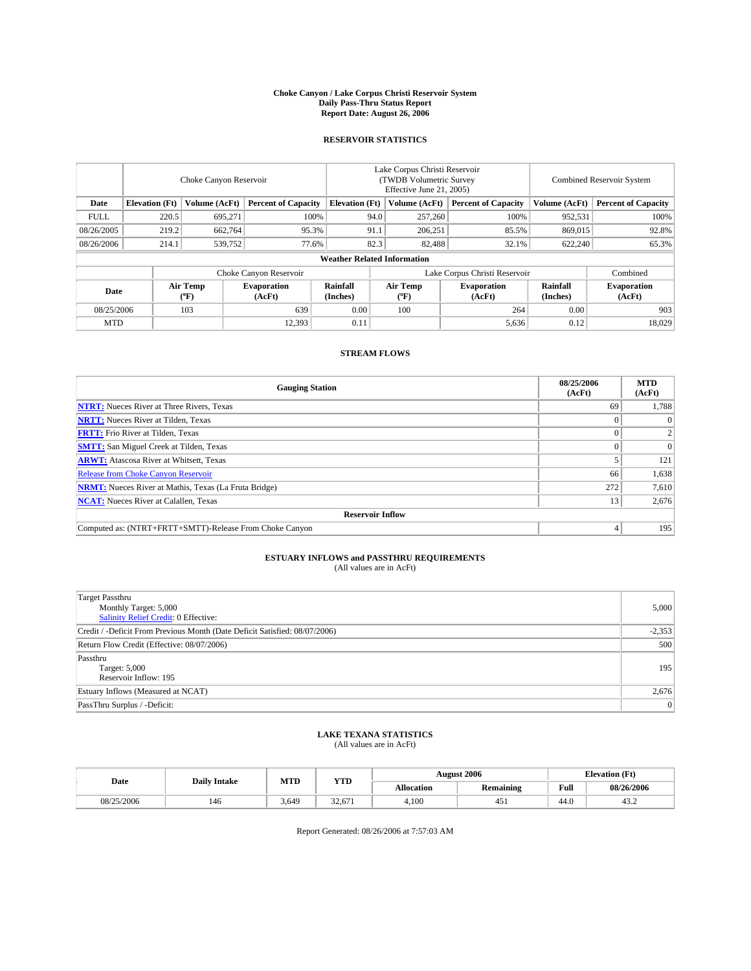#### **Choke Canyon / Lake Corpus Christi Reservoir System Daily Pass-Thru Status Report Report Date: August 26, 2006**

# **RESERVOIR STATISTICS**

|                                                                              | Choke Canyon Reservoir |                       |                              |                                    | Lake Corpus Christi Reservoir<br>(TWDB Volumetric Survey<br>Effective June 21, 2005) |                  |                               |                      | <b>Combined Reservoir System</b> |  |  |
|------------------------------------------------------------------------------|------------------------|-----------------------|------------------------------|------------------------------------|--------------------------------------------------------------------------------------|------------------|-------------------------------|----------------------|----------------------------------|--|--|
| <b>Elevation</b> (Ft)<br>Volume (AcFt)<br><b>Percent of Capacity</b><br>Date |                        | <b>Elevation (Ft)</b> |                              | Volume (AcFt)                      | <b>Percent of Capacity</b>                                                           | Volume (AcFt)    | <b>Percent of Capacity</b>    |                      |                                  |  |  |
| <b>FULL</b>                                                                  | 220.5                  | 695,271               |                              | 100%                               | 94.0                                                                                 | 257,260          | 100%                          | 952,531              | 100%                             |  |  |
| 08/26/2005                                                                   | 219.2                  | 662,764               | 95.3%                        |                                    | 91.1                                                                                 | 206,251          | 85.5%                         | 869,015              | 92.8%                            |  |  |
| 08/26/2006                                                                   | 214.1                  | 539,752               | 77.6%                        |                                    | 82.3                                                                                 | 82,488           | 32.1%                         | 622,240              | 65.3%                            |  |  |
|                                                                              |                        |                       |                              | <b>Weather Related Information</b> |                                                                                      |                  |                               |                      |                                  |  |  |
|                                                                              |                        |                       | Choke Canyon Reservoir       |                                    |                                                                                      |                  | Lake Corpus Christi Reservoir |                      | Combined                         |  |  |
| Date                                                                         |                        | Air Temp<br>(°F)      | <b>Evaporation</b><br>(AcFt) | Rainfall<br>(Inches)               |                                                                                      | Air Temp<br>(°F) | <b>Evaporation</b><br>(AcFt)  | Rainfall<br>(Inches) | <b>Evaporation</b><br>(AcFt)     |  |  |
| 08/25/2006                                                                   |                        | 103                   | 639                          | 0.00                               |                                                                                      | 100              | 264                           | 0.00                 | 903                              |  |  |
| <b>MTD</b>                                                                   |                        |                       | 12,393                       | 0.11                               |                                                                                      |                  | 5,636                         | 0.12                 | 18,029                           |  |  |

## **STREAM FLOWS**

| <b>Gauging Station</b>                                       | 08/25/2006<br>(AcFt) | <b>MTD</b><br>(AcFt) |
|--------------------------------------------------------------|----------------------|----------------------|
| <b>NTRT:</b> Nueces River at Three Rivers, Texas             | 69                   | 1,788                |
| <b>NRTT:</b> Nueces River at Tilden, Texas                   |                      | $\theta$             |
| <b>FRTT:</b> Frio River at Tilden, Texas                     |                      |                      |
| <b>SMTT:</b> San Miguel Creek at Tilden, Texas               |                      | $\Omega$             |
| <b>ARWT:</b> Atascosa River at Whitsett, Texas               |                      | 121                  |
| Release from Choke Canyon Reservoir                          | 66                   | 1,638                |
| <b>NRMT:</b> Nueces River at Mathis, Texas (La Fruta Bridge) | 272                  | 7,610                |
| <b>NCAT:</b> Nueces River at Calallen, Texas                 | 13                   | 2,676                |
| <b>Reservoir Inflow</b>                                      |                      |                      |
| Computed as: (NTRT+FRTT+SMTT)-Release From Choke Canyon      |                      | 195                  |

# **ESTUARY INFLOWS and PASSTHRU REQUIREMENTS**

(All values are in AcFt)

| <b>Target Passthru</b><br>Monthly Target: 5,000<br><b>Salinity Relief Credit: 0 Effective:</b> | 5,000    |
|------------------------------------------------------------------------------------------------|----------|
| Credit / -Deficit From Previous Month (Date Deficit Satisfied: 08/07/2006)                     | $-2,353$ |
| Return Flow Credit (Effective: 08/07/2006)                                                     | 500      |
| Passthru<br>Target: 5,000<br>Reservoir Inflow: 195                                             | 195      |
| Estuary Inflows (Measured at NCAT)                                                             | 2,676    |
| PassThru Surplus / -Deficit:                                                                   | 0        |

#### **LAKE TEXANA STATISTICS** (All values are in AcFt)

|  |            | <b>Daily Intake</b> | MTD   | <b>YTD</b> | <b>August 2006</b> |           |      | <b>Elevation</b> (Ft) |
|--|------------|---------------------|-------|------------|--------------------|-----------|------|-----------------------|
|  | Date       |                     |       |            | <b>Allocation</b>  | Remaining | Full | 08/26/2006            |
|  | 08/25/2006 | 146                 | 3.649 | 32.671     | 4.100              | د 45      | 44.0 | ے . د                 |

Report Generated: 08/26/2006 at 7:57:03 AM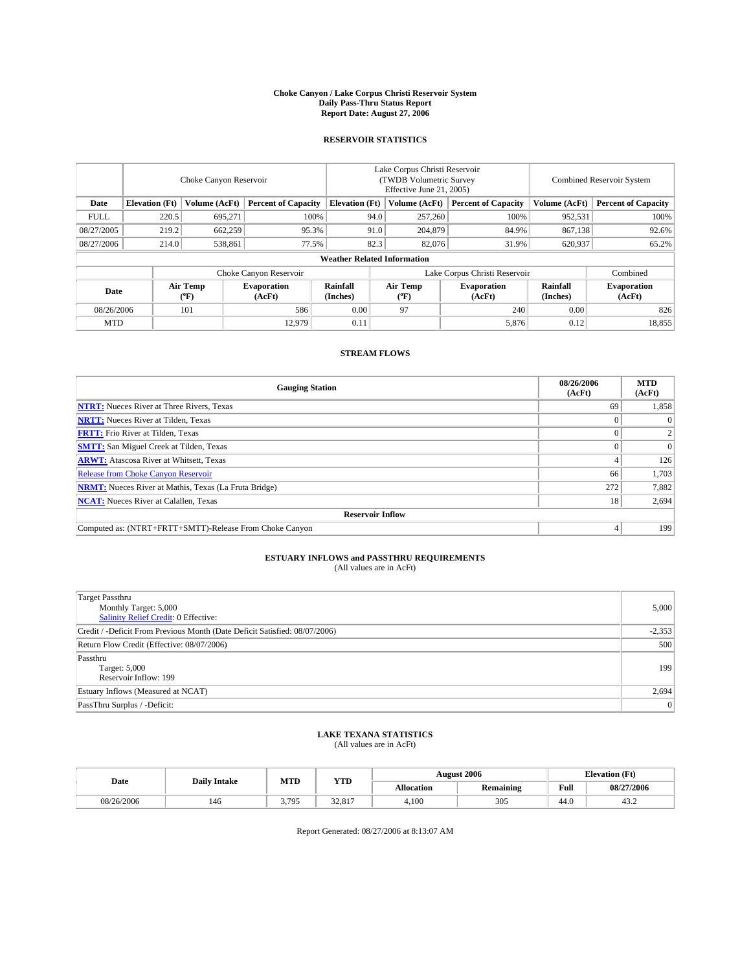#### **Choke Canyon / Lake Corpus Christi Reservoir System Daily Pass-Thru Status Report Report Date: August 27, 2006**

# **RESERVOIR STATISTICS**

|                                                                              | Choke Canyon Reservoir |                       |                              |                                    | Lake Corpus Christi Reservoir<br>(TWDB Volumetric Survey)<br>Effective June 21, 2005) |                  |                               |                      | <b>Combined Reservoir System</b> |  |  |
|------------------------------------------------------------------------------|------------------------|-----------------------|------------------------------|------------------------------------|---------------------------------------------------------------------------------------|------------------|-------------------------------|----------------------|----------------------------------|--|--|
| <b>Elevation</b> (Ft)<br>Volume (AcFt)<br><b>Percent of Capacity</b><br>Date |                        | <b>Elevation</b> (Ft) |                              | Volume (AcFt)                      | <b>Percent of Capacity</b>                                                            | Volume (AcFt)    | <b>Percent of Capacity</b>    |                      |                                  |  |  |
| <b>FULL</b>                                                                  | 220.5                  | 695,271               | 100%                         |                                    | 94.0                                                                                  | 257,260          | 100%                          | 952,531              | 100%                             |  |  |
| 08/27/2005                                                                   | 219.2                  | 662,259               | 95.3%                        |                                    | 91.0                                                                                  | 204,879          | 84.9%                         | 867,138              | 92.6%                            |  |  |
| 08/27/2006                                                                   | 214.0                  | 538,861               | 77.5%                        |                                    | 82.3                                                                                  | 82,076           | 31.9%                         | 620,937              | 65.2%                            |  |  |
|                                                                              |                        |                       |                              | <b>Weather Related Information</b> |                                                                                       |                  |                               |                      |                                  |  |  |
|                                                                              |                        |                       | Choke Canyon Reservoir       |                                    |                                                                                       |                  | Lake Corpus Christi Reservoir |                      | Combined                         |  |  |
| Date                                                                         |                        | Air Temp<br>$(^oF)$   | <b>Evaporation</b><br>(AcFt) | Rainfall<br>(Inches)               |                                                                                       | Air Temp<br>(°F) | <b>Evaporation</b><br>(AcFt)  | Rainfall<br>(Inches) | <b>Evaporation</b><br>(AcFt)     |  |  |
| 101<br>586<br>08/26/2006                                                     |                        | 0.00                  |                              | 97                                 | 240                                                                                   | 0.00             | 826                           |                      |                                  |  |  |
| <b>MTD</b>                                                                   |                        |                       | 12.979                       | 0.11                               |                                                                                       |                  | 5,876                         | 0.12                 | 18,855                           |  |  |

# **STREAM FLOWS**

| <b>Gauging Station</b>                                       | 08/26/2006<br>(AcFt) | <b>MTD</b><br>(AcFt) |
|--------------------------------------------------------------|----------------------|----------------------|
| <b>NTRT:</b> Nueces River at Three Rivers, Texas             | 69                   | 1,858                |
| <b>NRTT:</b> Nueces River at Tilden, Texas                   |                      | $\theta$             |
| <b>FRTT:</b> Frio River at Tilden, Texas                     |                      |                      |
| <b>SMTT:</b> San Miguel Creek at Tilden, Texas               |                      | $\Omega$             |
| <b>ARWT:</b> Atascosa River at Whitsett, Texas               |                      | 126                  |
| <b>Release from Choke Canyon Reservoir</b>                   | 66                   | 1,703                |
| <b>NRMT:</b> Nueces River at Mathis, Texas (La Fruta Bridge) | 272                  | 7,882                |
| <b>NCAT:</b> Nueces River at Calallen, Texas                 | 18                   | 2,694                |
| <b>Reservoir Inflow</b>                                      |                      |                      |
| Computed as: (NTRT+FRTT+SMTT)-Release From Choke Canyon      |                      | 199                  |

# **ESTUARY INFLOWS and PASSTHRU REQUIREMENTS**

(All values are in AcFt)

| <b>Target Passthru</b><br>Monthly Target: 5,000<br><b>Salinity Relief Credit: 0 Effective:</b> | 5,000    |
|------------------------------------------------------------------------------------------------|----------|
| Credit / -Deficit From Previous Month (Date Deficit Satisfied: 08/07/2006)                     | $-2,353$ |
| Return Flow Credit (Effective: 08/07/2006)                                                     | 500      |
| Passthru<br>Target: 5,000<br>Reservoir Inflow: 199                                             | 199      |
| Estuary Inflows (Measured at NCAT)                                                             | 2,694    |
| PassThru Surplus / -Deficit:                                                                   | 0        |

### **LAKE TEXANA STATISTICS** (All values are in AcFt)

|  |            | <b>Daily Intake</b> | MTD   | <b>YTD</b>                     | <b>August 2006</b> |           |      | <b>Elevation</b> (Ft) |
|--|------------|---------------------|-------|--------------------------------|--------------------|-----------|------|-----------------------|
|  | Date       |                     |       |                                | <b>Allocation</b>  | Remaining | Full | 08/27/2006            |
|  | 08/26/2006 | 146                 | 3.795 | $\sim$<br>017<br><i>JL</i> .01 | 4.100              | 305       | 44.0 | ے . د                 |

Report Generated: 08/27/2006 at 8:13:07 AM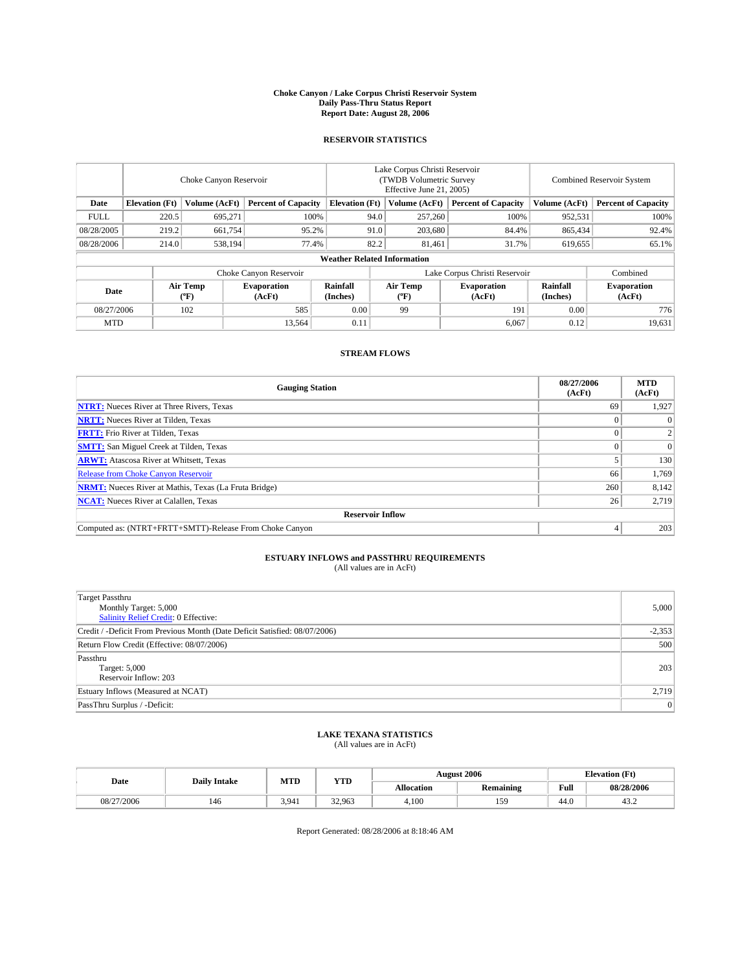#### **Choke Canyon / Lake Corpus Christi Reservoir System Daily Pass-Thru Status Report Report Date: August 28, 2006**

# **RESERVOIR STATISTICS**

|                             | Choke Canyon Reservoir |                              |                            |                                    | Lake Corpus Christi Reservoir<br>(TWDB Volumetric Survey)<br>Effective June 21, 2005) |                              |                               | <b>Combined Reservoir System</b> |                            |  |
|-----------------------------|------------------------|------------------------------|----------------------------|------------------------------------|---------------------------------------------------------------------------------------|------------------------------|-------------------------------|----------------------------------|----------------------------|--|
| Date                        | <b>Elevation</b> (Ft)  | Volume (AcFt)                | <b>Percent of Capacity</b> | <b>Elevation</b> (Ft)              |                                                                                       | Volume (AcFt)                | <b>Percent of Capacity</b>    | Volume (AcFt)                    | <b>Percent of Capacity</b> |  |
| <b>FULL</b>                 | 220.5                  | 695,271                      | 100%                       |                                    | 94.0                                                                                  | 257,260                      | 100%                          | 952,531                          | 100%                       |  |
| 08/28/2005                  | 219.2                  | 661,754                      | 95.2%                      |                                    | 91.0                                                                                  | 203,680                      | 84.4%                         | 865,434                          | 92.4%                      |  |
| 08/28/2006                  | 214.0                  | 538,194                      | 77.4%                      |                                    | 82.2                                                                                  | 81,461                       | 31.7%                         | 619,655                          | 65.1%                      |  |
|                             |                        |                              |                            | <b>Weather Related Information</b> |                                                                                       |                              |                               |                                  |                            |  |
|                             |                        |                              | Choke Canyon Reservoir     |                                    |                                                                                       |                              | Lake Corpus Christi Reservoir |                                  | Combined                   |  |
| Air Temp<br>Date<br>$(^oF)$ |                        | <b>Evaporation</b><br>(AcFt) | Rainfall<br>(Inches)       |                                    | Air Temp<br>(°F)                                                                      | <b>Evaporation</b><br>(AcFt) | Rainfall<br>(Inches)          | <b>Evaporation</b><br>(AcFt)     |                            |  |
| 08/27/2006                  |                        | 102                          | 585                        | 0.00                               |                                                                                       | 99                           | 191                           | 0.00                             | 776                        |  |
| <b>MTD</b>                  |                        |                              | 13,564                     | 0.11                               |                                                                                       |                              | 6,067                         | 0.12                             | 19,631                     |  |

## **STREAM FLOWS**

| <b>Gauging Station</b>                                       | 08/27/2006<br>(AcFt) | <b>MTD</b><br>(AcFt) |
|--------------------------------------------------------------|----------------------|----------------------|
| <b>NTRT:</b> Nueces River at Three Rivers, Texas             | 69                   | 1,927                |
| <b>NRTT:</b> Nueces River at Tilden, Texas                   |                      | 0                    |
| <b>FRTT:</b> Frio River at Tilden, Texas                     |                      | $\overline{c}$       |
| <b>SMTT:</b> San Miguel Creek at Tilden, Texas               |                      | $\Omega$             |
| <b>ARWT:</b> Atascosa River at Whitsett, Texas               |                      | 130                  |
| <b>Release from Choke Canyon Reservoir</b>                   | 66                   | 1,769                |
| <b>NRMT:</b> Nueces River at Mathis, Texas (La Fruta Bridge) | 260                  | 8,142                |
| <b>NCAT:</b> Nueces River at Calallen, Texas                 | 26                   | 2,719                |
| <b>Reservoir Inflow</b>                                      |                      |                      |
| Computed as: (NTRT+FRTT+SMTT)-Release From Choke Canyon      |                      | 203                  |

# **ESTUARY INFLOWS and PASSTHRU REQUIREMENTS**

(All values are in AcFt)

| <b>Target Passthru</b><br>Monthly Target: 5,000<br><b>Salinity Relief Credit: 0 Effective:</b> | 5,000    |
|------------------------------------------------------------------------------------------------|----------|
| Credit / -Deficit From Previous Month (Date Deficit Satisfied: 08/07/2006)                     | $-2,353$ |
| Return Flow Credit (Effective: 08/07/2006)                                                     | 500      |
| Passthru<br>Target: 5,000<br>Reservoir Inflow: 203                                             | 203      |
| Estuary Inflows (Measured at NCAT)                                                             | 2,719    |
| PassThru Surplus / -Deficit:                                                                   | 0        |

### **LAKE TEXANA STATISTICS** (All values are in AcFt)

| Date       | <b>Daily Intake</b> | MTD   | <b>YTD</b> |                   | <b>August 2006</b> | <b>Elevation</b> (Ft) |            |
|------------|---------------------|-------|------------|-------------------|--------------------|-----------------------|------------|
|            |                     |       |            | <b>Allocation</b> | <b>Remaining</b>   | Full                  | 08/28/2006 |
| 08/27/2006 | 146                 | 3.941 | 32.963     | 4.100             | 159                | 44.0                  | 43.2       |

Report Generated: 08/28/2006 at 8:18:46 AM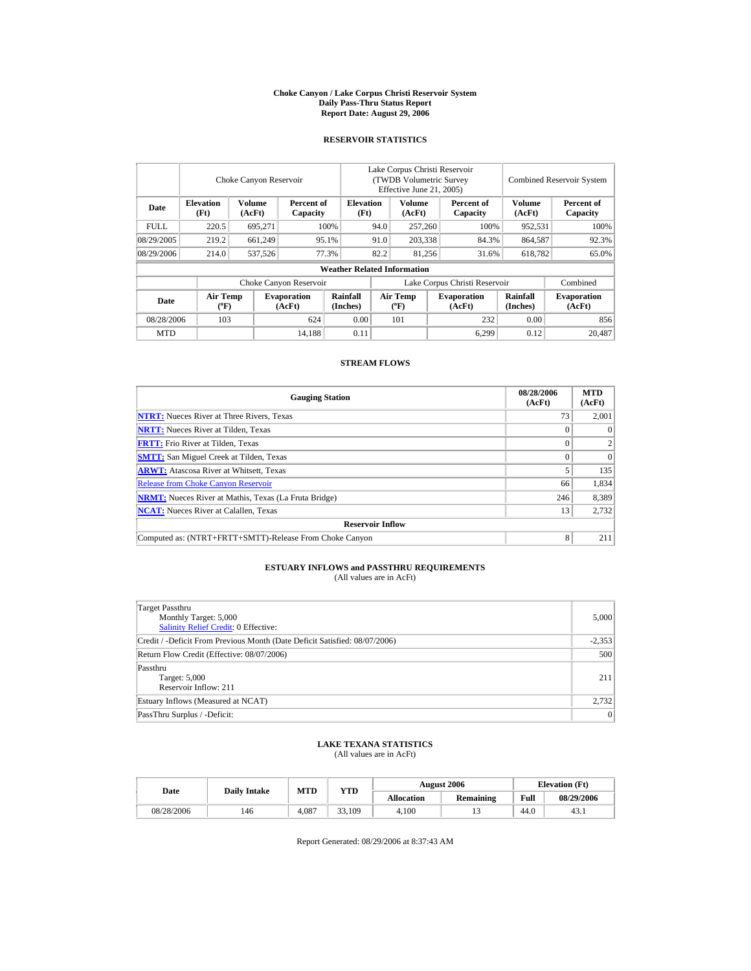#### **Choke Canyon / Lake Corpus Christi Reservoir System Daily Pass-Thru Status Report Report Date: August 29, 2006**

### **RESERVOIR STATISTICS**

|             | Choke Canyon Reservoir           |                  |                              |                                    | Lake Corpus Christi Reservoir<br>(TWDB Volumetric Survey<br>Effective June 21, 2005) |                                |      |                               | <b>Combined Reservoir System</b> |                              |  |
|-------------|----------------------------------|------------------|------------------------------|------------------------------------|--------------------------------------------------------------------------------------|--------------------------------|------|-------------------------------|----------------------------------|------------------------------|--|
| Date        | <b>Elevation</b><br>(Ft)         | Volume<br>(AcFt) | Percent of<br>Capacity       | <b>Elevation</b><br>(Ft)           |                                                                                      | Volume<br>(AcFt)               |      | Percent of<br>Capacity        | Volume<br>(AcFt)                 | Percent of<br>Capacity       |  |
| <b>FULL</b> | 220.5                            | 695,271          |                              | 100%                               | 94.0<br>257,260                                                                      |                                | 100% | 952,531                       | 100%                             |                              |  |
| 08/29/2005  | 219.2                            | 661,249          |                              | 95.1%                              | 91.0                                                                                 | 203,338                        |      | 84.3%                         | 864,587                          | 92.3%                        |  |
| 08/29/2006  | 214.0                            | 537,526          |                              | 77.3%                              | 82.2                                                                                 | 81,256                         |      | 31.6%                         | 618,782                          | 65.0%                        |  |
|             |                                  |                  |                              | <b>Weather Related Information</b> |                                                                                      |                                |      |                               |                                  |                              |  |
|             |                                  |                  | Choke Canyon Reservoir       |                                    |                                                                                      |                                |      | Lake Corpus Christi Reservoir |                                  | Combined                     |  |
| Date        | <b>Air Temp</b><br>$(^{\circ}F)$ |                  | <b>Evaporation</b><br>(AcFt) | Rainfall<br>(Inches)               |                                                                                      | Air Temp<br>$({}^o\mathrm{F})$ |      | <b>Evaporation</b><br>(AcFt)  | Rainfall<br>(Inches)             | <b>Evaporation</b><br>(AcFt) |  |
| 08/28/2006  | 103                              |                  | 624                          | 0.00                               |                                                                                      | 101                            |      | 232                           | 0.00                             | 856                          |  |
| MTD         |                                  |                  | 14,188                       | 0.11                               |                                                                                      |                                |      | 6,299                         | 0.12                             | 20,487                       |  |

### **STREAM FLOWS**

| <b>Gauging Station</b>                                       | 08/28/2006<br>(AcFt) | <b>MTD</b><br>(AcFt) |
|--------------------------------------------------------------|----------------------|----------------------|
| <b>NTRT:</b> Nueces River at Three Rivers, Texas             | 73                   | 2.001                |
| <b>NRTT:</b> Nueces River at Tilden, Texas                   | 0                    | $\Omega$             |
| <b>FRTT:</b> Frio River at Tilden, Texas                     | $\Omega$             | $\overline{2}$       |
| <b>SMTT:</b> San Miguel Creek at Tilden, Texas               | $\Omega$             | $\Omega$             |
| <b>ARWT:</b> Atascosa River at Whitsett, Texas               |                      | 135                  |
| <b>Release from Choke Canyon Reservoir</b>                   | 66                   | 1,834                |
| <b>NRMT:</b> Nueces River at Mathis, Texas (La Fruta Bridge) | 246                  | 8,389                |
| <b>NCAT:</b> Nueces River at Calallen, Texas                 | 13                   | 2,732                |
| <b>Reservoir Inflow</b>                                      |                      |                      |
| Computed as: (NTRT+FRTT+SMTT)-Release From Choke Canyon      | 8                    | 211                  |

#### **ESTUARY INFLOWS and PASSTHRU REQUIREMENTS** (All values are in AcFt)

| <b>Target Passthru</b><br>Monthly Target: 5,000<br>Salinity Relief Credit: 0 Effective: | 5,000    |
|-----------------------------------------------------------------------------------------|----------|
| Credit / -Deficit From Previous Month (Date Deficit Satisfied: 08/07/2006)              | $-2,353$ |
| Return Flow Credit (Effective: 08/07/2006)                                              | 500      |
| Passthru<br>Target: 5,000<br>Reservoir Inflow: 211                                      | 211      |
| Estuary Inflows (Measured at NCAT)                                                      | 2,732    |
| PassThru Surplus / -Deficit:                                                            | $\Omega$ |

# **LAKE TEXANA STATISTICS**

(All values are in AcFt)

| Date       | <b>Daily Intake</b> | <b>MTD</b> | <b>YTD</b> |                   | <b>August 2006</b> | <b>Elevation</b> (Ft) |            |
|------------|---------------------|------------|------------|-------------------|--------------------|-----------------------|------------|
|            |                     |            |            | <b>Allocation</b> | Remaining          | Full                  | 08/29/2006 |
| 08/28/2006 | 146                 | 4.087      | 33.109     | 4.100             |                    | 44.0                  | 43.1       |

Report Generated: 08/29/2006 at 8:37:43 AM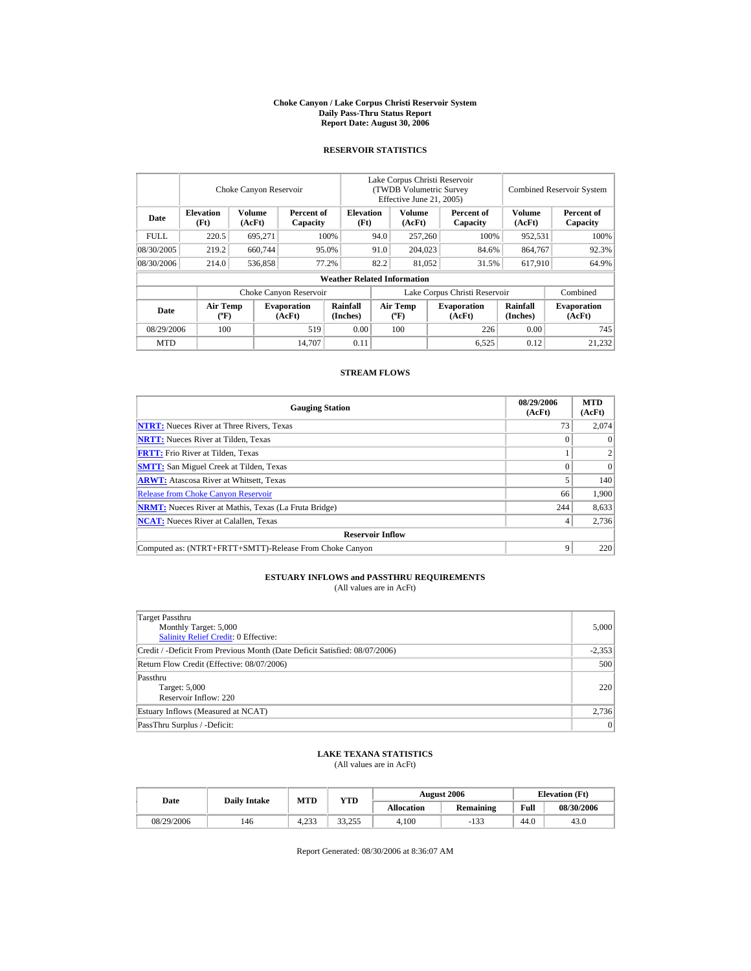#### **Choke Canyon / Lake Corpus Christi Reservoir System Daily Pass-Thru Status Report Report Date: August 30, 2006**

# **RESERVOIR STATISTICS**

|             |                                | Choke Canyon Reservoir |                              |                                    | Lake Corpus Christi Reservoir<br>(TWDB Volumetric Survey)<br>Effective June 21, 2005) |                           |                  |                              |                      | <b>Combined Reservoir System</b> |  |  |
|-------------|--------------------------------|------------------------|------------------------------|------------------------------------|---------------------------------------------------------------------------------------|---------------------------|------------------|------------------------------|----------------------|----------------------------------|--|--|
| Date        | <b>Elevation</b><br>(Ft)       | Volume<br>(AcFt)       | Percent of<br>Capacity       | <b>Elevation</b><br>(Ft)           |                                                                                       | <b>Volume</b><br>(AcFt)   |                  | Percent of<br>Capacity       | Volume<br>(AcFt)     | Percent of<br>Capacity           |  |  |
| <b>FULL</b> | 220.5                          | 695,271                |                              | 100%                               | 94.0                                                                                  | 257,260                   |                  | 100%                         | 952,531              | 100%                             |  |  |
| 08/30/2005  | 219.2                          | 660,744                |                              | 95.0%                              | 91.0                                                                                  |                           | 204,023<br>84.6% |                              | 864,767              | 92.3%                            |  |  |
| 08/30/2006  | 214.0                          | 536,858                |                              | 77.2%                              | 82.2                                                                                  |                           | 81,052<br>31.5%  |                              | 617.910              | 64.9%                            |  |  |
|             |                                |                        |                              | <b>Weather Related Information</b> |                                                                                       |                           |                  |                              |                      |                                  |  |  |
|             |                                |                        | Choke Canyon Reservoir       |                                    | Lake Corpus Christi Reservoir                                                         |                           |                  |                              |                      | Combined                         |  |  |
| Date        | Air Temp<br>$({}^o\mathrm{F})$ |                        | <b>Evaporation</b><br>(AcFt) | Rainfall<br>(Inches)               |                                                                                       | Air Temp<br>$(^{\circ}F)$ |                  | <b>Evaporation</b><br>(AcFt) | Rainfall<br>(Inches) | <b>Evaporation</b><br>(AcFt)     |  |  |
| 08/29/2006  | 100                            |                        | 519                          | 0.00                               |                                                                                       | 100                       |                  | 226                          | 0.00                 | 745                              |  |  |
| <b>MTD</b>  |                                |                        | 14.707                       | 0.11                               |                                                                                       |                           |                  | 6,525                        | 0.12                 | 21,232                           |  |  |

# **STREAM FLOWS**

| <b>Gauging Station</b>                                       | 08/29/2006<br>(AcFt) | <b>MTD</b><br>(AcFt) |
|--------------------------------------------------------------|----------------------|----------------------|
| <b>NTRT:</b> Nueces River at Three Rivers, Texas             | 73                   | 2,074                |
| <b>NRTT:</b> Nueces River at Tilden, Texas                   |                      | $\Omega$             |
| <b>FRTT:</b> Frio River at Tilden, Texas                     |                      |                      |
| <b>SMTT:</b> San Miguel Creek at Tilden, Texas               | 0                    | $\Omega$             |
| <b>ARWT:</b> Atascosa River at Whitsett, Texas               |                      | 140                  |
| <b>Release from Choke Canyon Reservoir</b>                   | 66                   | 1,900                |
| <b>NRMT:</b> Nueces River at Mathis, Texas (La Fruta Bridge) | 244                  | 8,633                |
| <b>NCAT:</b> Nueces River at Calallen, Texas                 |                      | 2,736                |
| <b>Reservoir Inflow</b>                                      |                      |                      |
| Computed as: (NTRT+FRTT+SMTT)-Release From Choke Canyon      | 9                    | 220                  |

#### **ESTUARY INFLOWS and PASSTHRU REQUIREMENTS** (All values are in AcFt)

| Target Passthru<br>Monthly Target: 5,000<br>Salinity Relief Credit: 0 Effective: | 5,000          |
|----------------------------------------------------------------------------------|----------------|
| Credit / -Deficit From Previous Month (Date Deficit Satisfied: 08/07/2006)       | $-2,353$       |
| Return Flow Credit (Effective: 08/07/2006)                                       | 500            |
| Passthru<br>Target: 5,000<br>Reservoir Inflow: 220                               | 220            |
| Estuary Inflows (Measured at NCAT)                                               | 2,736          |
| PassThru Surplus / -Deficit:                                                     | $\overline{0}$ |

#### **LAKE TEXANA STATISTICS** (All values are in AcFt)

| Date       | <b>Daily Intake</b> | MTD   | <b>YTD</b> |            | <b>August 2006</b> | <b>Elevation</b> (Ft) |            |
|------------|---------------------|-------|------------|------------|--------------------|-----------------------|------------|
|            |                     |       |            | Allocation | <b>Remaining</b>   | Full                  | 08/30/2006 |
| 08/29/2006 | 146                 | 4.233 | 33.255     | 4.100      | $-133$             | 44.0                  | 43.0       |

Report Generated: 08/30/2006 at 8:36:07 AM